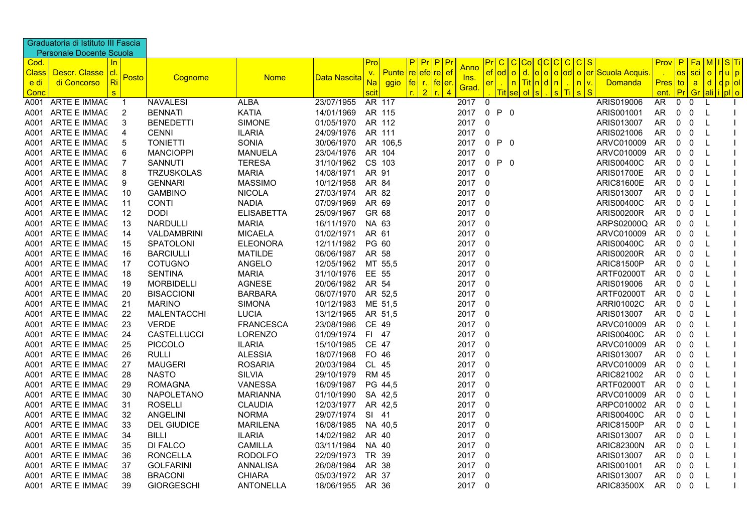|              | Graduatoria di Istituto III Fascia |                              |                    |                   |                  |                |          |                                                |             |                 |                |            |                                    |               |              |                                              |               |             |                        |                               |                    |
|--------------|------------------------------------|------------------------------|--------------------|-------------------|------------------|----------------|----------|------------------------------------------------|-------------|-----------------|----------------|------------|------------------------------------|---------------|--------------|----------------------------------------------|---------------|-------------|------------------------|-------------------------------|--------------------|
|              | Personale Docente Scuola           |                              |                    |                   |                  |                |          |                                                |             |                 |                |            |                                    |               |              |                                              |               |             |                        |                               |                    |
| Cod.         |                                    | <u>In</u>                    |                    |                   |                  | Pro            |          | Pr                                             | <u>Anno</u> | Pr C            |                | C          | $ {\bf d} \, {\bf C} $<br> Co      | C C           | C S          |                                              | Prov   P   Fa |             |                        |                               | <u>MIISTi</u>      |
| <b>Class</b> | Descr. Classe                      | $ {\bf cl} $<br>Posto        | Cognome            | <b>Nome</b>       | Data Nascita     | v.             |          | <b>Punte</b> re efe re ef                      | Ins.        | er              | od             | $\circ$ d. |                                    |               |              | <mark>│o│o│o│od│ o │er│Scuola Acquis.</mark> | - 1           |             | <mark>los ∣ sci</mark> | $\overline{\mathsf{o}}$       | $n$ u   p          |
| <u>e di</u>  | di Concorso                        | Ri                           |                    |                   |                  | Na             | ggio     | <mark> fe  r. ∣fe er.</mark><br>$\overline{2}$ | Grad        | er <sub>l</sub> | ÷              |            | <mark>n   Tit   n   d   n  </mark> |               | n <u>Iv.</u> | Domanda                                      | <b>Pres</b>   |             | $\vert$ to $\vert$ a   | $\overline{d}$                | $dp$ <sub>ol</sub> |
| Conc<br>A001 | ARTE E IMMAC                       | <sub>S</sub><br>$\mathbf{1}$ | <b>NAVALESI</b>    | <b>ALBA</b>       | 23/07/1955       | scit<br>AR 117 |          |                                                | 2017        | $\mathbf 0$     | Tit            | sel<br>ol  | ls                                 | s<br>lTi ls ∶ | S            | ARIS019006                                   | ent.<br>AR    | Pr<br>0     | <mark>l Gr</mark><br>0 | <u>lali l</u><br>$\mathsf{L}$ | i Ipli o           |
| A001         | ARTE E IMMAC                       | $\overline{2}$               | <b>BENNATI</b>     | KATIA             | 14/01/1969       | AR 115         |          |                                                | 2017        | $\overline{0}$  | P <sub>0</sub> |            |                                    |               |              | ARIS001001                                   | AR            | 0           | 0                      | L                             |                    |
| A001         | ARTE E IMMAC                       | 3                            | <b>BENEDETTI</b>   | <b>SIMONE</b>     | 01/05/1970       | AR 112         |          |                                                | 2017        | $\mathbf 0$     |                |            |                                    |               |              | ARIS013007                                   | AR            | 0           | $\mathbf 0$            | L                             |                    |
| A001         | ARTE E IMMAC                       | 4                            | <b>CENNI</b>       | <b>ILARIA</b>     | 24/09/1976       | AR 111         |          |                                                | 2017        | $\mathbf 0$     |                |            |                                    |               |              | ARIS021006                                   | <b>AR</b>     | 0           | 0                      | L                             |                    |
| A001         | ARTE E IMMAC                       | 5                            | <b>TONIETTI</b>    | SONIA             | 30/06/1970       |                | AR 106.5 |                                                | 2017        | $\overline{0}$  | P <sub>0</sub> |            |                                    |               |              | ARVC010009                                   | AR.           | 0           | 0                      | -L                            |                    |
| A001         | ARTE E IMMAC                       | 6                            | <b>MANCIOPPI</b>   | <b>MANUELA</b>    | 23/04/1976       | AR 104         |          |                                                | 2017        | $\pmb{0}$       |                |            |                                    |               |              | ARVC010009                                   | AR            | 0           | 0                      | L                             |                    |
| A001         | ARTE E IMMAC                       | $\overline{7}$               | SANNUTI            | <b>TERESA</b>     | 31/10/1962       | CS 103         |          |                                                | 2017        | $\mathbf 0$     | P <sub>0</sub> |            |                                    |               |              | <b>ARIS00400C</b>                            | <b>AR</b>     | 0           | $\pmb{0}$              | -L                            |                    |
| A001         | ARTE E IMMAC                       | 8                            | <b>TRZUSKOLAS</b>  | <b>MARIA</b>      | 14/08/1971       | AR 91          |          |                                                | 2017        | $\overline{0}$  |                |            |                                    |               |              | <b>ARIS01700E</b>                            | AR            | 0           | 0                      | L                             |                    |
| A001         | ARTE E IMMAC                       | 9                            | <b>GENNARI</b>     | <b>MASSIMO</b>    | 10/12/1958       | AR 84          |          |                                                | 2017        | $\mathbf 0$     |                |            |                                    |               |              | <b>ARIC81600E</b>                            | AR            | 0           | 0                      | L                             |                    |
| A001         | ARTE E IMMAC                       | 10                           | <b>GAMBINO</b>     | <b>NICOLA</b>     | 27/03/1974       | AR 82          |          |                                                | 2017        | $\mathbf 0$     |                |            |                                    |               |              | ARIS013007                                   | AR.           | 0           | 0                      | -L                            |                    |
| A001         | ARTE E IMMAC                       | 11                           | <b>CONTI</b>       | <b>NADIA</b>      | 07/09/1969       | AR 69          |          |                                                | 2017        | 0               |                |            |                                    |               |              | <b>ARIS00400C</b>                            | AR            | 0           | 0                      | L                             |                    |
| A001         | ARTE E IMMAC                       | 12                           | <b>DODI</b>        | <b>ELISABETTA</b> | 25/09/1967       | GR 68          |          |                                                | 2017        | $\mathbf 0$     |                |            |                                    |               |              | <b>ARIS00200R</b>                            | AR            | 0           | $\mathbf 0$            | -L                            |                    |
| A001         | ARTE E IMMAC                       | 13                           | <b>NARDULLI</b>    | <b>MARIA</b>      | 16/11/1970       | NA 63          |          |                                                | 2017        | $\mathbf 0$     |                |            |                                    |               |              | ARPS02000Q AR                                |               | 0           | 0                      | L                             |                    |
| A001         | ARTE E IMMAC                       | 14                           | <b>VALDAMBRINI</b> | <b>MICAELA</b>    | 01/02/1971       | AR 61          |          |                                                | 2017        | 0               |                |            |                                    |               |              | ARVC010009                                   | AR            | 0           | 0                      | L.                            |                    |
| A001         | <b>ARTE E IMMAC</b>                | 15                           | <b>SPATOLONI</b>   | <b>ELEONORA</b>   | 12/11/1982       | PG 60          |          |                                                | 2017        | $\mathbf 0$     |                |            |                                    |               |              | ARIS00400C                                   | AR            | 0           | 0                      | -L                            |                    |
| A001         | ARTE E IMMAC                       | 16                           | <b>BARCIULLI</b>   | <b>MATILDE</b>    | 06/06/1987       | AR 58          |          |                                                | 2017        | $\mathbf 0$     |                |            |                                    |               |              | <b>ARIS00200R</b>                            | <b>AR</b>     | 0           | 0                      | -L                            |                    |
| A001         | ARTE E IMMAC                       | 17                           | COTUGNO            | ANGELO            | 12/05/1962       |                | MT 55.5  |                                                | 2017        | 0               |                |            |                                    |               |              | <b>ARIC81500P</b>                            | AR            | 0           | 0                      | L                             |                    |
| A001         | ARTE E IMMAC                       | 18                           | <b>SENTINA</b>     | <b>MARIA</b>      | 31/10/1976       | EE 55          |          |                                                | 2017        | $\mathbf 0$     |                |            |                                    |               |              | ARTF02000T                                   | AR            | 0           | 0                      | L                             |                    |
| A001         | ARTE E IMMAC                       | 19                           | <b>MORBIDELLI</b>  | <b>AGNESE</b>     | 20/06/1982       | AR 54          |          |                                                | 2017        | $\mathbf 0$     |                |            |                                    |               |              | ARIS019006                                   | AR.           | $\mathbf 0$ | 0                      | -L                            |                    |
| A001         | ARTE E IMMAC                       | 20                           | <b>BISACCIONI</b>  | <b>BARBARA</b>    | 06/07/1970       |                | AR 52.5  |                                                | 2017        | 0               |                |            |                                    |               |              | ARTF02000T                                   | AR            | 0           | 0                      | L                             |                    |
| A001         | ARTE E IMMAC                       | 21                           | <b>MARINO</b>      | <b>SIMONA</b>     | 10/12/1983       |                | ME 51,5  |                                                | 2017        | 0               |                |            |                                    |               |              | ARRI01002C                                   | AR            | 0           | 0                      | L                             |                    |
| A001         | ARTE E IMMAC                       | 22                           | <b>MALENTACCHI</b> | <b>LUCIA</b>      | 13/12/1965       |                | AR 51.5  |                                                | 2017        | $\mathbf 0$     |                |            |                                    |               |              | ARIS013007                                   | AR.           | 0           | 0                      |                               |                    |
| A001         | ARTE E IMMAC                       | 23                           | <b>VERDE</b>       | <b>FRANCESCA</b>  | 23/08/1986       | <b>CE 49</b>   |          |                                                | 2017        | $\mathbf 0$     |                |            |                                    |               |              | ARVC010009                                   | AR.           | 0           | 0                      | L                             |                    |
| A001         | ARTE E IMMAC                       | 24                           | <b>CASTELLUCCI</b> | <b>LORENZO</b>    | 01/09/1974       | FI 47          |          |                                                | 2017        | 0               |                |            |                                    |               |              | ARIS00400C                                   | AR            | 0           | 0                      | L                             |                    |
| A001         | ARTE E IMMAC                       | 25                           | <b>PICCOLO</b>     | <b>ILARIA</b>     | 15/10/1985       | <b>CE 47</b>   |          |                                                | 2017        | 0               |                |            |                                    |               |              | ARVC010009                                   | AR.           | 0           | 0                      | L                             |                    |
| A001         | ARTE E IMMAC                       | 26                           | <b>RULLI</b>       | <b>ALESSIA</b>    | 18/07/1968       | FO 46          |          |                                                | 2017        | $\mathbf 0$     |                |            |                                    |               |              | ARIS013007                                   | AR            | 0           | $\mathbf 0$            | L                             |                    |
| A001         | <b>ARTE E IMMAC</b>                | 27                           | <b>MAUGERI</b>     | <b>ROSARIA</b>    | 20/03/1984       | CL 45          |          |                                                | 2017        | 0               |                |            |                                    |               |              | ARVC010009                                   | AR            | 0           | 0                      | L                             |                    |
| A001         | ARTE E IMMAC                       | 28                           | <b>NASTO</b>       | SILVIA            | 29/10/1979       | <b>RM 45</b>   |          |                                                | 2017        | $\mathbf 0$     |                |            |                                    |               |              | ARIC821002                                   | AR.           | 0           | 0                      | -L                            |                    |
| A001         | ARTE E IMMAC                       | 29                           | <b>ROMAGNA</b>     | VANESSA           | 16/09/1987       |                | PG 44,5  |                                                | 2017        | $\pmb{0}$       |                |            |                                    |               |              | <b>ARTF02000T</b>                            | AR            | 0           | 0                      | -L                            |                    |
| A001         | ARTE E IMMAC                       | 30                           | <b>NAPOLETANO</b>  | <b>MARIANNA</b>   | 01/10/1990       |                | SA 42,5  |                                                | 2017        | 0               |                |            |                                    |               |              | ARVC010009                                   | AR            | 0           | 0                      | L                             |                    |
| A001         | ARTE E IMMAC                       | 31                           | <b>ROSELLI</b>     | <b>CLAUDIA</b>    | 12/03/1977       |                | AR 42.5  |                                                | 2017        | $\overline{0}$  |                |            |                                    |               |              | ARPC010002                                   | AR            | 0           | 0                      | L                             |                    |
| A001         | ARTE E IMMAC                       | 32                           | <b>ANGELINI</b>    | <b>NORMA</b>      | 29/07/1974       | SI             | 41       |                                                | 2017        | $\mathbf 0$     |                |            |                                    |               |              | <b>ARIS00400C</b>                            | AR            | 0           | 0                      | L                             |                    |
| A001         | ARTE E IMMAC                       | 33                           | <b>DEL GIUDICE</b> | <b>MARILENA</b>   | 16/08/1985       |                | NA 40,5  |                                                | 2017        | $\mathbf 0$     |                |            |                                    |               |              | <b>ARIC81500P</b>                            | AR.           | 0           | 0                      | -L                            |                    |
| A001         | ARTE E IMMAC                       | 34                           | <b>BILLI</b>       | <b>ILARIA</b>     | 14/02/1982       | AR 40          |          |                                                | 2017        | 0               |                |            |                                    |               |              | ARIS013007                                   | AR            | 0           | 0                      | L                             |                    |
| A001         | ARTE E IMMAC                       | 35                           | DI FALCO           | <b>CAMILLA</b>    | 03/11/1984       | NA 40          |          |                                                | 2017        | $\mathbf 0$     |                |            |                                    |               |              | <b>ARIC82300N</b>                            | AR            | 0           | $\mathbf 0$            | -L                            |                    |
| A001         | ARTE E IMMAC                       | 36                           | <b>RONCELLA</b>    | <b>RODOLFO</b>    | 22/09/1973       | TR 39          |          |                                                | 2017        | $\mathbf 0$     |                |            |                                    |               |              | ARIS013007                                   | AR.           | $\mathbf 0$ | 0                      | -L                            |                    |
| A001         | ARTE E IMMAC                       | 37                           | <b>GOLFARINI</b>   | <b>ANNALISA</b>   | 26/08/1984       | AR 38          |          |                                                | 2017        | 0               |                |            |                                    |               |              | ARIS001001                                   | AR            | 0           | 0                      | -L                            |                    |
| A001         | <b>ARTE E IMMAC</b>                | 38                           | <b>BRACONI</b>     | <b>CHIARA</b>     | 05/03/1972       | AR 37          |          |                                                | 2017        | $\mathbf 0$     |                |            |                                    |               |              | ARIS013007                                   | <b>AR</b>     | 0           | 0                      | L                             |                    |
|              | A001 ARTE E IMMAC                  | 39                           | <b>GIORGESCHI</b>  | <b>ANTONELLA</b>  | 18/06/1955 AR 36 |                |          |                                                | 2017 0      |                 |                |            |                                    |               |              | <b>ARIC83500X</b>                            | <b>AR</b>     | $\mathbf 0$ | 0                      | -L                            |                    |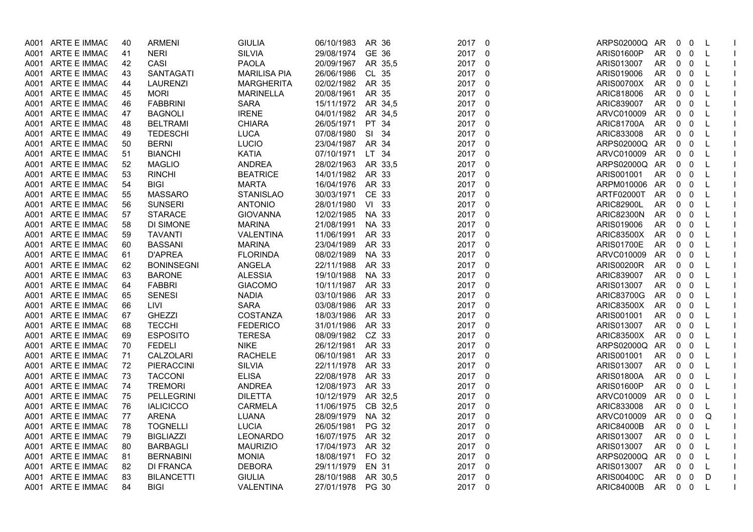| A001 | ARTE E IMMAC        | 40 | <b>ARMENI</b>     | <b>GIULIA</b>       | 06/10/1983 AR 36 |              | 2017 0 |     | ARPS02000Q        | AR        | 0            | 0                       | L            |                |
|------|---------------------|----|-------------------|---------------------|------------------|--------------|--------|-----|-------------------|-----------|--------------|-------------------------|--------------|----------------|
| A001 | ARTE E IMMAC        | 41 | <b>NERI</b>       | <b>SILVIA</b>       | 29/08/1974       | GE 36        | 2017 0 |     | ARIS01600P        | <b>AR</b> | 0            | 0                       | L            |                |
| A001 | ARTE E IMMAC        | 42 | CASI              | <b>PAOLA</b>        | 20/09/1967       | AR 35.5      | 2017 0 |     | ARIS013007        | AR        | 0            | 0                       | L            |                |
| A001 | ARTE E IMMAC        | 43 | SANTAGATI         | <b>MARILISA PIA</b> | 26/06/1986       | CL 35        | 2017 0 |     | ARIS019006        | AR        | 0            | 0                       | L            |                |
| A001 | ARTE E IMMAC        | 44 | <b>LAURENZI</b>   | <b>MARGHERITA</b>   | 02/02/1982       | AR 35        | 2017 0 |     | <b>ARIS00700X</b> | AR.       | $\mathbf 0$  | $\overline{\mathbf{0}}$ | L            |                |
| A001 | ARTE E IMMAC        | 45 | <b>MORI</b>       | <b>MARINELLA</b>    | 20/08/1961       | AR 35        | 2017 0 |     | ARIC818006        | AR        | 0            | $\overline{0}$          | L            |                |
| A001 | ARTE E IMMAC        | 46 | <b>FABBRINI</b>   | <b>SARA</b>         | 15/11/1972       | AR 34,5      | 2017 0 |     | ARIC839007        | AR        | 0            | 0                       | L            | $\mathbf{I}$   |
| A001 | ARTE E IMMAC        | 47 | <b>BAGNOLI</b>    | <b>IRENE</b>        | 04/01/1982       | AR 34,5      | 2017 0 |     | ARVC010009        | AR        | $\mathbf 0$  | 0                       | L            |                |
| A001 | ARTE E IMMAC        | 48 | <b>BELTRAMI</b>   | <b>CHIARA</b>       | 26/05/1971       | PT 34        | 2017 0 |     | <b>ARIC81700A</b> | AR        | 0            | 0                       | L            |                |
| A001 | ARTE E IMMAC        | 49 | <b>TEDESCHI</b>   | <b>LUCA</b>         | 07/08/1980       | SI 34        | 2017   | 0   | ARIC833008        | AR        | 0            | $\overline{0}$          | L            | $\mathbf{I}$   |
| A001 | ARTE E IMMAC        | 50 | <b>BERNI</b>      | <b>LUCIO</b>        | 23/04/1987       | AR 34        | 2017 0 |     | ARPS02000Q AR     |           | 0            | $\mathbf 0$             | L            |                |
| A001 | ARTE E IMMAC        | 51 | <b>BIANCHI</b>    | <b>KATIA</b>        | 07/10/1971       | LT 34        | 2017 0 |     | ARVC010009        | AR        | $\mathbf 0$  | 0                       | $\mathsf{L}$ |                |
| A001 | ARTE E IMMAC        | 52 | <b>MAGLIO</b>     | ANDREA              | 28/02/1963       | AR 33,5      | 2017   | - 0 | ARPS02000Q AR     |           | 0            | $\mathbf 0$             | L            | $\mathbf{I}$   |
| A001 | ARTE E IMMAC        | 53 | <b>RINCHI</b>     | <b>BEATRICE</b>     | 14/01/1982       | AR 33        | 2017 0 |     | ARIS001001        | AR        | 0            | 0                       | $\mathsf{L}$ |                |
| A001 | ARTE E IMMAC        | 54 | <b>BIGI</b>       | <b>MARTA</b>        | 16/04/1976       | AR 33        | 2017 0 |     | ARPM010006        | AR        | 0            | $\mathbf 0$             | L            |                |
| A001 | ARTE E IMMAC        | 55 | <b>MASSARO</b>    | <b>STANISLAO</b>    | 30/03/1971       | CE 33        | 2017 0 |     | ARTF02000T        | AR        | $0\quad 0$   |                         | $\mathsf{L}$ | $\perp$        |
| A001 | ARTE E IMMAC        | 56 | <b>SUNSERI</b>    | <b>ANTONIO</b>      | 28/01/1980       | VI 33        | 2017 0 |     | <b>ARIC82900L</b> | AR        | 0            | $\mathbf 0$             | L            |                |
| A001 | ARTE E IMMAC        | 57 | <b>STARACE</b>    | <b>GIOVANNA</b>     | 12/02/1985       | <b>NA 33</b> | 2017 0 |     | <b>ARIC82300N</b> | AR        | $\mathbf 0$  | 0                       | L            |                |
| A001 | ARTE E IMMAC        | 58 | DI SIMONE         | <b>MARINA</b>       | 21/08/1991       | <b>NA 33</b> | 2017 0 |     | ARIS019006        | AR        | $0\quad 0$   |                         | L            |                |
| A001 | ARTE E IMMAC        | 59 | TAVANTI           | VALENTINA           | 11/06/1991       | AR 33        | 2017 0 |     | <b>ARIC83500X</b> | AR        | 0            | $\mathbf 0$             | L            |                |
| A001 | ARTE E IMMAC        | 60 | <b>BASSANI</b>    | <b>MARINA</b>       | 23/04/1989       | AR 33        | 2017 0 |     | <b>ARIS01700E</b> | AR        | 0            | 0                       | L            | $\overline{1}$ |
| A001 | ARTE E IMMAC        | 61 | <b>D'APREA</b>    | <b>FLORINDA</b>     | 08/02/1989       | <b>NA 33</b> | 2017 0 |     | ARVC010009        | AR        | $0\quad 0$   |                         | L            |                |
| A001 | ARTE E IMMAC        | 62 | <b>BONINSEGNI</b> | ANGELA              | 22/11/1988       | AR 33        | 2017 0 |     | <b>ARIS00200R</b> | <b>AR</b> | 0            | 0                       | L            |                |
| A001 | ARTE E IMMAC        | 63 | <b>BARONE</b>     | <b>ALESSIA</b>      | 19/10/1988       | <b>NA 33</b> | 2017 0 |     | ARIC839007        | AR        | 0            | 0                       | L            | $\mathbf{I}$   |
| A001 | ARTE E IMMAC        | 64 | <b>FABBRI</b>     | <b>GIACOMO</b>      | 10/11/1987       | AR 33        | 2017 0 |     | ARIS013007        | AR.       | $\mathbf{0}$ | $\overline{\mathbf{0}}$ | L            |                |
| A001 | ARTE E IMMAC        | 65 | <b>SENESI</b>     | <b>NADIA</b>        | 03/10/1986       | AR 33        | 2017 0 |     | ARIC83700G        | <b>AR</b> | 0            | $\mathbf 0$             | L            |                |
| A001 | ARTE E IMMAC        | 66 | LIVI              | <b>SARA</b>         | 03/08/1986       | AR 33        | 2017 0 |     | ARIC83500X        | AR        | 0            | 0                       | L            | $\overline{1}$ |
| A001 | ARTE E IMMAC        | 67 | <b>GHEZZI</b>     | COSTANZA            | 18/03/1986       | AR 33        | 2017 0 |     | ARIS001001        | AR        | $0\quad 0$   |                         | L            |                |
| A001 | ARTE E IMMAC        | 68 | <b>TECCHI</b>     | <b>FEDERICO</b>     | 31/01/1986       | AR 33        | 2017 0 |     | ARIS013007        | <b>AR</b> | 0            | 0                       | L            |                |
| A001 | ARTE E IMMAC        | 69 | <b>ESPOSITO</b>   | <b>TERESA</b>       | 08/09/1982       | CZ 33        | 2017   | 0   | <b>ARIC83500X</b> | <b>AR</b> | 0            | $\mathbf 0$             | L            | $\mathbf{I}$   |
| A001 | ARTE E IMMAC        | 70 | <b>FEDELI</b>     | <b>NIKE</b>         | 26/12/1981       | AR 33        | 2017 0 |     | ARPS02000Q        | AR        | 0            | 0                       | L            |                |
| A001 | ARTE E IMMAC        | 71 | CALZOLARI         | <b>RACHELE</b>      | 06/10/1981       | AR 33        | 2017 0 |     | ARIS001001        | AR        | 0            | $\overline{0}$          | L            |                |
| A001 | ARTE E IMMAC        | 72 | <b>PIERACCINI</b> | <b>SILVIA</b>       | 22/11/1978       | AR 33        | 2017   | - 0 | ARIS013007        | AR        | $\mathbf 0$  | $\overline{\mathbf{0}}$ | L            | $\mathbf{I}$   |
| A001 | ARTE E IMMAC        | 73 | TACCONI           | <b>ELISA</b>        | 22/08/1978       | AR 33        | 2017 0 |     | ARIS01800A        | AR        | 0            | 0                       | L            |                |
| A001 | ARTE E IMMAC        | 74 | <b>TREMORI</b>    | <b>ANDREA</b>       | 12/08/1973       | AR 33        | 2017 0 |     | ARIS01600P        | AR        | 0            | $\mathbf 0$             | L            |                |
| A001 | <b>ARTE E IMMAC</b> | 75 | <b>PELLEGRINI</b> | <b>DILETTA</b>      | 10/12/1979       | AR 32.5      | 2017 0 |     | ARVC010009        | AR        | 0            | 0                       | L            | $\mathbf{L}$   |
| A001 | ARTE E IMMAC        | 76 | <b>IALICICCO</b>  | CARMELA             | 11/06/1975       | CB 32.5      | 2017 0 |     | ARIC833008        | AR        | 0            | 0                       | L            |                |
| A001 | ARTE E IMMAC        | 77 | <b>ARENA</b>      | LUANA               | 28/09/1979       | NA 32        | 2017 0 |     | ARVC010009        | AR        | 0            | $\mathbf 0$             | Q            | $\mathbf{L}$   |
| A001 | ARTE E IMMAC        | 78 | <b>TOGNELLI</b>   | <b>LUCIA</b>        | 26/05/1981       | PG 32        | 2017 0 |     | <b>ARIC84000B</b> | AR        | $0\quad 0$   |                         | L            | $\mathbf{I}$   |
| A001 | ARTE E IMMAC        | 79 | <b>BIGLIAZZI</b>  | <b>LEONARDO</b>     | 16/07/1975       | AR 32        | 2017 0 |     | ARIS013007        | AR        | 0            | 0                       | L            |                |
| A001 | ARTE E IMMAC        | 80 | <b>BARBAGLI</b>   | <b>MAURIZIO</b>     | 17/04/1973       | AR 32        | 2017 0 |     | ARIS013007        | AR        | 0            | $\mathbf 0$             | L            | $\mathbf{L}$   |
| A001 | ARTE E IMMAC        | 81 | <b>BERNABINI</b>  | <b>MONIA</b>        | 18/08/1971       | FO 32        | 2017 0 |     | ARPS02000Q        | AR        | 0            | $\overline{\mathbf{0}}$ | L            | $\mathbf{I}$   |
| A001 | ARTE E IMMAC        | 82 | DI FRANCA         | <b>DEBORA</b>       | 29/11/1979       | <b>EN 31</b> | 2017 0 |     | ARIS013007        | AR        | 0            | 0                       | L            |                |
| A001 | ARTE E IMMAC        | 83 | <b>BILANCETTI</b> | <b>GIULIA</b>       | 28/10/1988       | AR 30.5      | 2017   | 0   | ARIS00400C        | AR        | 0            | 0                       | D            | $\overline{1}$ |
|      | A001 ARTE E IMMAC   | 84 | <b>BIGI</b>       | VALENTINA           | 27/01/1978 PG 30 |              | 2017 0 |     | <b>ARIC84000B</b> | AR        | $0\quad 0$   |                         | L            |                |
|      |                     |    |                   |                     |                  |              |        |     |                   |           |              |                         |              |                |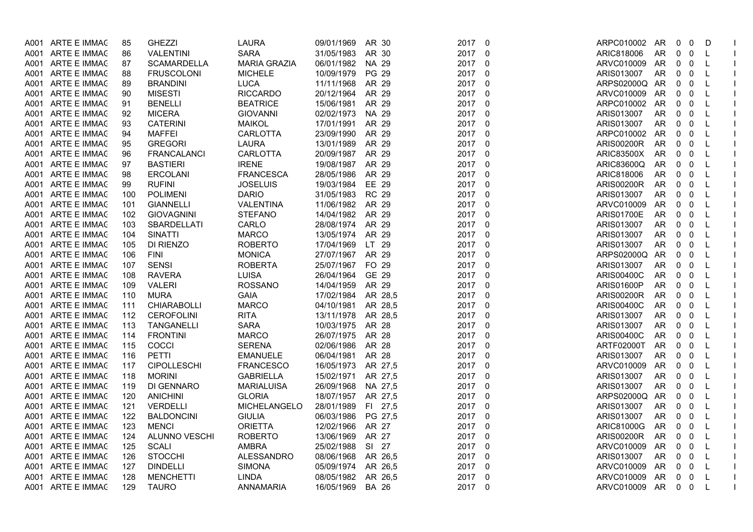|      | A001 ARTE E IMMAC | 85  | <b>GHEZZI</b>      | <b>LAURA</b>        | 09/01/1969 | AR 30        | 2017 0 |                | ARPC010002        | AR        | 0           | 0                       | D            |                |
|------|-------------------|-----|--------------------|---------------------|------------|--------------|--------|----------------|-------------------|-----------|-------------|-------------------------|--------------|----------------|
| A001 | ARTE E IMMAC      | 86  | <b>VALENTINI</b>   | <b>SARA</b>         | 31/05/1983 | AR 30        | 2017   | 0              | ARIC818006        | AR        | 0           | 0                       | L            | $\mathbf{I}$   |
|      | A001 ARTE E IMMAC | 87  | <b>SCAMARDELLA</b> | <b>MARIA GRAZIA</b> | 06/01/1982 | <b>NA 29</b> | 2017 0 |                | ARVC010009        | AR        | 0           | 0                       | L            | $\mathbf{I}$   |
| A001 | ARTE E IMMAC      | 88  | <b>FRUSCOLONI</b>  | <b>MICHELE</b>      | 10/09/1979 | <b>PG 29</b> | 2017 0 |                | ARIS013007        | AR        | 0           | 0                       | L            | $\mathbf{I}$   |
| A001 | ARTE E IMMAC      | 89  | <b>BRANDINI</b>    | <b>LUCA</b>         | 11/11/1968 | AR 29        | 2017   | $\Omega$       | ARPS02000Q AR     |           | $0\quad 0$  |                         | L            |                |
| A001 | ARTE E IMMAC      | 90  | <b>MISESTI</b>     | <b>RICCARDO</b>     | 20/12/1964 | AR 29        | 2017   | $\overline{0}$ | ARVC010009        | AR        | 0           | 0                       | $\mathsf{L}$ |                |
|      | A001 ARTE E IMMAC | 91  | <b>BENELLI</b>     | <b>BEATRICE</b>     | 15/06/1981 | AR 29        | 2017   | 0              | ARPC010002        | AR        | 0           | 0                       | L            | $\mathbf{I}$   |
|      | A001 ARTE E IMMAC | 92  | <b>MICERA</b>      | <b>GIOVANNI</b>     | 02/02/1973 | NA 29        | 2017 0 |                | ARIS013007        | AR        | 0           | $\overline{0}$          | L            |                |
| A001 | ARTE E IMMAC      | 93  | <b>CATERINI</b>    | <b>MAIKOL</b>       | 17/01/1991 | AR 29        | 2017 0 |                | ARIS013007        | <b>AR</b> | 0           | 0                       | $\mathsf{L}$ |                |
| A001 | ARTE E IMMAC      | 94  | <b>MAFFEI</b>      | <b>CARLOTTA</b>     | 23/09/1990 | AR 29        | 2017   | 0              | ARPC010002        | AR        | 0           | 0                       | L            | $\mathbf{I}$   |
|      | A001 ARTE E IMMAC | 95  | <b>GREGORI</b>     | <b>LAURA</b>        | 13/01/1989 | AR 29        | 2017 0 |                | <b>ARIS00200R</b> | AR        | 0           | 0                       | L            |                |
| A001 | ARTE E IMMAC      | 96  | <b>FRANCALANCI</b> | CARLOTTA            | 20/09/1987 | AR 29        | 2017 0 |                | <b>ARIC83500X</b> | <b>AR</b> | $\mathbf 0$ | $\mathbf 0$             | L            |                |
|      | A001 ARTE E IMMAC | 97  | <b>BASTIERI</b>    | <b>IRENE</b>        | 19/08/1987 | AR 29        | 2017   | 0              | ARIC83600Q        | <b>AR</b> | 0           | $\mathbf 0$             | L            | $\mathbf{I}$   |
|      | A001 ARTE E IMMAC | 98  | <b>ERCOLANI</b>    | <b>FRANCESCA</b>    | 28/05/1986 | AR 29        | 2017 0 |                | ARIC818006        | AR        | 0           | 0                       | L            | $\mathbf{L}$   |
| A001 | ARTE E IMMAC      | 99  | <b>RUFINI</b>      | <b>JOSELUIS</b>     | 19/03/1984 | EE 29        | 2017   | $\mathbf 0$    | <b>ARIS00200R</b> | AR        | 0           | $\overline{0}$          | L            |                |
| A001 | ARTE E IMMAC      | 100 | <b>POLIMENI</b>    | <b>DARIO</b>        | 31/05/1983 | <b>RC 29</b> | 2017   | 0              | ARIS013007        | AR        | 0           | $\overline{0}$          | L            | $\mathbf{I}$   |
|      | A001 ARTE E IMMAC | 101 | <b>GIANNELLI</b>   | VALENTINA           | 11/06/1982 | AR 29        | 2017 0 |                | ARVC010009        | AR        | 0           | 0                       | L            |                |
|      | A001 ARTE E IMMAC | 102 | <b>GIOVAGNINI</b>  | <b>STEFANO</b>      | 14/04/1982 | AR 29        | 2017   | $\overline{0}$ | ARIS01700E        | AR        | 0           | 0                       | L            |                |
|      | A001 ARTE E IMMAC | 103 | <b>SBARDELLATI</b> | CARLO               | 28/08/1974 | AR 29        | 2017   | $\overline{0}$ | ARIS013007        | AR        | 0           | 0                       | L            | $\mathbf{I}$   |
|      | A001 ARTE E IMMAC | 104 | <b>SINATTI</b>     | <b>MARCO</b>        | 13/05/1974 | AR 29        | 2017 0 |                | ARIS013007        | AR        | 0           | 0                       | L            | $\mathbf{L}$   |
| A001 | ARTE E IMMAC      | 105 | DI RIENZO          | <b>ROBERTO</b>      | 17/04/1969 | LT 29        | 2017 0 |                | ARIS013007        | AR        | 0           | 0                       | L            | $\mathbf{I}$   |
| A001 | ARTE E IMMAC      | 106 | <b>FINI</b>        | <b>MONICA</b>       | 27/07/1967 | AR 29        | 2017   | $\overline{0}$ | ARPS02000Q        | AR        | 0           | $\overline{0}$          | L            |                |
|      | A001 ARTE E IMMAC | 107 | <b>SENSI</b>       | <b>ROBERTA</b>      | 25/07/1967 | FO 29        | 2017 0 |                | ARIS013007        | AR        | 0           | 0                       | L            | $\mathbf{L}$   |
| A001 | ARTE E IMMAC      | 108 | <b>RAVERA</b>      | <b>LUISA</b>        | 26/04/1964 | GE 29        | 2017 0 |                | <b>ARIS00400C</b> | AR        | 0           | $\mathbf 0$             | L            | $\mathbf{I}$   |
|      | A001 ARTE E IMMAC | 109 | <b>VALERI</b>      | <b>ROSSANO</b>      | 14/04/1959 | AR 29        | 2017   | 0              | ARIS01600P        | AR        | 0           | $\overline{0}$          | L            |                |
| A001 | ARTE E IMMAC      | 110 | <b>MURA</b>        | <b>GAIA</b>         | 17/02/1984 | AR 28.5      | 2017   | $\overline{0}$ | <b>ARIS00200R</b> | AR        | 0           | 0                       | L            |                |
| A001 | ARTE E IMMAC      | 111 | CHIARABOLLI        | <b>MARCO</b>        | 04/10/1981 | AR 28.5      | 2017 0 |                | <b>ARIS00400C</b> | AR        | 0           | 0                       | L            | $\mathbf{I}$   |
|      | A001 ARTE E IMMAC | 112 | <b>CEROFOLINI</b>  | <b>RITA</b>         | 13/11/1978 | AR 28,5      | 2017 0 |                | ARIS013007        | AR        | $0\quad 0$  |                         | L            |                |
| A001 | ARTE E IMMAC      | 113 | <b>TANGANELLI</b>  | <b>SARA</b>         | 10/03/1975 | AR 28        | 2017 0 |                | ARIS013007        | AR        | 0           | 0                       | L            |                |
|      | A001 ARTE E IMMAC | 114 | <b>FRONTINI</b>    | <b>MARCO</b>        | 26/07/1975 | AR 28        | 2017   | 0              | ARIS00400C        | AR        | 0           | 0                       | L            | $\mathbf{I}$   |
|      | A001 ARTE E IMMAC | 115 | COCCI              | <b>SERENA</b>       | 02/06/1986 | AR 28        | 2017 0 |                | ARTF02000T        | AR        | 0           | 0                       | L            |                |
| A001 | ARTE E IMMAC      | 116 | PETTI              | <b>EMANUELE</b>     | 06/04/1981 | AR 28        | 2017   | $\overline{0}$ | ARIS013007        | AR        | 0           | $\mathbf 0$             | $\mathsf{L}$ |                |
| A001 | ARTE E IMMAC      | 117 | <b>CIPOLLESCHI</b> | <b>FRANCESCO</b>    | 16/05/1973 | AR 27,5      | 2017   | 0              | ARVC010009        | AR        | 0           | 0                       | L            | $\perp$        |
|      | A001 ARTE E IMMAC | 118 | <b>MORINI</b>      | <b>GABRIELLA</b>    | 15/02/1971 | AR 27,5      | 2017 0 |                | ARIS013007        | AR        | 0           | 0                       | L            |                |
| A001 | ARTE E IMMAC      | 119 | DI GENNARO         | <b>MARIALUISA</b>   | 26/09/1968 | NA 27,5      | 2017   | 0              | ARIS013007        | AR        | $\mathbf 0$ | $\overline{0}$          | L            |                |
| A001 | ARTE E IMMAC      | 120 | <b>ANICHINI</b>    | <b>GLORIA</b>       | 18/07/1957 | AR 27,5      | 2017   | 0              | ARPS02000Q        | AR        | 0           | 0                       | L            | $\mathbf{L}$   |
|      | A001 ARTE E IMMAC | 121 | VERDELLI           | MICHELANGELO        | 28/01/1989 | FI 27,5      | 2017 0 |                | ARIS013007        | AR        | 0           | 0                       | L            | $\mathbf{L}$   |
| A001 | ARTE E IMMAC      | 122 | <b>BALDONCINI</b>  | <b>GIULIA</b>       | 06/03/1986 | PG 27,5      | 2017   | $\overline{0}$ | ARIS013007        | AR        | 0           | $\Omega$                | L            | $\mathbf{I}$   |
| A001 | ARTE E IMMAC      | 123 | <b>MENCI</b>       | <b>ORIETTA</b>      | 12/02/1966 | AR 27        | 2017   | 0              | ARIC81000G        | AR.       | $\mathbf 0$ | $\overline{\mathbf{0}}$ | L            | $\mathbf{I}$   |
|      | A001 ARTE E IMMAC | 124 | ALUNNO VESCHI      | <b>ROBERTO</b>      | 13/06/1969 | AR 27        | 2017 0 |                | <b>ARIS00200R</b> | AR        | 0           | 0                       | L            |                |
|      | A001 ARTE E IMMAC | 125 | <b>SCALI</b>       | <b>AMBRA</b>        | 25/02/1988 | SI 27        | 2017   | $\overline{0}$ | ARVC010009        | AR        | 0           | $\Omega$                | L            | $\mathbf{I}$   |
|      | A001 ARTE E IMMAC | 126 | <b>STOCCHI</b>     | <b>ALESSANDRO</b>   | 08/06/1968 | AR 26.5      | 2017 0 |                | ARIS013007        | AR        | 0           | $\overline{0}$          | L            | $\mathbf{I}$   |
|      | A001 ARTE E IMMAC | 127 | <b>DINDELLI</b>    | <b>SIMONA</b>       | 05/09/1974 | AR 26,5      | 2017 0 |                | ARVC010009        | AR        | 0           | 0                       | L            |                |
| A001 | ARTE E IMMAC      | 128 | <b>MENCHETTI</b>   | <b>LINDA</b>        | 08/05/1982 | AR 26,5      | 2017   | $\overline{0}$ | ARVC010009        | AR        | 0           | 0                       | L            | $\overline{1}$ |
|      | A001 ARTE E IMMAC | 129 | <b>TAURO</b>       | ANNAMARIA           | 16/05/1969 | <b>BA 26</b> | 2017 0 |                | ARVC010009 AR     |           | $0\quad 0$  |                         | L.           |                |
|      |                   |     |                    |                     |            |              |        |                |                   |           |             |                         |              |                |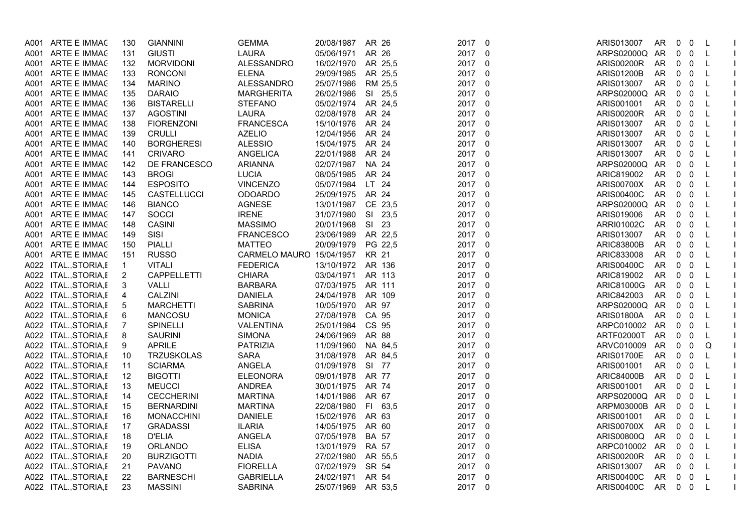| A001 ARTE E IMMAC     | 130            | <b>GIANNINI</b>    | <b>GEMMA</b>             | 20/08/1987         | AR 26        | 2017 0 |    | ARIS013007        | AR     | $\mathbf 0$  | 0                       | L            |              |
|-----------------------|----------------|--------------------|--------------------------|--------------------|--------------|--------|----|-------------------|--------|--------------|-------------------------|--------------|--------------|
| A001 ARTE E IMMAC     | 131            | <b>GIUSTI</b>      | <b>LAURA</b>             | 05/06/1971         | AR 26        | 2017 0 |    | ARPS02000Q AR     |        | $\mathbf 0$  | 0                       | L            |              |
| A001 ARTE E IMMAC     | 132            | <b>MORVIDONI</b>   | ALESSANDRO               | 16/02/1970         | AR 25,5      | 2017 0 |    | <b>ARIS00200R</b> | AR     | 0            | 0                       | L            |              |
| A001 ARTE E IMMAC     | 133            | <b>RONCONI</b>     | <b>ELENA</b>             | 29/09/1985         | AR 25,5      | 2017   | 0  | <b>ARIS01200B</b> | AR     | 0            | 0                       | L            | $\mathbf{I}$ |
| A001 ARTE E IMMAC     | 134            | <b>MARINO</b>      | ALESSANDRO               | 25/07/1986         | RM 25.5      | 2017   | 0  | ARIS013007        | AR.    | $0\quad 0$   |                         | $\mathsf{L}$ |              |
| A001 ARTE E IMMAC     | 135            | <b>DARAIO</b>      | <b>MARGHERITA</b>        | 26/02/1986         | SI 25,5      | 2017 0 |    | ARPS02000Q        | AR     | $\mathbf{0}$ | $\overline{\mathbf{0}}$ | L            |              |
| A001 ARTE E IMMAC     | 136            | <b>BISTARELLI</b>  | <b>STEFANO</b>           | 05/02/1974         | AR 24,5      | 2017   | 0  | ARIS001001        | AR     | $\mathbf 0$  | $\mathbf 0$             | L            | $\mathbf{I}$ |
| A001 ARTE E IMMAC     | 137            | <b>AGOSTINI</b>    | <b>LAURA</b>             | 02/08/1978         | AR 24        | 2017 0 |    | <b>ARIS00200R</b> | AR     | $\mathbf{0}$ | 0                       | L            |              |
| A001 ARTE E IMMAC     | 138            | <b>FIORENZONI</b>  | <b>FRANCESCA</b>         | 15/10/1976         | AR 24        | 2017 0 |    | ARIS013007        | AR     | $\mathbf 0$  | 0                       | L            |              |
| A001 ARTE E IMMAC     | 139            | <b>CRULLI</b>      | <b>AZELIO</b>            | 12/04/1956         | AR 24        | 2017   | 0  | ARIS013007        | AR     | $\mathbf 0$  | $\mathbf 0$             | L            | $\mathbf{I}$ |
| A001 ARTE E IMMAC     | 140            | <b>BORGHERESI</b>  | <b>ALESSIO</b>           | 15/04/1975         | AR 24        | 2017 0 |    | ARIS013007        | AR.    | $\mathbf{0}$ | 0                       | L            |              |
| A001 ARTE E IMMAC     | 141            | <b>CRIVARO</b>     | ANGELICA                 | 22/01/1988         | AR 24        | 2017 0 |    | ARIS013007        | AR     | $\mathbf 0$  | 0                       | L            |              |
| A001 ARTE E IMMAC     | 142            | DE FRANCESCO       | <b>ARIANNA</b>           | 02/07/1987         | NA 24        | 2017   | 0  | ARPS02000Q        | AR     | $\mathbf 0$  | $\mathbf 0$             | L            | $\mathbf{I}$ |
| A001 ARTE E IMMAC     | 143            | <b>BROGI</b>       | <b>LUCIA</b>             | 08/05/1985         | AR 24        | 2017 0 |    | ARIC819002        | AR     | $\mathbf 0$  | 0                       | L            |              |
| A001 ARTE E IMMAC     | 144            | <b>ESPOSITO</b>    | <b>VINCENZO</b>          | 05/07/1984         | LT 24        | 2017   | 0  | ARIS00700X        | AR     | $\mathbf 0$  | 0                       | L            |              |
| A001 ARTE E IMMAC     | 145            | <b>CASTELLUCCI</b> | <b>ODOARDO</b>           | 25/09/1975         | AR 24        | 2017   | 0  | ARIS00400C        | AR     | $0\quad 0$   |                         | $\mathsf{L}$ | $\mathbf{I}$ |
| A001 ARTE E IMMAC     | 146            | <b>BIANCO</b>      | AGNESE                   | 13/01/1987         | CE 23,5      | 2017 0 |    | ARPS02000Q        | AR     | $\mathbf 0$  | 0                       | L            |              |
| A001 ARTE E IMMAC     | 147            | <b>SOCCI</b>       | <b>IRENE</b>             | 31/07/1980         | SI 23,5      | 2017   | 0  | ARIS019006        | AR     | 0            | 0                       | L            |              |
| A001 ARTE E IMMAC     | 148            | <b>CASINI</b>      | <b>MASSIMO</b>           | 20/01/1968         | SI 23        | 2017   | -0 | ARRI01002C        | AR     | $0\quad 0$   |                         | $\mathsf{L}$ |              |
| A001 ARTE E IMMAC     | 149            | SISI               | <b>FRANCESCO</b>         | 23/06/1989         | AR 22,5      | 2017 0 |    | ARIS013007        | AR     | 0            | 0                       | L            | $\mathbf{L}$ |
| A001 ARTE E IMMAC     | 150            | <b>PIALLI</b>      | <b>MATTEO</b>            | 20/09/1979         | PG 22.5      | 2017   | 0  | <b>ARIC83800B</b> | AR     | $\mathbf{0}$ | 0                       | L            | $\mathbf{I}$ |
| A001 ARTE E IMMAC     | 151            | <b>RUSSO</b>       | CARMELO MAURO 15/04/1957 |                    | <b>KR 21</b> | 2017 0 |    | ARIC833008        | AR     | $0\quad 0$   |                         | L            |              |
| A022 ITAL., STORIA, I | $\mathbf{1}$   | <b>VITALI</b>      | <b>FEDERICA</b>          | 13/10/1972         | AR 136       | 2017 0 |    | ARIS00400C        | AR     | $\mathbf 0$  | $\mathbf 0$             | L            |              |
| A022 ITAL., STORIA, I | 2              | <b>CAPPELLETTI</b> | <b>CHIARA</b>            | 03/04/1971         | AR 113       | 2017 0 |    | ARIC819002        | AR     | 0            | 0                       | L            | $\mathbf{I}$ |
| A022 ITAL., STORIA, I | 3              | <b>VALLI</b>       | <b>BARBARA</b>           | 07/03/1975         | AR 111       | 2017 0 |    | ARIC81000G        | AR     | $0\quad 0$   |                         | L            |              |
| A022 ITAL., STORIA, I | 4              | CALZINI            | <b>DANIELA</b>           | 24/04/1978         | AR 109       | 2017 0 |    | ARIC842003        | AR     | $\mathbf 0$  | 0                       | L            |              |
| A022 ITAL., STORIA, I | 5              | <b>MARCHETTI</b>   | <b>SABRINA</b>           | 10/05/1970         | AR 97        | 2017   | 0  | ARPS02000Q AR     |        | 0            | 0                       | L            | $\mathbf{I}$ |
| A022 ITAL., STORIA, I | 6              | MANCOSU            | <b>MONICA</b>            | 27/08/1978         | CA 95        | 2017 0 |    | ARIS01800A        | AR.    | $0\quad 0$   |                         | L            |              |
| A022 ITAL., STORIA, I | $\overline{7}$ | <b>SPINELLI</b>    | VALENTINA                | 25/01/1984         | CS 95        | 2017 0 |    | ARPC010002        | AR     | $\mathbf{0}$ | $\overline{0}$          | L            |              |
| A022 ITAL., STORIA, I | 8              | <b>SAURINI</b>     | <b>SIMONA</b>            | 24/06/1969         | AR 88        | 2017   | 0  | ARTF02000T        | AR     | 0            | 0                       | L            | $\mathbf{L}$ |
| A022 ITAL., STORIA, I | 9              | <b>APRILE</b>      | <b>PATRIZIA</b>          | 11/09/1960         | NA 84,5      | 2017 0 |    | ARVC010009        | AR     | $\mathbf{0}$ | 0                       | Q            | $\mathbf{L}$ |
| A022 ITAL., STORIA, I | 10             | <b>TRZUSKOLAS</b>  | <b>SARA</b>              | 31/08/1978         | AR 84,5      | 2017 0 |    | ARIS01700E        | AR     | $\mathbf 0$  | $\mathbf 0$             | L            | $\mathbf{I}$ |
| A022 ITAL., STORIA, I | 11             | <b>SCIARMA</b>     | ANGELA                   | 01/09/1978         | SI 77        | 2017   | 0  | ARIS001001        | AR     | $0\quad 0$   |                         | L            | $\mathbf{I}$ |
| A022 ITAL., STORIA, I | 12             | <b>BIGOTTI</b>     | <b>ELEONORA</b>          | 09/01/1978         | AR 77        | 2017 0 |    | ARIC84000B        | AR     | $\mathbf{0}$ | 0                       | L            |              |
| A022 ITAL., STORIA, I | 13             | <b>MEUCCI</b>      | <b>ANDREA</b>            | 30/01/1975         | AR 74        | 2017 0 |    | ARIS001001        | AR     | $\mathbf{0}$ | $\mathbf 0$             | L            |              |
| A022 ITAL., STORIA, I | 14             | <b>CECCHERINI</b>  | <b>MARTINA</b>           | 14/01/1986         | AR 67        | 2017   | 0  | ARPS02000Q AR     |        | $\mathbf 0$  | 0                       | L            | $\mathbf{I}$ |
| A022 ITAL., STORIA, I | 15             | <b>BERNARDINI</b>  | <b>MARTINA</b>           | 22/08/1980         | FI 63,5      | 2017 0 |    | ARPM03000B AR     |        | 0            | 0                       | L            |              |
| A022 ITAL., STORIA, I | 16             | <b>MONACCHINI</b>  | <b>DANIELE</b>           | 15/02/1976         | AR 63        | 2017   | 0  | ARIS001001        | AR     | 0            | 0                       | L            |              |
| A022 ITAL., STORIA, I | 17             | <b>GRADASSI</b>    | ILARIA                   | 14/05/1975         | AR 60        | 2017 0 |    | ARIS00700X        | AR     | $0\quad 0$   |                         | $\mathsf{L}$ | $\perp$      |
| A022 ITAL., STORIA, I | 18             | <b>D'ELIA</b>      | ANGELA                   | 07/05/1978         | <b>BA 57</b> | 2017 0 |    | ARIS00800Q        | AR     | $\mathbf 0$  | 0                       | L            |              |
| A022 ITAL., STORIA, I | 19             | ORLANDO            | <b>ELISA</b>             | 13/01/1979         | <b>RA 57</b> | 2017 0 |    | ARPC010002        | AR     | 0            | 0                       | L            | $\mathbf{I}$ |
| A022 ITAL., STORIA, I | 20             | <b>BURZIGOTTI</b>  | <b>NADIA</b>             | 27/02/1980         | AR 55.5      | 2017 0 |    | <b>ARIS00200R</b> | AR     | $0\quad 0$   |                         | $\mathsf{L}$ |              |
| A022 ITAL., STORIA, I | 21             | <b>PAVANO</b>      | <b>FIORELLA</b>          | 07/02/1979         | SR 54        | 2017 0 |    | ARIS013007        | AR     | $\mathbf{0}$ | 0                       | L            |              |
| A022 ITAL., STORIA, I | 22             | <b>BARNESCHI</b>   | <b>GABRIELLA</b>         | 24/02/1971         | AR 54        | 2017   | 0  | ARIS00400C        | AR     | 0            | 0                       | L            |              |
| A022 ITAL., STORIA, I | 23             | <b>MASSINI</b>     | <b>SABRINA</b>           | 25/07/1969 AR 53.5 |              | 2017 0 |    | <b>ARIS00400C</b> | AR 0 0 |              |                         | L.           |              |
|                       |                |                    |                          |                    |              |        |    |                   |        |              |                         |              |              |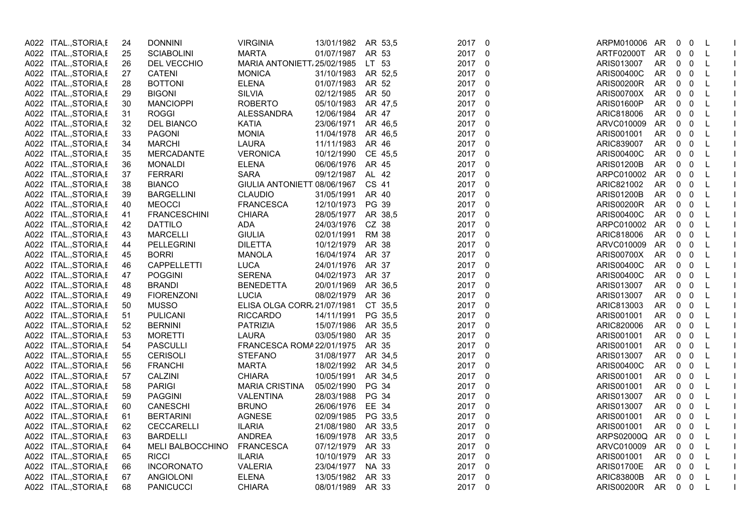| A022 ITAL., STORIA, I | 24 | <b>DONNINI</b>      | <b>VIRGINIA</b>             | 13/01/1982       | AR 53,5      | 2017 0 |             | ARPM010006        | AR    | $\mathbf 0$  | 0                       | L            |  |
|-----------------------|----|---------------------|-----------------------------|------------------|--------------|--------|-------------|-------------------|-------|--------------|-------------------------|--------------|--|
| A022 ITAL., STORIA, I | 25 | <b>SCIABOLINI</b>   | <b>MARTA</b>                | 01/07/1987       | AR 53        | 2017 0 |             | ARTF02000T AR     |       | $0\quad 0$   |                         | L,           |  |
| A022 ITAL., STORIA, I | 26 | DEL VECCHIO         | MARIA ANTONIETT, 25/02/1985 |                  | LT 53        | 2017 0 |             | ARIS013007        | AR    | $0\quad 0$   |                         | L            |  |
| A022 ITAL., STORIA, I | 27 | <b>CATENI</b>       | <b>MONICA</b>               | 31/10/1983       | AR 52,5      | 2017 0 |             | ARIS00400C        | AR    | $\mathbf{0}$ | $\overline{0}$          | L            |  |
| A022 ITAL., STORIA, I | 28 | <b>BOTTONI</b>      | <b>ELENA</b>                | 01/07/1983       | AR 52        | 2017 0 |             | <b>ARIS00200R</b> | AR    | $0\quad 0$   |                         | L            |  |
| A022 ITAL., STORIA, I | 29 | <b>BIGONI</b>       | <b>SILVIA</b>               | 02/12/1985       | AR 50        | 2017 0 |             | ARIS00700X        | AR    | $0\quad 0$   |                         | L.           |  |
| A022 ITAL., STORIA, I | 30 | <b>MANCIOPPI</b>    | <b>ROBERTO</b>              | 05/10/1983       | AR 47,5      | 2017 0 |             | ARIS01600P        | AR.   | $\mathbf 0$  | $\overline{\mathbf{0}}$ | $\mathsf{L}$ |  |
| A022 ITAL., STORIA, I | 31 | <b>ROGGI</b>        | ALESSANDRA                  | 12/06/1984       | AR 47        | 2017 0 |             | ARIC818006        | AR    | $0\quad 0$   |                         | L            |  |
| A022 ITAL., STORIA, I | 32 | DEL BIANCO          | <b>KATIA</b>                | 23/06/1971       | AR 46.5      | 2017 0 |             | ARVC010009        | AR    | $0\quad 0$   |                         | L            |  |
| A022 ITAL., STORIA, I | 33 | <b>PAGONI</b>       | <b>MONIA</b>                | 11/04/1978       | AR 46,5      | 2017   | $\mathbf 0$ | ARIS001001        | AR.   | 0            | $\overline{\mathbf{0}}$ | L            |  |
| A022 ITAL., STORIA, I | 34 | <b>MARCHI</b>       | LAURA                       | 11/11/1983       | AR 46        | 2017 0 |             | ARIC839007        | AR    | $0\quad 0$   |                         | L            |  |
| A022 ITAL., STORIA, I | 35 | MERCADANTE          | <b>VERONICA</b>             | 10/12/1990       | CE 45,5      | 2017 0 |             | ARIS00400C        | AR    | $0\quad 0$   |                         | L            |  |
| A022 ITAL., STORIA, I | 36 | <b>MONALDI</b>      | <b>ELENA</b>                | 06/06/1976       | AR 45        | 2017 0 |             | ARIS01200B        | AR    | $\mathbf 0$  | $\overline{0}$          | L            |  |
| A022 ITAL., STORIA, I | 37 | <b>FERRARI</b>      | <b>SARA</b>                 | 09/12/1987       | AL 42        | 2017 0 |             | ARPC010002        | AR    | $\mathbf{0}$ | $\overline{\mathbf{0}}$ | L            |  |
| A022 ITAL., STORIA, I | 38 | <b>BIANCO</b>       | GIULIA ANTONIETT 08/06/1967 |                  | CS 41        | 2017 0 |             | ARIC821002        | AR    | $0\quad 0$   |                         | $\mathsf{L}$ |  |
| A022 ITAL., STORIA, I | 39 | <b>BARGELLINI</b>   | <b>CLAUDIO</b>              | 31/05/1991       | AR 40        | 2017 0 |             | <b>ARIS01200B</b> | AR    | $0\quad 0$   |                         | L            |  |
| A022 ITAL., STORIA, I | 40 | <b>MEOCCI</b>       | FRANCESCA                   | 12/10/1973       | PG 39        | 2017 0 |             | ARIS00200R        | AR    | $0\quad 0$   |                         | L            |  |
| A022 ITAL., STORIA, I | 41 | <b>FRANCESCHINI</b> | <b>CHIARA</b>               | 28/05/1977       | AR 38,5      | 2017 0 |             | ARIS00400C        | AR    | $0\quad 0$   |                         | $\mathsf{L}$ |  |
| A022 ITAL., STORIA, I | 42 | <b>DATTILO</b>      | ADA                         | 24/03/1976       | CZ 38        | 2017 0 |             | ARPC010002        | AR    | $0\quad 0$   |                         | L            |  |
| A022 ITAL., STORIA, I | 43 | <b>MARCELLI</b>     | <b>GIULIA</b>               | 02/01/1991       | <b>RM 38</b> | 2017 0 |             | ARIC818006        | AR    | $\mathbf 0$  | 0                       | L            |  |
| A022 ITAL., STORIA, I | 44 | <b>PELLEGRINI</b>   | <b>DILETTA</b>              | 10/12/1979       | AR 38        | 2017 0 |             | ARVC010009        | AR    | $\mathbf{0}$ | $\mathbf 0$             | L,           |  |
| A022 ITAL., STORIA, I | 45 | <b>BORRI</b>        | <b>MANOLA</b>               | 16/04/1974       | AR 37        | 2017 0 |             | ARIS00700X        | AR    | $0\quad 0$   |                         | L            |  |
| A022 ITAL., STORIA, I | 46 | <b>CAPPELLETTI</b>  | <b>LUCA</b>                 | 24/01/1976       | AR 37        | 2017 0 |             | <b>ARIS00400C</b> | AR    | $\mathbf{0}$ | $\overline{\mathbf{0}}$ | L.           |  |
| A022 ITAL., STORIA, I | 47 | <b>POGGINI</b>      | <b>SERENA</b>               | 04/02/1973       | AR 37        | 2017 0 |             | ARIS00400C        | AR    | $\mathbf{0}$ | $\mathbf 0$             | L            |  |
| A022 ITAL., STORIA, I | 48 | <b>BRANDI</b>       | <b>BENEDETTA</b>            | 20/01/1969       | AR 36,5      | 2017 0 |             | ARIS013007        | AR    | $0\quad 0$   |                         | L            |  |
| A022 ITAL., STORIA, I | 49 | <b>FIORENZONI</b>   | <b>LUCIA</b>                | 08/02/1979       | AR 36        | 2017 0 |             | ARIS013007        | AR    | $\mathbf{0}$ | $\overline{0}$          | L            |  |
| A022 ITAL., STORIA, I | 50 | <b>MUSSO</b>        | ELISA OLGA CORR, 21/07/1981 |                  | CT 35,5      | 2017 0 |             | ARIC813003        | AR    | $\mathbf 0$  | 0                       | L            |  |
| A022 ITAL., STORIA, I | 51 | <b>PULICANI</b>     | <b>RICCARDO</b>             | 14/11/1991       | PG 35,5      | 2017 0 |             | ARIS001001        | AR    | $0\quad 0$   |                         | L,           |  |
| A022 ITAL., STORIA, I | 52 | <b>BERNINI</b>      | <b>PATRIZIA</b>             | 15/07/1986       | AR 35.5      | 2017 0 |             | ARIC820006        | AR    | $0\quad 0$   |                         | L.           |  |
| A022 ITAL., STORIA, I | 53 | <b>MORETTI</b>      | <b>LAURA</b>                | 03/05/1980       | AR 35        | 2017 0 |             | ARIS001001        | AR    | 0            | $\overline{0}$          | $\mathsf{L}$ |  |
| A022 ITAL., STORIA, I | 54 | <b>PASCULLI</b>     | FRANCESCA ROMA 22/01/1975   |                  | AR 35        | 2017 0 |             | ARIS001001        | AR    | $\mathbf{0}$ | $\overline{0}$          | L            |  |
| A022 ITAL., STORIA, I | 55 | <b>CERISOLI</b>     | <b>STEFANO</b>              | 31/08/1977       | AR 34,5      | 2017 0 |             | ARIS013007        | AR    | $0\quad 0$   |                         | L,           |  |
| A022 ITAL., STORIA, I | 56 | <b>FRANCHI</b>      | <b>MARTA</b>                | 18/02/1992       | AR 34,5      | 2017 0 |             | ARIS00400C        | AR    | $0\quad 0$   |                         | L            |  |
| A022 ITAL., STORIA, I | 57 | CALZINI             | <b>CHIARA</b>               | 10/05/1991       | AR 34,5      | 2017 0 |             | ARIS001001        | AR    | $0\quad 0$   |                         | L            |  |
| A022 ITAL., STORIA, I | 58 | <b>PARIGI</b>       | <b>MARIA CRISTINA</b>       | 05/02/1990       | PG 34        | 2017 0 |             | ARIS001001        | AR    | $0\quad 0$   |                         | L            |  |
| A022 ITAL., STORIA, I | 59 | <b>PAGGINI</b>      | <b>VALENTINA</b>            | 28/03/1988       | <b>PG 34</b> | 2017 0 |             | ARIS013007        | AR    | $0\quad 0$   |                         | L            |  |
| A022 ITAL., STORIA, I | 60 | CANESCHI            | <b>BRUNO</b>                | 26/06/1976       | EE 34        | 2017 0 |             | ARIS013007        | AR    | 0            | $\mathbf 0$             | L            |  |
| A022 ITAL., STORIA, I | 61 | <b>BERTARINI</b>    | AGNESE                      | 02/09/1985       | PG 33,5      | 2017 0 |             | ARIS001001        | AR    | $0\quad 0$   |                         | L            |  |
| A022 ITAL., STORIA, I | 62 | <b>CECCARELLI</b>   | <b>ILARIA</b>               | 21/08/1980       | AR 33.5      | 2017 0 |             | ARIS001001        | AR.   | $0\quad 0$   |                         | L            |  |
| A022 ITAL., STORIA, I | 63 | <b>BARDELLI</b>     | <b>ANDREA</b>               | 16/09/1978       | AR 33,5      | 2017 0 |             | ARPS02000Q AR     |       | $\mathbf 0$  | $\overline{0}$          | L.           |  |
| A022 ITAL., STORIA, I | 64 | MELI BALBOCCHINO    | FRANCESCA                   | 07/12/1979       | AR 33        | 2017 0 |             | ARVC010009        | AR    | $0\quad 0$   |                         | L            |  |
| A022 ITAL., STORIA, I | 65 | <b>RICCI</b>        | <b>ILARIA</b>               | 10/10/1979       | AR 33        | 2017 0 |             | ARIS001001        | AR.   | $0\quad 0$   |                         | L            |  |
| A022 ITAL., STORIA, I | 66 | <b>INCORONATO</b>   | <b>VALERIA</b>              | 23/04/1977       | <b>NA 33</b> | 2017 0 |             | ARIS01700E        | AR    | $0\quad 0$   |                         | L.           |  |
| A022 ITAL., STORIA, I | 67 | <b>ANGIOLONI</b>    | <b>ELENA</b>                | 13/05/1982       | AR 33        | 2017 0 |             | <b>ARIC83800B</b> | AR    | $\mathbf 0$  | $\overline{0}$          | L            |  |
| A022 ITAL., STORIA, I | 68 | <b>PANICUCCI</b>    | <b>CHIARA</b>               | 08/01/1989 AR 33 |              | 2017 0 |             | <b>ARIS00200R</b> | AR 00 |              |                         | L.           |  |
|                       |    |                     |                             |                  |              |        |             |                   |       |              |                         |              |  |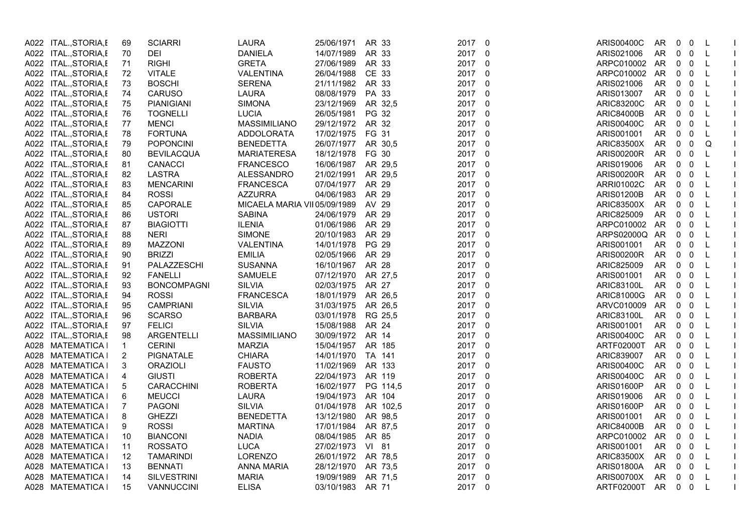| A022 ITAL., STORIA, I | 69           | <b>SCIARRI</b>     | <b>LAURA</b>                 | 25/06/1971         | AR 33    | 2017 0 |                | <b>ARIS00400C</b> | AR  | $\mathbf 0$  | 0                        | L            |  |
|-----------------------|--------------|--------------------|------------------------------|--------------------|----------|--------|----------------|-------------------|-----|--------------|--------------------------|--------------|--|
| A022 ITAL., STORIA, I | 70           | <b>DEI</b>         | <b>DANIELA</b>               | 14/07/1989         | AR 33    | 2017 0 |                | ARIS021006        | AR  | $\mathbf 0$  | $\overline{\mathbf{0}}$  | L            |  |
| A022 ITAL., STORIA, I | 71           | <b>RIGHI</b>       | <b>GRETA</b>                 | 27/06/1989         | AR 33    | 2017 0 |                | ARPC010002        | AR  | $\mathbf 0$  | $\overline{0}$           | L            |  |
| A022 ITAL., STORIA, I | 72           | <b>VITALE</b>      | VALENTINA                    | 26/04/1988         | CE 33    | 2017 0 |                | ARPC010002        | AR  | 0            | 0                        | L            |  |
| A022 ITAL., STORIA, I | 73           | <b>BOSCHI</b>      | <b>SERENA</b>                | 21/11/1982         | AR 33    | 2017 0 |                | ARIS021006        | AR  | $0\quad 0$   |                          | L            |  |
| A022 ITAL., STORIA, I | 74           | <b>CARUSO</b>      | <b>LAURA</b>                 | 08/08/1979         | PA 33    | 2017 0 |                | ARIS013007        | AR  | $0\quad 0$   |                          | L            |  |
| A022 ITAL., STORIA, I | 75           | <b>PIANIGIANI</b>  | <b>SIMONA</b>                | 23/12/1969         | AR 32,5  | 2017 0 |                | <b>ARIC83200C</b> | AR  | 0            | $\overline{0}$           | L            |  |
| A022 ITAL., STORIA, I | 76           | <b>TOGNELLI</b>    | <b>LUCIA</b>                 | 26/05/1981         | PG 32    | 2017 0 |                | <b>ARIC84000B</b> | AR  | $0\quad 0$   |                          | $\mathsf{L}$ |  |
| A022 ITAL., STORIA, I | 77           | <b>MENCI</b>       | MASSIMILIANO                 | 29/12/1972         | AR 32    | 2017 0 |                | ARIS00400C        | AR  | $\mathbf{0}$ | $\overline{\phantom{0}}$ | L            |  |
| A022 ITAL., STORIA, I | 78           | <b>FORTUNA</b>     | ADDOLORATA                   | 17/02/1975         | FG 31    | 2017   | $\mathbf 0$    | ARIS001001        | AR. | 0            | $\overline{0}$           | L            |  |
| A022 ITAL., STORIA, I | 79           | <b>POPONCINI</b>   | <b>BENEDETTA</b>             | 26/07/1977         | AR 30,5  | 2017 0 |                | <b>ARIC83500X</b> | AR  | $0\quad 0$   |                          | Q            |  |
| A022 ITAL., STORIA, I | 80           | <b>BEVILACQUA</b>  | <b>MARIATERESA</b>           | 18/12/1978         | FG 30    | 2017 0 |                | <b>ARIS00200R</b> | AR  | $0\quad 0$   |                          | L            |  |
| A022 ITAL., STORIA, I | 81           | <b>CANACCI</b>     | <b>FRANCESCO</b>             | 16/06/1987         | AR 29,5  | 2017   | $\mathbf 0$    | ARIS019006        | AR  | $\mathbf 0$  | $\mathbf 0$              | L            |  |
| A022 ITAL., STORIA, I | 82           | LASTRA             | ALESSANDRO                   | 21/02/1991         | AR 29,5  | 2017 0 |                | <b>ARIS00200R</b> | AR  | $0\quad 0$   |                          | L            |  |
| A022 ITAL., STORIA, I | 83           | <b>MENCARINI</b>   | <b>FRANCESCA</b>             | 07/04/1977         | AR 29    | 2017 0 |                | ARRI01002C        | AR  | $0\quad 0$   |                          | L            |  |
| A022 ITAL., STORIA, I | 84           | <b>ROSSI</b>       | <b>AZZURRA</b>               | 04/06/1983         | AR 29    | 2017   | $\mathbf 0$    | <b>ARIS01200B</b> | AR  | $0\quad 0$   |                          | -L           |  |
| A022 ITAL., STORIA, I | 85           | CAPORALE           | MICAELA MARIA VII 05/09/1989 |                    | AV 29    | 2017 0 |                | ARIC83500X        | AR  | $0\quad 0$   |                          | L.           |  |
| A022 ITAL., STORIA, I | 86           | <b>USTORI</b>      | <b>SABINA</b>                | 24/06/1979         | AR 29    | 2017 0 |                | ARIC825009        | AR  | $\mathbf 0$  | $\overline{\mathbf{0}}$  | L            |  |
| A022 ITAL., STORIA, I | 87           | <b>BIAGIOTTI</b>   | <b>ILENIA</b>                | 01/06/1986         | AR 29    | 2017 0 |                | ARPC010002 AR     |     | $0\quad 0$   |                          | L            |  |
| A022 ITAL., STORIA, I | 88           | <b>NERI</b>        | <b>SIMONE</b>                | 20/10/1983         | AR 29    | 2017 0 |                | ARPS02000Q        | AR  | 0            | 0                        | L            |  |
| A022 ITAL., STORIA, I | 89           | MAZZONI            | VALENTINA                    | 14/01/1978         | PG 29    | 2017 0 |                | ARIS001001        | AR  | 0            | $\mathbf 0$              | L,           |  |
| A022 ITAL., STORIA, I | 90           | <b>BRIZZI</b>      | <b>EMILIA</b>                | 02/05/1966         | AR 29    | 2017 0 |                | <b>ARIS00200R</b> | AR  | $0\quad 0$   |                          | L.           |  |
| A022 ITAL., STORIA, I | 91           | PALAZZESCHI        | <b>SUSANNA</b>               | 16/10/1967         | AR 28    | 2017 0 |                | ARIC825009        | AR  | $\mathbf{0}$ | 0                        | L.           |  |
| A022 ITAL., STORIA, I | 92           | <b>FANELLI</b>     | <b>SAMUELE</b>               | 07/12/1970         | AR 27,5  | 2017 0 |                | ARIS001001        | AR  | $\mathbf{0}$ | $\mathbf 0$              | L,           |  |
| A022 ITAL., STORIA, I | 93           | <b>BONCOMPAGNI</b> | <b>SILVIA</b>                | 02/03/1975 AR 27   |          | 2017 0 |                | ARIC83100L        | AR  | $0\quad 0$   |                          | L            |  |
| A022 ITAL., STORIA, I | 94           | <b>ROSSI</b>       | <b>FRANCESCA</b>             | 18/01/1979         | AR 26.5  | 2017 0 |                | ARIC81000G        | AR  | $\mathbf{0}$ | $\overline{0}$           | -L           |  |
| A022 ITAL., STORIA, I | 95           | <b>CAMPRIANI</b>   | <b>SILVIA</b>                | 31/03/1975         | AR 26,5  | 2017   | $\overline{0}$ | ARVC010009        | AR  | 0            | $\mathbf 0$              | -L           |  |
| A022 ITAL., STORIA, I | 96           | <b>SCARSO</b>      | <b>BARBARA</b>               | 03/01/1978         | RG 25,5  | 2017 0 |                | ARIC83100L        | AR  | $0\quad 0$   |                          | L            |  |
| A022 ITAL., STORIA, I | 97           | <b>FELICI</b>      | <b>SILVIA</b>                | 15/08/1988         | AR 24    | 2017 0 |                | ARIS001001        | AR  | $0\quad 0$   |                          | L.           |  |
| A022 ITAL., STORIA, I | 98           | ARGENTELLI         | MASSIMILIANO                 | 30/09/1972         | AR 14    | 2017 0 |                | ARIS00400C        | AR  | $\mathbf 0$  | 0                        | L            |  |
| A028 MATEMATICA I     | $\mathbf{1}$ | <b>CERINI</b>      | <b>MARZIA</b>                | 15/04/1957         | AR 185   | 2017 0 |                | ARTF02000T        | AR  | $\mathbf 0$  | 0                        | L            |  |
| A028 MATEMATICA I     | 2            | PIGNATALE          | <b>CHIARA</b>                | 14/01/1970         | TA 141   | 2017 0 |                | ARIC839007        | AR  | $\mathbf 0$  | $\overline{\phantom{0}}$ | -L           |  |
| A028 MATEMATICA I     | 3            | <b>ORAZIOLI</b>    | <b>FAUSTO</b>                | 11/02/1969         | AR 133   | 2017   | $\overline{0}$ | ARIS00400C        | AR  | $0\quad 0$   |                          | L            |  |
| A028 MATEMATICA I     | 4            | <b>GIUSTI</b>      | <b>ROBERTA</b>               | 22/04/1973         | AR 119   | 2017 0 |                | ARIS00400C        | AR  | $0\quad 0$   |                          | L            |  |
| A028 MATEMATICA I     | 5            | CARACCHINI         | <b>ROBERTA</b>               | 16/02/1977         | PG 114,5 | 2017 0 |                | ARIS01600P        | AR  | $0\quad 0$   |                          | -L           |  |
| A028 MATEMATICA I     | 6            | <b>MEUCCI</b>      | <b>LAURA</b>                 | 19/04/1973         | AR 104   | 2017 0 |                | ARIS019006        | AR  | $\mathbf 0$  | $\overline{\phantom{0}}$ | L            |  |
| A028 MATEMATICA I     | 7            | <b>PAGONI</b>      | SILVIA                       | 01/04/1978         | AR 102,5 | 2017 0 |                | ARIS01600P        | AR  | 0            | $\mathbf 0$              | L            |  |
| A028 MATEMATICA I     | 8            | <b>GHEZZI</b>      | <b>BENEDETTA</b>             | 13/12/1980         | AR 98,5  | 2017 0 |                | ARIS001001        | AR  | $\mathbf 0$  | $\overline{0}$           | L            |  |
| A028 MATEMATICA I     | 9            | <b>ROSSI</b>       | <b>MARTINA</b>               | 17/01/1984         | AR 87.5  | 2017 0 |                | <b>ARIC84000B</b> | AR. | $0\quad 0$   |                          | L,           |  |
| A028 MATEMATICA I     | 10           | <b>BIANCONI</b>    | <b>NADIA</b>                 | 08/04/1985         | AR 85    | 2017 0 |                | ARPC010002        | AR  | $\mathbf 0$  | 0                        | L            |  |
| A028 MATEMATICA I     | 11           | <b>ROSSATO</b>     | <b>LUCA</b>                  | 27/02/1973         | VI 81    | 2017 0 |                | ARIS001001        | AR  | 0            | $\mathbf 0$              | $\mathsf{L}$ |  |
| A028 MATEMATICA I     | 12           | <b>TAMARINDI</b>   | LORENZO                      | 26/01/1972 AR 78.5 |          | 2017 0 |                | <b>ARIC83500X</b> | AR. | $0\quad 0$   |                          | -L           |  |
| A028 MATEMATICA I     | 13           | <b>BENNATI</b>     | <b>ANNA MARIA</b>            | 28/12/1970         | AR 73,5  | 2017 0 |                | ARIS01800A        | AR  | $\mathbf{0}$ | $\overline{\mathbf{0}}$  | -L           |  |
| A028 MATEMATICA I     | 14           | <b>SILVESTRINI</b> | <b>MARIA</b>                 | 19/09/1989         | AR 71,5  | 2017   | $\mathbf 0$    | ARIS00700X        | AR. | 0            | $\mathbf 0$              | $\mathsf{L}$ |  |
| A028 MATEMATICA I     | 15           | <b>VANNUCCINI</b>  | <b>ELISA</b>                 | 03/10/1983 AR 71   |          | 2017 0 |                | ARTF02000T AR 0 0 |     |              |                          | L.           |  |
|                       |              |                    |                              |                    |          |        |                |                   |     |              |                          |              |  |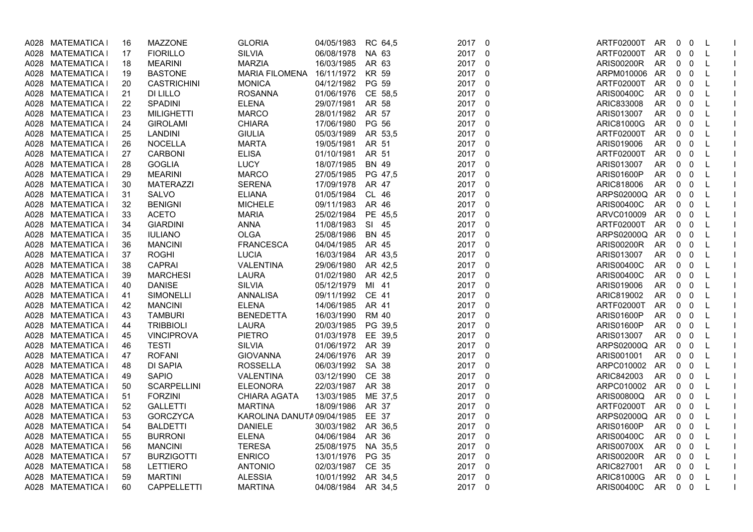|      | A028 MATEMATICA I   | 16 | MAZZONE            | <b>GLORIA</b>              | 04/05/1983         | RC 64,5      | 2017 0 |             | ARTF02000T        | AR        | 0           | 0                       | L |                |
|------|---------------------|----|--------------------|----------------------------|--------------------|--------------|--------|-------------|-------------------|-----------|-------------|-------------------------|---|----------------|
|      | A028 MATEMATICA I   | 17 | <b>FIORILLO</b>    | <b>SILVIA</b>              | 06/08/1978         | NA 63        | 2017 0 |             | ARTF02000T        | AR        | 0           | 0                       | L |                |
|      | A028 MATEMATICA I   | 18 | <b>MEARINI</b>     | <b>MARZIA</b>              | 16/03/1985         | AR 63        | 2017 0 |             | <b>ARIS00200R</b> | AR        | 0           | 0                       | L |                |
|      | A028 MATEMATICA I   | 19 | <b>BASTONE</b>     | <b>MARIA FILOMENA</b>      | 16/11/1972         | <b>KR 59</b> | 2017 0 |             | ARPM010006 AR     |           | 0           | 0                       | L | $\overline{1}$ |
|      | A028 MATEMATICA I   | 20 | <b>CASTRICHINI</b> | <b>MONICA</b>              | 04/12/1982         | PG 59        | 2017 0 |             | ARTF02000T        | AR        | 0           | $\overline{\mathbf{0}}$ | L |                |
|      | A028 MATEMATICA I   | 21 | DI LILLO           | <b>ROSANNA</b>             | 01/06/1976         | CE 58,5      | 2017 0 |             | ARIS00400C        | AR        | 0           | $\mathbf 0$             | L |                |
|      | A028 MATEMATICA I   | 22 | SPADINI            | <b>ELENA</b>               | 29/07/1981         | AR 58        | 2017   | 0           | ARIC833008        | <b>AR</b> | 0           | $\mathbf 0$             | L | $\mathbf{L}$   |
|      | A028 MATEMATICA I   | 23 | <b>MILIGHETTI</b>  | <b>MARCO</b>               | 28/01/1982         | AR 57        | 2017 0 |             | ARIS013007        | AR        | 0           | 0                       | L |                |
|      | A028 MATEMATICA I   | 24 | <b>GIROLAMI</b>    | <b>CHIARA</b>              | 17/06/1980         | PG 56        | 2017 0 |             | ARIC81000G        | AR        | 0           | 0                       | L |                |
|      | A028 MATEMATICA I   | 25 | <b>LANDINI</b>     | <b>GIULIA</b>              | 05/03/1989         | AR 53.5      | 2017 0 |             | ARTF02000T        | AR        | 0           | $\overline{0}$          | L | $\mathbf{I}$   |
|      | A028 MATEMATICA I   | 26 | <b>NOCELLA</b>     | <b>MARTA</b>               | 19/05/1981         | AR 51        | 2017 0 |             | ARIS019006        | AR        | 0           | 0                       | L |                |
|      | A028 MATEMATICA I   | 27 | <b>CARBONI</b>     | <b>ELISA</b>               | 01/10/1981         | AR 51        | 2017 0 |             | <b>ARTF02000T</b> | AR        | 0           | $\mathbf 0$             | L |                |
|      | A028 MATEMATICA I   | 28 | <b>GOGLIA</b>      | <b>LUCY</b>                | 18/07/1985         | <b>BN 49</b> | 2017   | $\mathbf 0$ | ARIS013007        | AR        | 0           | $\mathbf 0$             | L | $\mathbf{L}$   |
|      | A028 MATEMATICA I   | 29 | <b>MEARINI</b>     | <b>MARCO</b>               | 27/05/1985         | PG 47,5      | 2017 0 |             | ARIS01600P        | AR        | 0           | 0                       | L |                |
|      | A028 MATEMATICA I   | 30 | <b>MATERAZZI</b>   | <b>SERENA</b>              | 17/09/1978         | AR 47        | 2017 0 |             | ARIC818006        | AR        | 0           | $\mathsf 0$             | L |                |
| A028 | MATEMATICA I        | 31 | <b>SALVO</b>       | <b>ELIANA</b>              | 01/05/1984         | CL 46        | 2017 0 |             | ARPS02000Q AR     |           | $\mathbf 0$ | $\overline{\mathbf{0}}$ | L |                |
|      | A028 MATEMATICA I   | 32 | <b>BENIGNI</b>     | <b>MICHELE</b>             | 09/11/1983         | AR 46        | 2017 0 |             | <b>ARIS00400C</b> | AR        | 0           | 0                       | L |                |
|      | A028 MATEMATICA I   | 33 | <b>ACETO</b>       | <b>MARIA</b>               | 25/02/1984         | PE 45,5      | 2017 0 |             | ARVC010009        | AR        | 0           | 0                       | L |                |
|      | A028 MATEMATICA I   | 34 | <b>GIARDINI</b>    | <b>ANNA</b>                | 11/08/1983         | SI 45        | 2017 0 |             | ARTF02000T AR     |           | $\mathbf 0$ | $\overline{\mathbf{0}}$ | L |                |
|      | A028 MATEMATICA I   | 35 | <b>IULIANO</b>     | <b>OLGA</b>                | 25/08/1986         | <b>BN 45</b> | 2017 0 |             | ARPS02000Q        | AR        | 0           | 0                       | L |                |
| A028 | <b>MATEMATICA I</b> | 36 | <b>MANCINI</b>     | <b>FRANCESCA</b>           | 04/04/1985         | AR 45        | 2017 0 |             | <b>ARIS00200R</b> | AR        | 0           | 0                       | L | $\overline{1}$ |
|      | A028 MATEMATICA I   | 37 | <b>ROGHI</b>       | <b>LUCIA</b>               | 16/03/1984         | AR 43.5      | 2017 0 |             | ARIS013007        | AR.       | $0\quad 0$  |                         | L |                |
|      | A028 MATEMATICA I   | 38 | <b>CAPRAI</b>      | VALENTINA                  | 29/06/1980         | AR 42,5      | 2017 0 |             | <b>ARIS00400C</b> | AR        | 0           | $\overline{0}$          | L |                |
|      | A028 MATEMATICA I   | 39 | <b>MARCHESI</b>    | <b>LAURA</b>               | 01/02/1980         | AR 42,5      | 2017 0 |             | ARIS00400C        | AR        | 0           | 0                       | L | $\mathbf{I}$   |
|      | A028 MATEMATICA I   | 40 | <b>DANISE</b>      | <b>SILVIA</b>              | 05/12/1979         | MI 41        | 2017 0 |             | ARIS019006        | <b>AR</b> | 0           | $\overline{0}$          | L |                |
|      | A028 MATEMATICA I   | 41 | <b>SIMONELLI</b>   | ANNALISA                   | 09/11/1992         | <b>CE 41</b> | 2017 0 |             | ARIC819002        | AR        | 0           | 0                       | L |                |
|      | A028 MATEMATICA I   | 42 | <b>MANCINI</b>     | <b>ELENA</b>               | 14/06/1985         | AR 41        | 2017   | 0           | ARTF02000T        | AR        | 0           | 0                       | L | $\overline{1}$ |
|      | A028 MATEMATICA I   | 43 | <b>TAMBURI</b>     | <b>BENEDETTA</b>           | 16/03/1990         | <b>RM 40</b> | 2017 0 |             | ARIS01600P        | AR        | 0           | 0                       | L |                |
|      | A028 MATEMATICA I   | 44 | <b>TRIBBIOLI</b>   | <b>LAURA</b>               | 20/03/1985         | PG 39.5      | 2017 0 |             | ARIS01600P        | AR        | 0           | 0                       | L |                |
|      | A028 MATEMATICA I   | 45 | <b>VINCIPROVA</b>  | <b>PIETRO</b>              | 01/03/1978         | EE 39,5      | 2017   | 0           | ARIS013007        | AR        | 0           | 0                       | L | $\mathbf{L}$   |
|      | A028 MATEMATICA I   | 46 | TESTI              | <b>SILVIA</b>              | 01/06/1972         | AR 39        | 2017 0 |             | ARPS02000Q        | AR        | 0           | 0                       | L |                |
|      | A028 MATEMATICA I   | 47 | <b>ROFANI</b>      | <b>GIOVANNA</b>            | 24/06/1976         | AR 39        | 2017 0 |             | ARIS001001        | AR        | 0           | $\mathbf 0$             | L |                |
|      | A028 MATEMATICA I   | 48 | DI SAPIA           | <b>ROSSELLA</b>            | 06/03/1992         | SA 38        | 2017 0 |             | ARPC010002        | AR        | 0           | $\overline{\mathbf{0}}$ | L | $\mathbf{I}$   |
|      | A028 MATEMATICA I   | 49 | <b>SAPIO</b>       | VALENTINA                  | 03/12/1990         | CE 38        | 2017 0 |             | ARIC842003        | AR        | 0           | 0                       | L |                |
|      | A028 MATEMATICA I   | 50 | <b>SCARPELLINI</b> | <b>ELEONORA</b>            | 22/03/1987         | AR 38        | 2017 0 |             | ARPC010002        | AR        | 0           | 0                       | L |                |
|      | A028 MATEMATICA I   | 51 | <b>FORZINI</b>     | CHIARA AGATA               | 13/03/1985         | ME 37,5      | 2017 0 |             | ARIS00800Q        | <b>AR</b> | 0           | $\overline{0}$          | L | $\mathbf{L}$   |
|      | A028 MATEMATICA I   | 52 | <b>GALLETTI</b>    | <b>MARTINA</b>             | 18/09/1986         | AR 37        | 2017 0 |             | ARTF02000T        | AR        | 0           | 0                       | L |                |
|      | A028 MATEMATICA I   | 53 | <b>GORCZYCA</b>    | KAROLINA DANUTA 09/04/1985 |                    | EE 37        | 2017 0 |             | ARPS02000Q        | AR        | 0           | $\mathbf 0$             | L |                |
| A028 | MATEMATICA I        | 54 | <b>BALDETTI</b>    | <b>DANIELE</b>             | 30/03/1982         | AR 36,5      | 2017 0 |             | ARIS01600P        | AR        | $0\quad 0$  |                         | L |                |
|      | A028 MATEMATICA I   | 55 | <b>BURRONI</b>     | <b>ELENA</b>               | 04/06/1984         | AR 36        | 2017 0 |             | <b>ARIS00400C</b> | AR        | 0           | 0                       | L |                |
|      | A028 MATEMATICA I   | 56 | <b>MANCINI</b>     | <b>TERESA</b>              | 25/08/1975         | NA 35,5      | 2017 0 |             | <b>ARIS00700X</b> | AR        | 0           | $\mathbf 0$             | L | $\mathbf{L}$   |
|      | A028 MATEMATICA I   | 57 | <b>BURZIGOTTI</b>  | <b>ENRICO</b>              | 13/01/1976         | <b>PG 35</b> | 2017 0 |             | <b>ARIS00200R</b> | <b>AR</b> | $\mathbf 0$ | $\overline{\mathbf{0}}$ | L |                |
|      | A028 MATEMATICA I   | 58 | <b>LETTIERO</b>    | <b>ANTONIO</b>             | 02/03/1987         | CE 35        | 2017 0 |             | ARIC827001        | AR        | 0           | 0                       | L |                |
| A028 | <b>MATEMATICA I</b> | 59 | <b>MARTINI</b>     | <b>ALESSIA</b>             | 10/01/1992         | AR 34,5      | 2017   | $\mathbf 0$ | ARIC81000G        | AR        | 0           | 0                       | L | $\overline{1}$ |
|      | A028 MATEMATICA I   | 60 | <b>CAPPELLETTI</b> | <b>MARTINA</b>             | 04/08/1984 AR 34,5 |              | 2017 0 |             | ARIS00400C        | AR        | $0\quad 0$  |                         | L |                |
|      |                     |    |                    |                            |                    |              |        |             |                   |           |             |                         |   |                |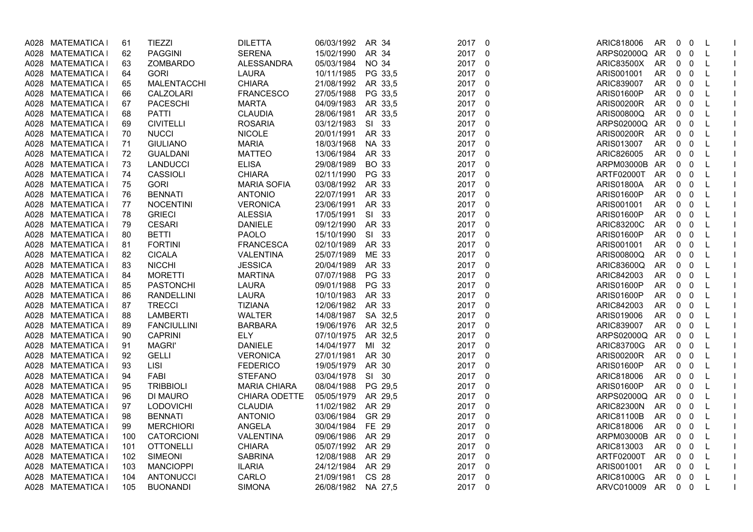|      | A028 MATEMATICA I   | 61  | <b>TIEZZI</b>      | <b>DILETTA</b>      | 06/03/1992         | AR 34        | 2017 0 |                | ARIC818006        | AR        | 0           | 0                       | L            |                          |
|------|---------------------|-----|--------------------|---------------------|--------------------|--------------|--------|----------------|-------------------|-----------|-------------|-------------------------|--------------|--------------------------|
|      | A028 MATEMATICA I   | 62  | <b>PAGGINI</b>     | <b>SERENA</b>       | 15/02/1990         | AR 34        | 2017 0 |                | ARPS02000Q        | AR        | 0           | 0                       | L            |                          |
|      | A028 MATEMATICA I   | 63  | ZOMBARDO           | <b>ALESSANDRA</b>   | 05/03/1984         | <b>NO 34</b> | 2017 0 |                | <b>ARIC83500X</b> | AR        | 0           | 0                       | L            |                          |
| A028 | <b>MATEMATICA I</b> | 64  | <b>GORI</b>        | <b>LAURA</b>        | 10/11/1985         | PG 33,5      | 2017   | 0              | ARIS001001        | AR        | 0           | 0                       | L            |                          |
|      | A028 MATEMATICA I   | 65  | <b>MALENTACCHI</b> | <b>CHIARA</b>       | 21/08/1992         | AR 33.5      | 2017 0 |                | ARIC839007        | AR        | 0           | 0                       | L            |                          |
|      | A028 MATEMATICA I   | 66  | <b>CALZOLARI</b>   | <b>FRANCESCO</b>    | 27/05/1988         | PG 33.5      | 2017 0 |                | <b>ARIS01600P</b> | AR        | 0           | 0                       | L            |                          |
|      | A028 MATEMATICA I   | 67  | <b>PACESCHI</b>    | <b>MARTA</b>        | 04/09/1983         | AR 33,5      | 2017   | 0              | <b>ARIS00200R</b> | AR        | 0           | $\mathbf 0$             | L            | $\mathbf{I}$             |
|      | A028 MATEMATICA I   | 68  | PATTI              | <b>CLAUDIA</b>      | 28/06/1981         | AR 33.5      | 2017 0 |                | ARIS00800Q        | AR        | 0           | 0                       | L            |                          |
|      | A028 MATEMATICA I   | 69  | <b>CIVITELLI</b>   | <b>ROSARIA</b>      | 03/12/1983         | SI 33        | 2017   | 0              | ARPS02000Q        | AR        | 0           | 0                       | L            |                          |
|      | A028 MATEMATICA I   | 70  | <b>NUCCI</b>       | <b>NICOLE</b>       | 20/01/1991         | AR 33        | 2017   | 0              | <b>ARIS00200R</b> | AR        | 0           | $\mathbf 0$             | L            | $\overline{\phantom{a}}$ |
|      | A028 MATEMATICA I   | 71  | <b>GIULIANO</b>    | <b>MARIA</b>        | 18/03/1968         | <b>NA 33</b> | 2017 0 |                | ARIS013007        | AR        | 0           | 0                       | L            |                          |
|      | A028 MATEMATICA I   | 72  | <b>GUALDANI</b>    | <b>MATTEO</b>       | 13/06/1984         | AR 33        | 2017   | 0              | ARIC826005        | <b>AR</b> | 0           | 0                       | $\mathsf{L}$ |                          |
|      | A028 MATEMATICA I   | 73  | LANDUCCI           | <b>ELISA</b>        | 29/08/1989         | <b>BO 33</b> | 2017   | 0              | ARPM03000B AR     |           | 0           | 0                       | L            | $\mathbf{L}$             |
|      | A028 MATEMATICA I   | 74  | CASSIOLI           | <b>CHIARA</b>       | 02/11/1990         | PG 33        | 2017 0 |                | ARTF02000T        | AR        | 0           | 0                       | $\mathsf{L}$ |                          |
| A028 | MATEMATICA I        | 75  | <b>GORI</b>        | <b>MARIA SOFIA</b>  | 03/08/1992         | AR 33        | 2017   | 0              | ARIS01800A        | AR        | 0           | $\mathbf 0$             | L            |                          |
| A028 | <b>MATEMATICA I</b> | 76  | <b>BENNATI</b>     | <b>ANTONIO</b>      | 22/07/1991         | AR 33        | 2017   | $\overline{0}$ | ARIS01600P        | AR        | 0           | $\overline{0}$          | L.           | $\perp$                  |
|      | A028 MATEMATICA I   | 77  | <b>NOCENTINI</b>   | <b>VERONICA</b>     | 23/06/1991         | AR 33        | 2017 0 |                | ARIS001001        | AR        | 0           | 0                       | L            |                          |
|      | A028 MATEMATICA I   | 78  | <b>GRIECI</b>      | <b>ALESSIA</b>      | 17/05/1991         | SI 33        | 2017 0 |                | ARIS01600P        | AR        | 0           | 0                       | L            |                          |
|      | A028 MATEMATICA I   | 79  | <b>CESARI</b>      | <b>DANIELE</b>      | 09/12/1990         | AR 33        | 2017 0 |                | <b>ARIC83200C</b> | AR        | 0           | $\mathbf 0$             | L            |                          |
|      | A028 MATEMATICA I   | 80  | <b>BETTI</b>       | <b>PAOLO</b>        | 15/10/1990         | SI 33        | 2017 0 |                | ARIS01600P        | <b>AR</b> | 0           | 0                       | L            |                          |
| A028 | <b>MATEMATICA I</b> | 81  | <b>FORTINI</b>     | <b>FRANCESCA</b>    | 02/10/1989         | AR 33        | 2017 0 |                | ARIS001001        | AR        | 0           | 0                       | L            | $\overline{1}$           |
|      | A028 MATEMATICA I   | 82  | <b>CICALA</b>      | VALENTINA           | 25/07/1989         | ME 33        | 2017 0 |                | ARIS00800Q        | AR        | 0           | $\overline{0}$          | L            |                          |
|      | A028 MATEMATICA I   | 83  | <b>NICCHI</b>      | <b>JESSICA</b>      | 20/04/1989         | AR 33        | 2017 0 |                | ARIC83600Q        | <b>AR</b> | 0           | 0                       | L            |                          |
| A028 | MATEMATICA I        | 84  | <b>MORETTI</b>     | <b>MARTINA</b>      | 07/07/1988         | PG 33        | 2017 0 |                | ARIC842003        | AR        | 0           | 0                       | L            | $\mathbf{I}$             |
|      | A028 MATEMATICA I   | 85  | <b>PASTONCHI</b>   | <b>LAURA</b>        | 09/01/1988         | PG 33        | 2017 0 |                | ARIS01600P        | AR        | 0           | $\overline{0}$          | L            |                          |
| A028 | MATEMATICA I        | 86  | <b>RANDELLINI</b>  | <b>LAURA</b>        | 10/10/1983         | AR 33        | 2017 0 |                | ARIS01600P        | <b>AR</b> | 0           | $\mathbf 0$             | L            |                          |
| A028 | MATEMATICA I        | 87  | <b>TRECCI</b>      | <b>TIZIANA</b>      | 12/06/1982         | AR 33        | 2017   | $\mathbf 0$    | ARIC842003        | AR        | 0           | 0                       | L            |                          |
|      | A028 MATEMATICA I   | 88  | LAMBERTI           | <b>WALTER</b>       | 14/08/1987         | SA 32,5      | 2017 0 |                | ARIS019006        | AR        | 0           | $\mathbf 0$             | L            |                          |
|      | A028 MATEMATICA I   | 89  | <b>FANCIULLINI</b> | <b>BARBARA</b>      | 19/06/1976         | AR 32,5      | 2017 0 |                | ARIC839007        | <b>AR</b> | 0           | 0                       | L            |                          |
|      | A028 MATEMATICA I   | 90  | <b>CAPRINI</b>     | <b>ELY</b>          | 07/10/1975         | AR 32.5      | 2017   | 0              | ARPS02000Q        | <b>AR</b> | 0           | 0                       | L            | $\mathbf{I}$             |
|      | A028 MATEMATICA I   | 91  | <b>MAGRI'</b>      | <b>DANIELE</b>      | 14/04/1977         | MI 32        | 2017 0 |                | ARIC83700G        | AR        | 0           | 0                       | L            |                          |
|      | A028 MATEMATICA I   | 92  | <b>GELLI</b>       | <b>VERONICA</b>     | 27/01/1981         | AR 30        | 2017 0 |                | <b>ARIS00200R</b> | AR        | 0           | 0                       | L            |                          |
|      | A028 MATEMATICA I   | 93  | <b>LISI</b>        | <b>FEDERICO</b>     | 19/05/1979         | AR 30        | 2017   | 0              | ARIS01600P        | AR        | 0           | 0                       | L            |                          |
|      | A028 MATEMATICA I   | 94  | FABI               | <b>STEFANO</b>      | 03/04/1978         | SI 30        | 2017 0 |                | ARIC818006        | AR        | 0           | 0                       | L            |                          |
|      | A028 MATEMATICA I   | 95  | <b>TRIBBIOLI</b>   | <b>MARIA CHIARA</b> | 08/04/1988         | PG 29,5      | 2017   | 0              | ARIS01600P        | AR        | 0           | 0                       | L            |                          |
|      | A028 MATEMATICA I   | 96  | DI MAURO           | CHIARA ODETTE       | 05/05/1979         | AR 29,5      | 2017   | 0              | ARPS02000Q        | AR        | 0           | 0                       | L            | $\mathbf{I}$             |
|      | A028 MATEMATICA I   | 97  | <b>LODOVICHI</b>   | <b>CLAUDIA</b>      | 11/02/1982         | AR 29        | 2017 0 |                | <b>ARIC82300N</b> | AR        | 0           | 0                       | L            |                          |
| A028 | <b>MATEMATICA I</b> | 98  | <b>BENNATI</b>     | <b>ANTONIO</b>      | 03/06/1984         | GR 29        | 2017   | $\mathbf 0$    | <b>ARIC81100B</b> | AR        | 0           | $\mathbf 0$             | L            |                          |
| A028 | <b>MATEMATICA I</b> | 99  | <b>MERCHIORI</b>   | <b>ANGELA</b>       | 30/04/1984         | FE 29        | 2017 0 |                | ARIC818006        | AR        | $\mathbf 0$ | $\overline{\mathbf{0}}$ | L            |                          |
|      | A028 MATEMATICA I   | 100 | <b>CATORCIONI</b>  | VALENTINA           | 09/06/1986         | AR 29        | 2017 0 |                | ARPM03000B        | AR        | 0           | 0                       | L            |                          |
|      | A028 MATEMATICA I   | 101 | <b>OTTONELLI</b>   | <b>CHIARA</b>       | 05/07/1992         | AR 29        | 2017 0 |                | ARIC813003        | AR        | 0           | 0                       | L            |                          |
|      | A028 MATEMATICA I   | 102 | <b>SIMEONI</b>     | <b>SABRINA</b>      | 12/08/1988         | AR 29        | 2017 0 |                | ARTF02000T        | AR        | 0           | $\overline{\mathbf{0}}$ | L            |                          |
|      | A028 MATEMATICA I   | 103 | <b>MANCIOPPI</b>   | <b>ILARIA</b>       | 24/12/1984         | AR 29        | 2017 0 |                | ARIS001001        | AR        | 0           | 0                       | L            |                          |
| A028 | <b>MATEMATICA I</b> | 104 | <b>ANTONUCCI</b>   | CARLO               | 21/09/1981         | CS 28        | 2017   | 0              | ARIC81000G        | AR        | 0           | 0                       | L            |                          |
|      | A028 MATEMATICA I   | 105 | <b>BUONANDI</b>    | <b>SIMONA</b>       | 26/08/1982 NA 27.5 |              | 2017 0 |                | ARVC010009 AR     |           | $0\quad 0$  |                         | L            |                          |
|      |                     |     |                    |                     |                    |              |        |                |                   |           |             |                         |              |                          |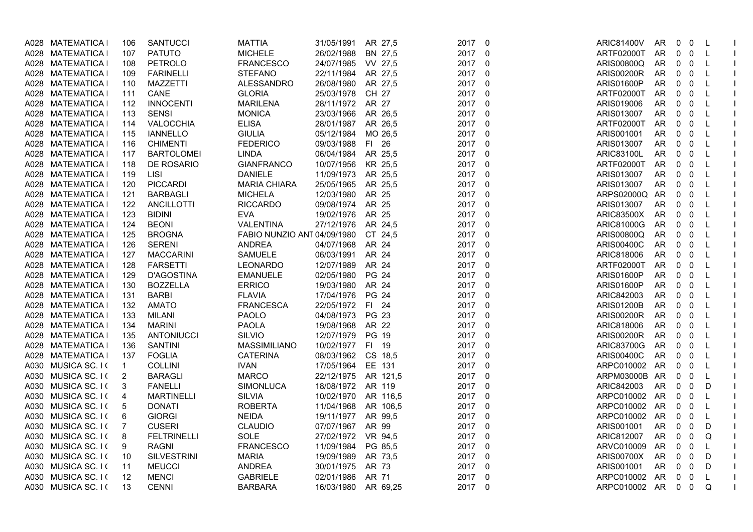| A028 | MATEMATICA          | 106            | <b>SANTUCCI</b>    | <b>MATTIA</b>               | 31/05/1991          | AR 27,5      | 2017 0 |                | <b>ARIC81400V</b> | AR        | 0            | $\mathbf 0$             | L            |                |
|------|---------------------|----------------|--------------------|-----------------------------|---------------------|--------------|--------|----------------|-------------------|-----------|--------------|-------------------------|--------------|----------------|
| A028 | <b>MATEMATICA</b>   | 107            | <b>PATUTO</b>      | <b>MICHELE</b>              | 26/02/1988          | BN 27,5      | 2017   | 0              | ARTF02000T        | <b>AR</b> | 0            | 0                       | L            |                |
| A028 | <b>MATEMATICA I</b> | 108            | <b>PETROLO</b>     | <b>FRANCESCO</b>            | 24/07/1985          | VV 27,5      | 2017 0 |                | ARIS00800Q        | <b>AR</b> | 0            | 0                       | L            |                |
| A028 | <b>MATEMATICA I</b> | 109            | <b>FARINELLI</b>   | <b>STEFANO</b>              | 22/11/1984          | AR 27,5      | 2017 0 |                | <b>ARIS00200R</b> | AR        | 0            | 0                       | L            | $\overline{1}$ |
|      | A028 MATEMATICA     | 110            | MAZZETTI           | ALESSANDRO                  | 26/08/1980          | AR 27,5      | 2017 0 |                | ARIS01600P        | AR        | $0\quad 0$   |                         | L            |                |
| A028 | <b>MATEMATICA I</b> | 111            | CANE               | <b>GLORIA</b>               | 25/03/1978          | CH 27        | 2017 0 |                | ARTF02000T        | AR        | 0            | 0                       | L            |                |
| A028 | <b>MATEMATICA I</b> | 112            | <b>INNOCENTI</b>   | <b>MARILENA</b>             | 28/11/1972          | AR 27        | 2017   | $\overline{0}$ | ARIS019006        | AR        | 0            | 0                       | L            | $\mathbf{1}$   |
| A028 | <b>MATEMATICA</b>   | 113            | <b>SENSI</b>       | <b>MONICA</b>               | 23/03/1966          | AR 26,5      | 2017 0 |                | ARIS013007        | AR        | 0            | 0                       | L            |                |
| A028 | <b>MATEMATICA I</b> | 114            | VALOCCHIA          | <b>ELISA</b>                | 28/01/1987          | AR 26.5      | 2017 0 |                | ARTF02000T        | AR.       | 0            | 0                       | $\mathsf{L}$ |                |
| A028 | <b>MATEMATICA</b>   | 115            | <b>IANNELLO</b>    | <b>GIULIA</b>               | 05/12/1984          | MO 26.5      | 2017   | 0              | ARIS001001        | AR        | 0            | 0                       | L            | $\mathbf{I}$   |
| A028 | <b>MATEMATICA I</b> | 116            | <b>CHIMENTI</b>    | <b>FEDERICO</b>             | 09/03/1988          | FI 26        | 2017 0 |                | ARIS013007        | AR        | 0            | $\overline{\mathbf{0}}$ | L            |                |
| A028 | <b>MATEMATICA</b>   | 117            | <b>BARTOLOMEI</b>  | <b>LINDA</b>                | 06/04/1984          | AR 25.5      | 2017 0 |                | ARIC83100L        | <b>AR</b> | $\mathbf 0$  | $\overline{0}$          | L            |                |
| A028 | <b>MATEMATICA I</b> | 118            | DE ROSARIO         | <b>GIANFRANCO</b>           | 10/07/1956          | KR 25.5      | 2017   | $\overline{0}$ | ARTF02000T        | <b>AR</b> | 0            | 0                       | L            | $\mathbf{L}$   |
| A028 | <b>MATEMATICA</b>   | 119            | LISI               | <b>DANIELE</b>              | 11/09/1973          | AR 25,5      | 2017 0 |                | ARIS013007        | AR        | 0            | 0                       | L            |                |
| A028 | MATEMATICA I        | 120            | <b>PICCARDI</b>    | <b>MARIA CHIARA</b>         | 25/05/1965          | AR 25,5      | 2017   | $\overline{0}$ | ARIS013007        | AR        | 0            | $\mathbf 0$             | L            |                |
| A028 | <b>MATEMATICA I</b> | 121            | <b>BARBAGLI</b>    | <b>MICHELA</b>              | 12/03/1980          | AR 25        | 2017   | 0              | ARPS02000Q        | AR        | 0            | $\overline{\mathbf{0}}$ | L            | $\mathbf{I}$   |
|      | A028 MATEMATICA     | 122            | <b>ANCILLOTTI</b>  | <b>RICCARDO</b>             | 09/08/1974          | AR 25        | 2017 0 |                | ARIS013007        | AR.       | 0            | 0                       | L            |                |
| A028 | <b>MATEMATICA</b>   | 123            | <b>BIDINI</b>      | <b>EVA</b>                  | 19/02/1976          | AR 25        | 2017 0 |                | <b>ARIC83500X</b> | AR        | $\mathbf{0}$ | $\mathbf{0}$            | L            |                |
|      | A028 MATEMATICA     | 124            | <b>BEONI</b>       | <b>VALENTINA</b>            | 27/12/1976          | AR 24.5      | 2017 0 |                | ARIC81000G        | AR        | 0            | $\overline{\mathbf{0}}$ | $\mathsf{L}$ | $\mathbf{I}$   |
| A028 | MATEMATICA I        | 125            | <b>BROGNA</b>      | FABIO NUNZIO ANT 04/09/1980 |                     | CT 24,5      | 2017 0 |                | ARIS00800Q        | AR        | 0            | 0                       | L            | $\mathbf{L}$   |
| A028 | <b>MATEMATICA I</b> | 126            | <b>SERENI</b>      | <b>ANDREA</b>               | 04/07/1968          | AR 24        | 2017 0 |                | ARIS00400C        | AR        | 0            | 0                       | L            | $\mathbf{I}$   |
| A028 | <b>MATEMATICA</b>   | 127            | <b>MACCARINI</b>   | SAMUELE                     | 06/03/1991          | AR 24        | 2017 0 |                | ARIC818006        | AR        | $\mathbf 0$  | $\overline{0}$          | L            |                |
| A028 | <b>MATEMATICA</b>   | 128            | <b>FARSETTI</b>    | <b>LEONARDO</b>             | 12/07/1989          | AR 24        | 2017 0 |                | <b>ARTF02000T</b> | AR        | 0            | 0                       | L            |                |
| A028 | <b>MATEMATICA I</b> | 129            | <b>D'AGOSTINA</b>  | <b>EMANUELE</b>             | 02/05/1980          | PG 24        | 2017 0 |                | <b>ARIS01600P</b> | AR        | 0            | $\mathbf 0$             | L            | $\mathbf{I}$   |
|      | A028 MATEMATICA     | 130            | <b>BOZZELLA</b>    | <b>ERRICO</b>               | 19/03/1980          | AR 24        | 2017   | 0              | ARIS01600P        | AR        | 0            | $\overline{0}$          | L            |                |
| A028 | MATEMATICA I        | 131            | <b>BARBI</b>       | <b>FLAVIA</b>               | 17/04/1976          | <b>PG 24</b> | 2017 0 |                | ARIC842003        | AR        | 0            | 0                       | L            |                |
| A028 | <b>MATEMATICA I</b> | 132            | <b>AMATO</b>       | <b>FRANCESCA</b>            | 22/05/1972          | FI 24        | 2017 0 |                | <b>ARIS01200B</b> | AR        | 0            | 0                       | L            | $\mathbf{I}$   |
| A028 | <b>MATEMATICA</b>   | 133            | <b>MILANI</b>      | <b>PAOLO</b>                | 04/08/1973          | PG 23        | 2017 0 |                | <b>ARIS00200R</b> | AR        | 0            | $\overline{\mathbf{0}}$ | L            |                |
| A028 | <b>MATEMATICA I</b> | 134            | <b>MARINI</b>      | <b>PAOLA</b>                | 19/08/1968          | AR 22        | 2017 0 |                | ARIC818006        | AR        | 0            | 0                       | L            |                |
| A028 | <b>MATEMATICA</b>   | 135            | <b>ANTONIUCCI</b>  | SILVIO                      | 12/07/1979          | PG 19        | 2017   | 0              | <b>ARIS00200R</b> | AR        | 0            | 0                       | L            | $\mathbf{I}$   |
|      | A028 MATEMATICA     | 136            | <b>SANTINI</b>     | MASSIMILIANO                | 10/02/1977          | FI 19        | 2017 0 |                | ARIC83700G        | AR        | 0            | 0                       | L            |                |
| A028 | MATEMATICA I        | 137            | <b>FOGLIA</b>      | <b>CATERINA</b>             | 08/03/1962          | CS 18,5      | 2017 0 |                | ARIS00400C        | AR        | 0            | $\mathbf 0$             | $\mathsf{L}$ |                |
| A030 | MUSICA SC. I (      | $\mathbf{1}$   | <b>COLLINI</b>     | <b>IVAN</b>                 | 17/05/1964          | EE 131       | 2017   | 0              | ARPC010002 AR     |           | 0            | $\overline{0}$          | L            | $\mathbf{L}$   |
|      | A030 MUSICA SC. I ( | $\overline{2}$ | <b>BARAGLI</b>     | <b>MARCO</b>                | 22/12/1975          | AR 121,5     | 2017 0 |                | ARPM03000B AR     |           | 0            | 0                       | L            |                |
|      | A030 MUSICA SC. I ( | 3              | <b>FANELLI</b>     | SIMONLUCA                   | 18/08/1972          | AR 119       | 2017   | $\overline{0}$ | ARIC842003        | AR        | $\mathbf 0$  | 0                       | D            |                |
| A030 | MUSICA SC. I (      | 4              | <b>MARTINELLI</b>  | <b>SILVIA</b>               | 10/02/1970          | AR 116,5     | 2017   | 0              | ARPC010002 AR     |           | 0            | $\mathbf 0$             | L            | $\mathbf{I}$   |
|      | A030 MUSICA SC. I ( | 5              | <b>DONATI</b>      | <b>ROBERTA</b>              | 11/04/1968          | AR 106,5     | 2017 0 |                | ARPC010002 AR     |           | 0            | 0                       | L            | $\mathbf{L}$   |
| A030 | MUSICA SC. I (      | 6              | <b>GIORGI</b>      | <b>NEIDA</b>                | 19/11/1977          | AR 99,5      | 2017 0 |                | ARPC010002        | AR        | 0            | $\Omega$                | L            | $\mathbf{L}$   |
| A030 | MUSICA SC. I (      | 7              | <b>CUSERI</b>      | <b>CLAUDIO</b>              | 07/07/1967          | AR 99        | 2017   | $\overline{0}$ | ARIS001001        | AR        | $\mathbf 0$  | $\overline{\mathbf{0}}$ | D            | $\mathbf{I}$   |
|      | A030 MUSICA SC. I ( | 8              | <b>FELTRINELLI</b> | SOLE                        | 27/02/1972          | VR 94,5      | 2017 0 |                | ARIC812007        | AR        | 0            | 0                       | Q            | $\mathbf{L}$   |
| A030 | MUSICA SC. I (      | 9              | <b>RAGNI</b>       | <b>FRANCESCO</b>            | 11/09/1984          | PG 85,5      | 2017 0 |                | ARVC010009        | AR        | 0            | $\Omega$                | L            | $\mathbf{I}$   |
|      | A030 MUSICA SC. I ( | 10             | <b>SILVESTRINI</b> | <b>MARIA</b>                | 19/09/1989          | AR 73.5      | 2017 0 |                | ARIS00700X        | AR        | 0            | 0                       | D            | $\mathbf{I}$   |
|      | A030 MUSICA SC. I ( | 11             | <b>MEUCCI</b>      | <b>ANDREA</b>               | 30/01/1975          | AR 73        | 2017 0 |                | ARIS001001        | AR        | 0            | 0                       | D            |                |
| A030 | MUSICA SC. I (      | 12             | <b>MENCI</b>       | GABRIELE                    | 02/01/1986          | AR 71        | 2017   | $\overline{0}$ | ARPC010002 AR     |           | 0            | 0                       | L            | $\overline{1}$ |
|      | A030 MUSICA SC. I ( | 13             | <b>CENNI</b>       | <b>BARBARA</b>              | 16/03/1980 AR 69,25 |              | 2017 0 |                | ARPC010002 AR     |           | $0\quad 0$   |                         | Q            |                |
|      |                     |                |                    |                             |                     |              |        |                |                   |           |              |                         |              |                |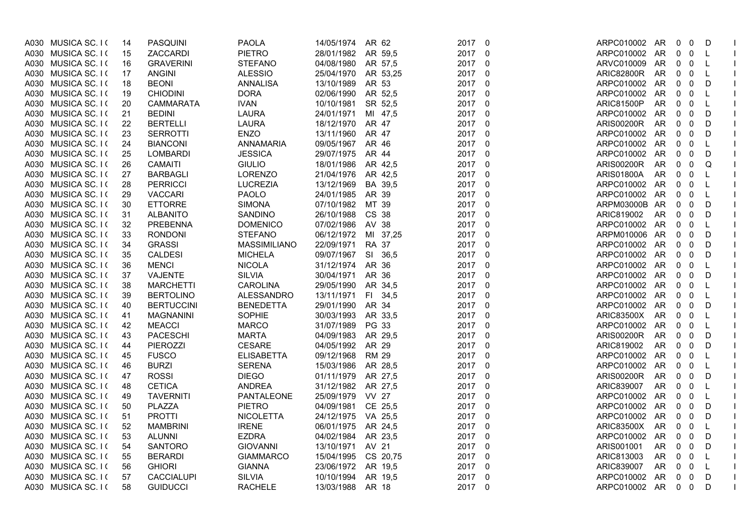| A030 MUSICA SC. I ( | 14  | PASQUINI          | <b>PAOLA</b>      | 14/05/1974          | AR 62        | 2017   | $\mathbf 0$             | ARPC010002 AR     |    | 0            | 0                       | D            |              |
|---------------------|-----|-------------------|-------------------|---------------------|--------------|--------|-------------------------|-------------------|----|--------------|-------------------------|--------------|--------------|
| A030 MUSICA SC. I ( | 15  | <b>ZACCARDI</b>   | <b>PIETRO</b>     | 28/01/1982          | AR 59,5      | 2017   | $\mathbf 0$             | ARPC010002 AR     |    | $\mathbf 0$  | $\overline{0}$          | L            | $\perp$      |
| A030 MUSICA SC. IT  | 16  | <b>GRAVERINI</b>  | <b>STEFANO</b>    | 04/08/1980          | AR 57,5      | 2017   | $\overline{0}$          | ARVC010009        | AR | 0            | $\mathbf 0$             | $\mathsf{L}$ | $\mathbf{L}$ |
| A030 MUSICA SC. I ( | -17 | <b>ANGINI</b>     | <b>ALESSIO</b>    | 25/04/1970          | AR 53,25     | 2017   | $\overline{\mathbf{0}}$ | <b>ARIC82800R</b> | AR | 0            | $\mathbf 0$             | L            | $\mathbf{I}$ |
| A030 MUSICA SC. I ( | 18  | <b>BEONI</b>      | <b>ANNALISA</b>   | 13/10/1989          | AR 53        | 2017   | 0                       | ARPC010002 AR     |    | $0\quad 0$   |                         | D            |              |
| A030 MUSICA SC. IT  | 19  | <b>CHIODINI</b>   | <b>DORA</b>       | 02/06/1990          | AR 52,5      | 2017   | 0                       | ARPC010002        | AR | $0\quad 0$   |                         | L            | $\mathbf{L}$ |
| A030 MUSICA SC. I ( | 20  | <b>CAMMARATA</b>  | <b>IVAN</b>       | 10/10/1981          | SR 52.5      | 2017   | $\overline{\mathbf{0}}$ | <b>ARIC81500P</b> | AR | 0            | $\mathbf 0$             | L            | $\mathbf{I}$ |
| A030 MUSICA SC. I ( | 21  | <b>BEDINI</b>     | <b>LAURA</b>      | 24/01/1971          | MI 47,5      | 2017   | $\Omega$                | ARPC010002 AR     |    | 0            | $\overline{0}$          | D            |              |
| A030 MUSICA SC. I ( | 22  | <b>BERTELLI</b>   | <b>LAURA</b>      | 18/12/1970          | AR 47        | 2017   | 0                       | <b>ARIS00200R</b> | AR | 0            | $\overline{0}$          | D            |              |
| A030 MUSICA SC. IT  | 23  | <b>SERROTTI</b>   | <b>ENZO</b>       | 13/11/1960          | AR 47        | 2017   | 0                       | ARPC010002 AR     |    | 0            | $\overline{0}$          | D            | $\mathbf{L}$ |
| A030 MUSICA SC. I ( | 24  | <b>BIANCONI</b>   | ANNAMARIA         | 09/05/1967          | AR 46        | 2017   | $\mathbf 0$             | ARPC010002 AR     |    | $0\quad 0$   |                         | L            |              |
| A030 MUSICA SC. I ( | 25  | <b>LOMBARDI</b>   | <b>JESSICA</b>    | 29/07/1975          | AR 44        | 2017   | $\mathbf 0$             | ARPC010002        | AR | $\mathbf 0$  | $\overline{0}$          | D            |              |
| A030 MUSICA SC. I ( | 26  | <b>CAMAITI</b>    | <b>GIULIO</b>     | 18/01/1986          | AR 42,5      | 2017   | 0                       | <b>ARIS00200R</b> | AR | 0            | $\mathbf 0$             | Q            | $\mathbf{I}$ |
| A030 MUSICA SC. I ( | 27  | <b>BARBAGLI</b>   | LORENZO           | 21/04/1976          | AR 42,5      | 2017   | $\overline{0}$          | ARIS01800A        | AR | 0            | $\mathbf 0$             | L.           | $\mathbf{L}$ |
| A030 MUSICA SC. I ( | 28  | <b>PERRICCI</b>   | <b>LUCREZIA</b>   | 13/12/1969          | BA 39,5      | 2017   | $\mathbf 0$             | ARPC010002 AR     |    | 0            | $\overline{0}$          | $\mathsf{L}$ |              |
| A030 MUSICA SC. I ( | 29  | <b>VACCARI</b>    | <b>PAOLO</b>      | 24/01/1985          | AR 39        | 2017   | 0                       | ARPC010002 AR     |    | $0\quad 0$   |                         | L            | $\mathbf{L}$ |
| A030 MUSICA SC. I ( | 30  | <b>ETTORRE</b>    | <b>SIMONA</b>     | 07/10/1982          | MT 39        | 2017   | - 0                     | ARPM03000B AR     |    | $\mathbf{0}$ | 0                       | D            |              |
| A030 MUSICA SC. I ( | 31  | <b>ALBANITO</b>   | SANDINO           | 26/10/1988          | CS 38        | 2017   | $\Omega$                | ARIC819002        | AR | $\mathbf{0}$ | $\overline{0}$          | D            | $\mathbf{L}$ |
| A030 MUSICA SC. I ( | 32  | <b>PREBENNA</b>   | <b>DOMENICO</b>   | 07/02/1986          | AV 38        | 2017   | 0                       | ARPC010002 AR     |    | $0\quad 0$   |                         | $\mathsf{L}$ | $\mathbf{I}$ |
| A030 MUSICA SC. I ( | 33  | <b>RONDONI</b>    | <b>STEFANO</b>    | 06/12/1972          | MI 37,25     | 2017   | $\overline{0}$          | ARPM010006 AR     |    | 0            | $\mathbf 0$             | D            |              |
| A030 MUSICA SC. I ( | 34  | <b>GRASSI</b>     | MASSIMILIANO      | 22/09/1971          | <b>RA 37</b> | 2017   | $\mathbf 0$             | ARPC010002 AR     |    | 0            | $\mathbf 0$             | D            | $\mathbf{I}$ |
| A030 MUSICA SC. I ( | 35  | <b>CALDESI</b>    | <b>MICHELA</b>    | 09/07/1967          | SI 36,5      | 2017   | $\mathbf 0$             | ARPC010002 AR     |    | $0\quad 0$   |                         | D            | $\mathbf{I}$ |
| A030 MUSICA SC. IT  | 36  | <b>MENCI</b>      | <b>NICOLA</b>     | 31/12/1974          | AR 36        | 2017   | $\overline{0}$          | ARPC010002 AR     |    | 0            | $\overline{0}$          | L.           | $\mathbf{L}$ |
| A030 MUSICA SC. I ( | 37  | <b>VAJENTE</b>    | <b>SILVIA</b>     | 30/04/1971          | AR 36        | 2017   | $\overline{0}$          | ARPC010002 AR     |    | $\mathbf{0}$ | $\mathbf 0$             | D            | $\mathbf{I}$ |
| A030 MUSICA SC. I ( | 38  | <b>MARCHETTI</b>  | <b>CAROLINA</b>   | 29/05/1990          | AR 34,5      | 2017   | $\mathbf 0$             | ARPC010002 AR     |    | $0\quad 0$   |                         | $\mathsf{L}$ | $\mathbf{L}$ |
| A030 MUSICA SC. IT  | 39  | <b>BERTOLINO</b>  | <b>ALESSANDRO</b> | 13/11/1971          | FI 34,5      | 2017   | 0                       | ARPC010002 AR     |    | 0            | $\overline{0}$          | L            |              |
| A030 MUSICA SC. I ( | 40  | <b>BERTUCCINI</b> | <b>BENEDETTA</b>  | 29/01/1990          | AR 34        | 2017   | $\overline{0}$          | ARPC010002 AR     |    | 0            | 0                       | D            | $\mathbf{I}$ |
| A030 MUSICA SC. I ( | 41  | <b>MAGNANINI</b>  | SOPHIE            | 30/03/1993          | AR 33,5      | 2017   | $\Omega$                | ARIC83500X AR     |    | $0\quad 0$   |                         | $\mathsf{L}$ |              |
| A030 MUSICA SC. I ( | 42  | <b>MEACCI</b>     | <b>MARCO</b>      | 31/07/1989          | PG 33        | 2017   | 0                       | ARPC010002        | AR | $0\quad 0$   |                         | L.           |              |
| A030 MUSICA SC. I ( | 43  | PACESCHI          | <b>MARTA</b>      | 04/09/1983          | AR 29,5      | 2017   | 0                       | <b>ARIS00200R</b> | AR | 0            | $\mathbf 0$             | D            | $\mathbf{I}$ |
| A030 MUSICA SC. I ( | 44  | <b>PIEROZZI</b>   | CESARE            | 04/05/1992          | AR 29        | 2017   | $\Omega$                | ARIC819002        | AR | 0            | 0                       | D            |              |
| A030 MUSICA SC. I ( | 45  | <b>FUSCO</b>      | <b>ELISABETTA</b> | 09/12/1968          | <b>RM 29</b> | 2017   | $\mathbf 0$             | ARPC010002 AR     |    | $\mathbf 0$  | $\overline{0}$          | L            |              |
| A030 MUSICA SC. I ( | 46  | <b>BURZI</b>      | <b>SERENA</b>     | 15/03/1986          | AR 28.5      | 2017   | 0                       | ARPC010002        | AR | $\mathbf{0}$ | $\overline{\mathbf{0}}$ | $\mathsf{L}$ | $\perp$      |
| A030 MUSICA SC. I ( | 47  | <b>ROSSI</b>      | <b>DIEGO</b>      | 01/11/1979          | AR 27,5      | 2017 0 |                         | ARIS00200R        | AR | $\mathbf 0$  | 0                       | D            |              |
| A030 MUSICA SC. I ( | 48  | <b>CETICA</b>     | <b>ANDREA</b>     | 31/12/1982          | AR 27,5      | 2017   | $\mathbf 0$             | ARIC839007        | AR | $\mathbf{0}$ | $\overline{\mathbf{0}}$ | L            |              |
| A030 MUSICA SC. I ( | 49  | <b>TAVERNITI</b>  | PANTALEONE        | 25/09/1979          | VV 27        | 2017   | 0                       | ARPC010002 AR     |    | $\mathbf{0}$ | $\overline{\mathbf{0}}$ | L            | $\mathbf{L}$ |
| A030 MUSICA SC. I ( | 50  | PLAZZA            | <b>PIETRO</b>     | 04/09/1981          | CE 25,5      | 2017   | $\overline{\mathbf{0}}$ | ARPC010002 AR     |    | 0            | 0                       | D            |              |
| A030 MUSICA SC. I ( | 51  | <b>PROTTI</b>     | <b>NICOLETTA</b>  | 24/12/1975          | VA 25,5      | 2017   | $\Omega$                | ARPC010002 AR     |    | 0            | $\overline{0}$          | D            | $\mathbf{L}$ |
| A030 MUSICA SC. I ( | 52  | <b>MAMBRINI</b>   | <b>IRENE</b>      | 06/01/1975          | AR 24.5      | 2017   | 0                       | ARIC83500X        | AR | $0\quad 0$   |                         | L.           | $\mathbf{I}$ |
| A030 MUSICA SC. I ( | 53  | ALUNNI            | <b>EZDRA</b>      | 04/02/1984          | AR 23,5      | 2017   | $\overline{0}$          | ARPC010002        | AR | 0            | $\mathbf 0$             | D            |              |
| A030 MUSICA SC. I ( | 54  | <b>SANTORO</b>    | <b>GIOVANNI</b>   | 13/10/1971          | AV 21        | 2017   | $\mathbf 0$             | ARIS001001        | AR | 0            | $\mathbf{0}$            | D            | $\mathbf{I}$ |
| A030 MUSICA SC. I ( | 55  | <b>BERARDI</b>    | <b>GIAMMARCO</b>  | 15/04/1995 CS 20,75 |              | 2017   | $\mathbf 0$             | ARIC813003        | AR | $0\quad 0$   |                         | $\mathsf{L}$ | $\mathbf{I}$ |
| A030 MUSICA SC. IT  | 56  | <b>GHIORI</b>     | <b>GIANNA</b>     | 23/06/1972          | AR 19,5      | 2017   | $\overline{0}$          | ARIC839007        | AR | 0            | $\mathbf 0$             | L            |              |
| A030 MUSICA SC. I ( | 57  | <b>CACCIALUPI</b> | <b>SILVIA</b>     | 10/10/1994          | AR 19,5      | 2017   | $\overline{0}$          | ARPC010002        | AR | 0            | 0                       | D            | $\mathbf{I}$ |
| A030 MUSICA SC. I ( | 58  | <b>GUIDUCCI</b>   | <b>RACHELE</b>    | 13/03/1988 AR 18    |              | 2017 0 |                         | ARPC010002 AR     |    | $0\quad 0$   |                         | D            |              |
|                     |     |                   |                   |                     |              |        |                         |                   |    |              |                         |              |              |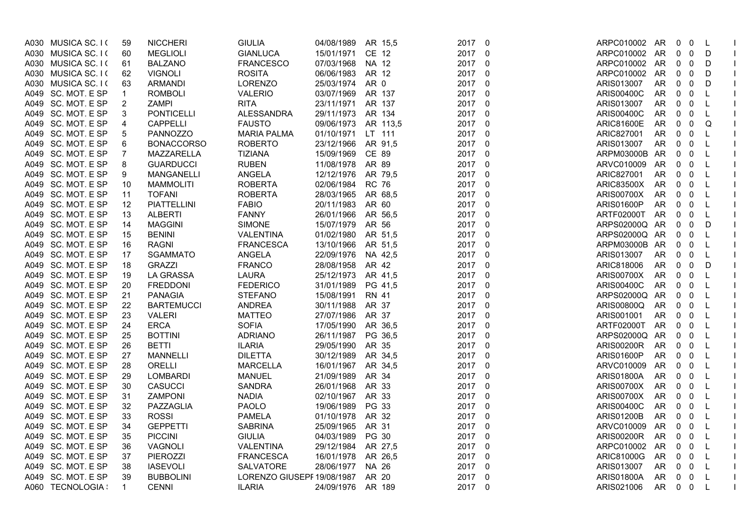| A030 MUSICA SC. I ( | 59             | <b>NICCHERI</b>    | <b>GIULIA</b>              | 04/08/1989        | AR 15,5      | 2017 0 |                         | ARPC010002 AR     |            | 0            | 0                       | L            |              |
|---------------------|----------------|--------------------|----------------------------|-------------------|--------------|--------|-------------------------|-------------------|------------|--------------|-------------------------|--------------|--------------|
| A030 MUSICA SC. I ( | 60             | <b>MEGLIOLI</b>    | <b>GIANLUCA</b>            | 15/01/1971        | CE 12        | 2017   | $\mathbf 0$             | ARPC010002 AR     |            | $\mathbf 0$  | 0                       | D            |              |
| A030 MUSICA SC. I ( | 61             | <b>BALZANO</b>     | <b>FRANCESCO</b>           | 07/03/1968        | NA 12        | 2017 0 |                         | ARPC010002        | AR         | $\mathbf 0$  | 0                       | D            |              |
| A030 MUSICA SC. I ( | 62             | <b>VIGNOLI</b>     | <b>ROSITA</b>              | 06/06/1983        | AR 12        | 2017 0 |                         | ARPC010002        | AR         | $\mathbf 0$  | $\mathbf 0$             | D            | $\mathbf{L}$ |
| A030 MUSICA SC. I ( | 63             | <b>ARMANDI</b>     | LORENZO                    | 25/03/1974        | AR 0         | 2017   | $\overline{0}$          | ARIS013007        | AR         | $0\quad 0$   |                         | D            |              |
| A049 SC. MOT. E SP  |                | <b>ROMBOLI</b>     | <b>VALERIO</b>             | 03/07/1969        | AR 137       | 2017 0 |                         | ARIS00400C        | <b>AR</b>  | $0\quad 0$   |                         | L            |              |
| A049 SC. MOT. E SP  | 2              | <b>ZAMPI</b>       | <b>RITA</b>                | 23/11/1971        | AR 137       | 2017   | $\overline{0}$          | ARIS013007        | AR         | $\mathbf{0}$ | $\overline{0}$          | $\mathsf{L}$ |              |
| A049 SC. MOT. E SP  | 3              | <b>PONTICELLI</b>  | <b>ALESSANDRA</b>          | 29/11/1973        | AR 134       | 2017 0 |                         | <b>ARIS00400C</b> | AR         | $\mathbf 0$  | 0                       | L            |              |
| A049 SC. MOT. E SP  | 4              | <b>CAPPELLI</b>    | <b>FAUSTO</b>              | 09/06/1973        | AR 113,5     | 2017   | $\overline{0}$          | ARIC81600E        | <b>AR</b>  | 0            | $\overline{0}$          | Q            |              |
| A049 SC. MOT. E SP  | 5              | <b>PANNOZZO</b>    | <b>MARIA PALMA</b>         | 01/10/1971        | LT 111       | 2017   | $\mathbf 0$             | ARIC827001        | <b>AR</b>  | $0\quad 0$   |                         | L            | $\perp$      |
| A049 SC. MOT. E SP  | 6              | <b>BONACCORSO</b>  | <b>ROBERTO</b>             | 23/12/1966        | AR 91,5      | 2017 0 |                         | ARIS013007        | AR         | $\mathbf 0$  | 0                       | L            |              |
| A049 SC. MOT. E SP  | $\overline{7}$ | MAZZARELLA         | <b>TIZIANA</b>             | 15/09/1969        | CE 89        | 2017   | $\overline{0}$          | ARPM03000B        | AR         | $\mathbf{0}$ | $\overline{\mathbf{0}}$ | L            |              |
| A049 SC. MOT. E SP  | 8              | <b>GUARDUCCI</b>   | <b>RUBEN</b>               | 11/08/1978        | AR 89        | 2017   | $\mathbf 0$             | ARVC010009 AR     |            | $0\quad 0$   |                         | L            |              |
| A049 SC. MOT. E SP  | 9              | <b>MANGANELLI</b>  | ANGELA                     | 12/12/1976        | AR 79.5      | 2017 0 |                         | ARIC827001        | <b>AR</b>  | $\mathbf{0}$ | 0                       | L            |              |
| A049 SC. MOT. E SP  | 10             | <b>MAMMOLITI</b>   | <b>ROBERTA</b>             | 02/06/1984        | <b>RC 76</b> | 2017 0 |                         | <b>ARIC83500X</b> | AR         | $\mathbf{0}$ | $\mathbf 0$             | L            |              |
| A049 SC. MOT. E SP  | 11             | <b>TOFANI</b>      | <b>ROBERTA</b>             | 28/03/1965        | AR 68,5      | 2017   | $\overline{0}$          | <b>ARIS00700X</b> | <b>AR</b>  | $0\quad 0$   |                         | L            |              |
| A049 SC. MOT. E SP  | 12             | <b>PIATTELLINI</b> | <b>FABIO</b>               | 20/11/1983        | AR 60        | 2017 0 |                         | ARIS01600P        | AR         | $\mathbf{0}$ | 0                       | L            |              |
| A049 SC. MOT. E SP  | 13             | <b>ALBERTI</b>     | <b>FANNY</b>               | 26/01/1966        | AR 56,5      | 2017 0 |                         | ARTF02000T        | AR         | $0\quad 0$   |                         | L            |              |
| A049 SC. MOT. E SP  | 14             | <b>MAGGINI</b>     | SIMONE                     | 15/07/1979        | AR 56        | 2017 0 |                         | ARPS02000Q AR     |            | $0\quad 0$   |                         | D            |              |
| A049 SC. MOT. E SP  | 15             | <b>BENINI</b>      | VALENTINA                  | 01/02/1980        | AR 51,5      | 2017   | $\overline{\mathbf{0}}$ | ARPS02000Q AR     |            | $\mathbf{0}$ | $\mathbf 0$             | L            |              |
| A049 SC. MOT. E SP  | 16             | RAGNI              | <b>FRANCESCA</b>           | 13/10/1966        | AR 51,5      | 2017 0 |                         | ARPM03000B AR     |            | $\mathbf{0}$ | $\mathbf 0$             | L            |              |
| A049 SC. MOT. E SP  | 17             | <b>SGAMMATO</b>    | ANGELA                     | 22/09/1976        | NA 42,5      | 2017   | $\overline{0}$          | ARIS013007        | AR.        | $0\quad 0$   |                         | L            |              |
| A049 SC. MOT. E SP  | 18             | <b>GRAZZI</b>      | <b>FRANCO</b>              | 28/08/1958        | AR 42        | 2017 0 |                         | ARIC818006        | ${\sf AR}$ | $0\quad 0$   |                         | D            |              |
| A049 SC. MOT. E SP  | 19             | LA GRASSA          | <b>LAURA</b>               | 25/12/1973        | AR 41,5      | 2017 0 |                         | <b>ARIS00700X</b> | AR         | 0            | 0                       | L            |              |
| A049 SC. MOT. E SP  | 20             | <b>FREDDONI</b>    | <b>FEDERICO</b>            | 31/01/1989        | PG 41,5      | 2017   | $\overline{0}$          | <b>ARIS00400C</b> | <b>AR</b>  | $0\quad 0$   |                         | L            |              |
| A049 SC. MOT. E SP  | 21             | <b>PANAGIA</b>     | <b>STEFANO</b>             | 15/08/1991        | <b>RN 41</b> | 2017 0 |                         | ARPS02000Q        | AR         | $\mathbf 0$  | $\overline{\mathbf{0}}$ | L            |              |
| A049 SC. MOT. E SP  | 22             | <b>BARTEMUCCI</b>  | ANDREA                     | 30/11/1988        | AR 37        | 2017   | $\overline{0}$          | ARIS00800Q        | AR         | 0            | 0                       | L            | $\mathbf{I}$ |
| A049 SC. MOT. E SP  | 23             | <b>VALERI</b>      | <b>MATTEO</b>              | 27/07/1986        | AR 37        | 2017 0 |                         | ARIS001001        | AR         | $0\quad 0$   |                         | L            |              |
| A049 SC. MOT. E SP  | 24             | <b>ERCA</b>        | <b>SOFIA</b>               | 17/05/1990        | AR 36.5      | 2017 0 |                         | ARTF02000T        | AR         | $0\quad 0$   |                         | L            |              |
| A049 SC. MOT. E SP  | 25             | <b>BOTTINI</b>     | <b>ADRIANO</b>             | 26/11/1987        | PG 36,5      | 2017   | $\mathbf 0$             | ARPS02000Q AR     |            | 0            | $\mathbf 0$             | L            | $\mathbf{I}$ |
| A049 SC. MOT. E SP  | 26             | BETTI              | <b>ILARIA</b>              | 29/05/1990        | AR 35        | 2017 0 |                         | ARIS00200R        | AR.        | $\mathbf{0}$ | 0                       | $\mathsf{L}$ |              |
| A049 SC. MOT. E SP  | 27             | <b>MANNELLI</b>    | <b>DILETTA</b>             | 30/12/1989        | AR 34,5      | 2017   | $\mathbf 0$             | ARIS01600P        | AR         | $\mathbf 0$  | $\overline{\mathbf{0}}$ | L            |              |
| A049 SC. MOT. E SP  | 28             | ORELLI             | <b>MARCELLA</b>            | 16/01/1967        | AR 34,5      | 2017   | $\mathbf 0$             | ARVC010009        | <b>AR</b>  | $0\quad 0$   |                         | L            |              |
| A049 SC. MOT. E SP  | 29             | <b>LOMBARDI</b>    | <b>MANUEL</b>              | 21/09/1989        | AR 34        | 2017 0 |                         | <b>ARIS01800A</b> | AR         | $\mathbf 0$  | $\mathbf 0$             | L.           |              |
| A049 SC. MOT. E SP  | 30             | <b>CASUCCI</b>     | <b>SANDRA</b>              | 26/01/1968        | AR 33        | 2017   | $\overline{0}$          | <b>ARIS00700X</b> | AR         | $\mathbf{0}$ | $\overline{\mathbf{0}}$ | L            |              |
| A049 SC. MOT. E SP  | 31             | <b>ZAMPONI</b>     | <b>NADIA</b>               | 02/10/1967        | AR 33        | 2017   | $\mathbf 0$             | <b>ARIS00700X</b> | AR         | $0\quad 0$   |                         | L            |              |
| A049 SC. MOT. E SP  | 32             | PAZZAGLIA          | <b>PAOLO</b>               | 19/06/1989        | PG 33        | 2017 0 |                         | <b>ARIS00400C</b> | AR         | $\mathbf{0}$ | 0                       | L            |              |
| A049 SC. MOT. E SP  | 33             | <b>ROSSI</b>       | <b>PAMELA</b>              | 01/10/1978        | AR 32        | 2017 0 |                         | <b>ARIS01200B</b> | AR         | $\mathbf{0}$ | 0                       | L            |              |
| A049 SC. MOT. E SP  | 34             | <b>GEPPETTI</b>    | <b>SABRINA</b>             | 25/09/1965        | AR 31        | 2017   | $\mathbf 0$             | ARVC010009        | <b>AR</b>  | $0\quad 0$   |                         | L            |              |
| A049 SC. MOT. E SP  | 35             | <b>PICCINI</b>     | <b>GIULIA</b>              | 04/03/1989        | PG 30        | 2017 0 |                         | <b>ARIS00200R</b> | <b>AR</b>  | $\mathbf{0}$ | $\mathbf 0$             | L.           |              |
| A049 SC. MOT. E SP  | 36             | <b>VAGNOLI</b>     | VALENTINA                  | 29/12/1984        | AR 27,5      | 2017 0 |                         | ARPC010002        | AR         | $\mathbf{0}$ | $\overline{0}$          | L            |              |
| A049 SC. MOT. E SP  | 37             | <b>PIEROZZI</b>    | <b>FRANCESCA</b>           | 16/01/1978        | AR 26,5      | 2017   | $\overline{0}$          | ARIC81000G        | <b>AR</b>  | $0\quad 0$   |                         | L            |              |
| A049 SC. MOT. E SP  | 38             | <b>IASEVOLI</b>    | <b>SALVATORE</b>           | 28/06/1977        | NA 26        | 2017 0 |                         | ARIS013007        | AR         | $\mathbf 0$  | $\overline{\mathbf{0}}$ | L            |              |
| A049 SC. MOT. E SP  | 39             | <b>BUBBOLINI</b>   | LORENZO GIUSEPF 19/08/1987 |                   | AR 20        | 2017 0 |                         | <b>ARIS01800A</b> | AR         | 0            | 0                       | L            |              |
| A060 TECNOLOGIA :   | $\mathbf 1$    | <b>CENNI</b>       | <b>ILARIA</b>              | 24/09/1976 AR 189 |              | 2017 0 |                         | ARIS021006        | AR 0 0     |              |                         | L.           |              |
|                     |                |                    |                            |                   |              |        |                         |                   |            |              |                         |              |              |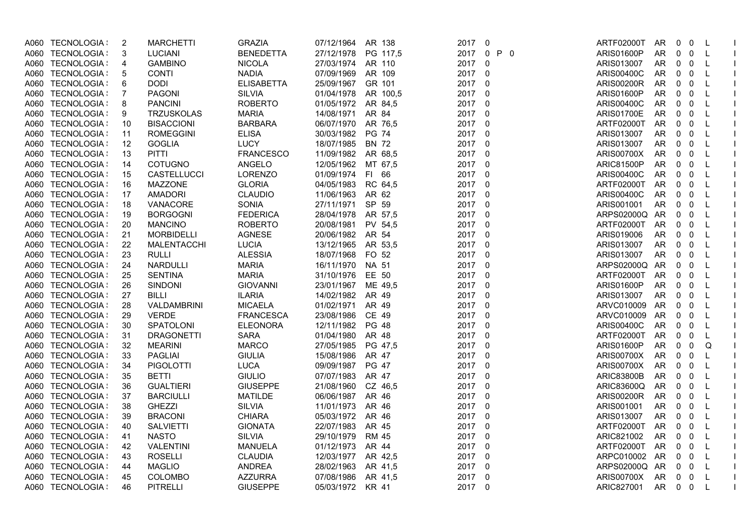|      | A060 TECNOLOGIA :  | $\overline{2}$ | <b>MARCHETTI</b>   | <b>GRAZIA</b>     | 07/12/1964       | AR 138       | 2017 0 |                         | ARTF02000T        | AR        | $\mathbf 0$  | 0                       | L            |  |
|------|--------------------|----------------|--------------------|-------------------|------------------|--------------|--------|-------------------------|-------------------|-----------|--------------|-------------------------|--------------|--|
| A060 | TECNOLOGIA:        | 3              | <b>LUCIANI</b>     | <b>BENEDETTA</b>  | 27/12/1978       | PG 117,5     |        | 2017 0 P 0              | <b>ARIS01600P</b> | AR        | $0\quad 0$   |                         | L            |  |
| A060 | <b>TECNOLOGIA:</b> | 4              | <b>GAMBINO</b>     | <b>NICOLA</b>     | 27/03/1974       | AR 110       | 2017 0 |                         | ARIS013007        | AR        | $0\quad 0$   |                         | L            |  |
| A060 | <b>TECNOLOGIA:</b> | 5              | <b>CONTI</b>       | <b>NADIA</b>      | 07/09/1969       | AR 109       | 2017 0 |                         | ARIS00400C        | AR        | $\mathbf 0$  | $\overline{\mathbf{0}}$ | L            |  |
|      | A060 TECNOLOGIA :  | 6              | <b>DODI</b>        | <b>ELISABETTA</b> | 25/09/1967       | GR 101       | 2017   | - 0                     | <b>ARIS00200R</b> | AR.       | $0\quad 0$   |                         | L            |  |
| A060 | <b>TECNOLOGIA:</b> | 7              | <b>PAGONI</b>      | <b>SILVIA</b>     | 01/04/1978       | AR 100,5     | 2017 0 |                         | ARIS01600P        | AR        | $0\quad 0$   |                         | L            |  |
| A060 | <b>TECNOLOGIA:</b> | 8              | <b>PANCINI</b>     | <b>ROBERTO</b>    | 01/05/1972       | AR 84,5      | 2017   | $\overline{\mathbf{0}}$ | ARIS00400C        | AR        | $0\quad 0$   |                         | L            |  |
| A060 | TECNOLOGIA:        | 9              | <b>TRZUSKOLAS</b>  | <b>MARIA</b>      | 14/08/1971       | AR 84        | 2017   | - 0                     | <b>ARIS01700E</b> | AR        | $\mathbf{0}$ | 0                       | -L           |  |
| A060 | <b>TECNOLOGIA:</b> | 10             | <b>BISACCIONI</b>  | <b>BARBARA</b>    | 06/07/1970       | AR 76.5      | 2017   | - 0                     | ARTF02000T        | AR.       | $0\quad 0$   |                         | L            |  |
| A060 | <b>TECNOLOGIA:</b> | 11             | <b>ROMEGGINI</b>   | <b>ELISA</b>      | 30/03/1982       | PG 74        | 2017   | $\overline{0}$          | ARIS013007        | AR        | $0\quad 0$   |                         | L            |  |
|      | A060 TECNOLOGIA :  | 12             | <b>GOGLIA</b>      | LUCY              | 18/07/1985       | BN 72        | 2017 0 |                         | ARIS013007        | AR        | $0\quad 0$   |                         | L            |  |
| A060 | <b>TECNOLOGIA:</b> | 13             | <b>PITTI</b>       | <b>FRANCESCO</b>  | 11/09/1982       | AR 68,5      | 2017   | 0                       | <b>ARIS00700X</b> | AR.       | $0\quad 0$   |                         | L            |  |
| A060 | <b>TECNOLOGIA:</b> | 14             | <b>COTUGNO</b>     | ANGELO            | 12/05/1962       | MT 67,5      | 2017   | $\overline{\mathbf{0}}$ | <b>ARIC81500P</b> | AR        | $0\quad 0$   |                         | L            |  |
|      | A060 TECNOLOGIA :  | 15             | CASTELLUCCI        | <b>LORENZO</b>    | 01/09/1974       | FI 66        | 2017 0 |                         | ARIS00400C        | AR        | $\mathbf{0}$ | - 0                     | L            |  |
| A060 | <b>TECNOLOGIA:</b> | 16             | <b>MAZZONE</b>     | <b>GLORIA</b>     | 04/05/1983       | RC 64,5      | 2017   | - 0                     | <b>ARTF02000T</b> | AR.       | $0\quad 0$   |                         | L            |  |
| A060 | <b>TECNOLOGIA:</b> | 17             | <b>AMADORI</b>     | <b>CLAUDIO</b>    | 11/06/1963       | AR 62        | 2017   | $\overline{\mathbf{0}}$ | ARIS00400C        | AR        | $0\quad 0$   |                         | L            |  |
|      | A060 TECNOLOGIA :  | 18             | VANACORE           | <b>SONIA</b>      | 27/11/1971       | SP 59        | 2017 0 |                         | ARIS001001        | AR        | $\mathbf{0}$ | - 0                     | L            |  |
|      | A060 TECNOLOGIA :  | 19             | <b>BORGOGNI</b>    | <b>FEDERICA</b>   | 28/04/1978       | AR 57.5      | 2017   | - 0                     | ARPS02000Q AR     |           | 0            | $\overline{0}$          | L            |  |
| A060 | <b>TECNOLOGIA:</b> | 20             | <b>MANCINO</b>     | <b>ROBERTO</b>    | 20/08/1981       | PV 54,5      | 2017 0 |                         | ARTF02000T        | AR.       | $0\quad 0$   |                         | L            |  |
|      | A060 TECNOLOGIA :  | 21             | <b>MORBIDELLI</b>  | AGNESE            | 20/06/1982       | AR 54        | 2017 0 |                         | ARIS019006        | AR        | $0\quad 0$   |                         | L            |  |
| A060 | <b>TECNOLOGIA:</b> | 22             | <b>MALENTACCHI</b> | <b>LUCIA</b>      | 13/12/1965       | AR 53.5      | 2017   | - 0                     | ARIS013007        | AR        | $0\quad 0$   |                         | L            |  |
|      | A060 TECNOLOGIA :  | 23             | <b>RULLI</b>       | <b>ALESSIA</b>    | 18/07/1968       | FO 52        | 2017   | 0                       | ARIS013007        | AR        | $0\quad 0$   |                         | L            |  |
|      | A060 TECNOLOGIA :  | 24             | <b>NARDULLI</b>    | <b>MARIA</b>      | 16/11/1970       | NA 51        | 2017 0 |                         | ARPS02000Q AR     |           | $0\quad 0$   |                         | L            |  |
| A060 | <b>TECNOLOGIA:</b> | 25             | <b>SENTINA</b>     | <b>MARIA</b>      | 31/10/1976       | EE 50        | 2017 0 |                         | ARTF02000T        | AR.       | $\mathbf{0}$ | $\overline{0}$          | L            |  |
|      | A060 TECNOLOGIA :  | 26             | <b>SINDONI</b>     | <b>GIOVANNI</b>   | 23/01/1967       | ME 49,5      | 2017   | - 0                     | ARIS01600P        | AR.       | $0\quad 0$   |                         | L            |  |
| A060 | <b>TECNOLOGIA:</b> | 27             | <b>BILLI</b>       | <b>ILARIA</b>     | 14/02/1982       | AR 49        | 2017 0 |                         | ARIS013007        | <b>AR</b> | $0\quad 0$   |                         | L            |  |
| A060 | <b>TECNOLOGIA:</b> | 28             | VALDAMBRINI        | <b>MICAELA</b>    | 01/02/1971       | AR 49        | 2017   | 0                       | ARVC010009        | AR        | $0\quad 0$   |                         | L            |  |
| A060 | <b>TECNOLOGIA:</b> | 29             | <b>VERDE</b>       | <b>FRANCESCA</b>  | 23/08/1986       | CE 49        | 2017   | - 0                     | ARVC010009        | AR        | $0\quad 0$   |                         | L            |  |
| A060 | <b>TECNOLOGIA:</b> | 30             | <b>SPATOLONI</b>   | <b>ELEONORA</b>   | 12/11/1982       | PG 48        | 2017   | $\overline{\mathbf{0}}$ | ARIS00400C        | AR        | $0\quad 0$   |                         | L            |  |
| A060 | TECNOLOGIA:        | 31             | <b>DRAGONETTI</b>  | <b>SARA</b>       | 01/04/1980       | AR 48        | 2017   | 0                       | ARTF02000T        | AR        | $0\quad 0$   |                         | L            |  |
|      | A060 TECNOLOGIA :  | 32             | <b>MEARINI</b>     | <b>MARCO</b>      | 27/05/1985       | PG 47,5      | 2017 0 |                         | ARIS01600P        | AR.       | 0            | 0                       | Q            |  |
| A060 | <b>TECNOLOGIA:</b> | 33             | <b>PAGLIAI</b>     | <b>GIULIA</b>     | 15/08/1986       | AR 47        | 2017   | $\overline{\mathbf{0}}$ | <b>ARIS00700X</b> | AR.       | $0\quad 0$   |                         | L            |  |
| A060 | <b>TECNOLOGIA:</b> | 34             | <b>PIGOLOTTI</b>   | <b>LUCA</b>       | 09/09/1987       | <b>PG 47</b> | 2017   | - 0                     | <b>ARIS00700X</b> | AR.       | $0\quad 0$   |                         | L            |  |
|      | A060 TECNOLOGIA :  | 35             | <b>BETTI</b>       | <b>GIULIO</b>     | 07/07/1983       | AR 47        | 2017   | - 0                     | <b>ARIC83800B</b> | AR        | $0\quad 0$   |                         | L            |  |
| A060 | <b>TECNOLOGIA:</b> | 36             | <b>GUALTIERI</b>   | <b>GIUSEPPE</b>   | 21/08/1960       | CZ 46,5      | 2017   | $\overline{\mathbf{0}}$ | ARIC83600Q        | AR        | $0\quad 0$   |                         | L            |  |
| A060 | <b>TECNOLOGIA:</b> | 37             | <b>BARCIULLI</b>   | <b>MATILDE</b>    | 06/06/1987       | AR 46        | 2017   | - 0                     | <b>ARIS00200R</b> | AR        | $0\quad 0$   |                         | L            |  |
|      | A060 TECNOLOGIA :  | 38             | <b>GHEZZI</b>      | <b>SILVIA</b>     | 11/01/1973       | AR 46        | 2017 0 |                         | ARIS001001        | AR        | 0            | - 0                     | L            |  |
|      | A060 TECNOLOGIA :  | 39             | <b>BRACONI</b>     | <b>CHIARA</b>     | 05/03/1972       | AR 46        | 2017   | 0                       | ARIS013007        | AR        | $\mathbf 0$  | $\overline{0}$          | L            |  |
| A060 | <b>TECNOLOGIA:</b> | 40             | <b>SALVIETTI</b>   | <b>GIONATA</b>    | 22/07/1983       | AR 45        | 2017   | - 0                     | ARTF02000T        | AR.       | $0\quad 0$   |                         | L            |  |
|      | A060 TECNOLOGIA :  | 41             | <b>NASTO</b>       | <b>SILVIA</b>     | 29/10/1979       | <b>RM 45</b> | 2017 0 |                         | ARIC821002        | AR        | $0\quad 0$   |                         | L            |  |
| A060 | <b>TECNOLOGIA:</b> | 42             | <b>VALENTINI</b>   | <b>MANUELA</b>    | 01/12/1973       | AR 44        | 2017   | $\overline{\mathbf{0}}$ | ARTF02000T        | AR        | 0            | $\mathbf 0$             | L            |  |
| A060 | <b>TECNOLOGIA:</b> | 43             | <b>ROSELLI</b>     | <b>CLAUDIA</b>    | 12/03/1977       | AR 42,5      | 2017 0 |                         | ARPC010002 AR     |           | $0\quad 0$   |                         | L            |  |
| A060 | <b>TECNOLOGIA:</b> | 44             | <b>MAGLIO</b>      | <b>ANDREA</b>     | 28/02/1963       | AR 41,5      | 2017 0 |                         | ARPS02000Q AR     |           | $0\quad 0$   |                         | L            |  |
| A060 | <b>TECNOLOGIA:</b> | 45             | <b>COLOMBO</b>     | <b>AZZURRA</b>    | 07/08/1986       | AR 41,5      | 2017   | $\overline{\mathbf{0}}$ | ARIS00700X        | AR        | $0\quad 0$   |                         | L            |  |
|      | A060 TECNOLOGIA :  | 46             | <b>PITRELLI</b>    | <b>GIUSEPPE</b>   | 05/03/1972 KR 41 |              | 2017 0 |                         | ARIC827001        | AR        | $0\quad 0$   |                         | $\mathsf{L}$ |  |
|      |                    |                |                    |                   |                  |              |        |                         |                   |           |              |                         |              |  |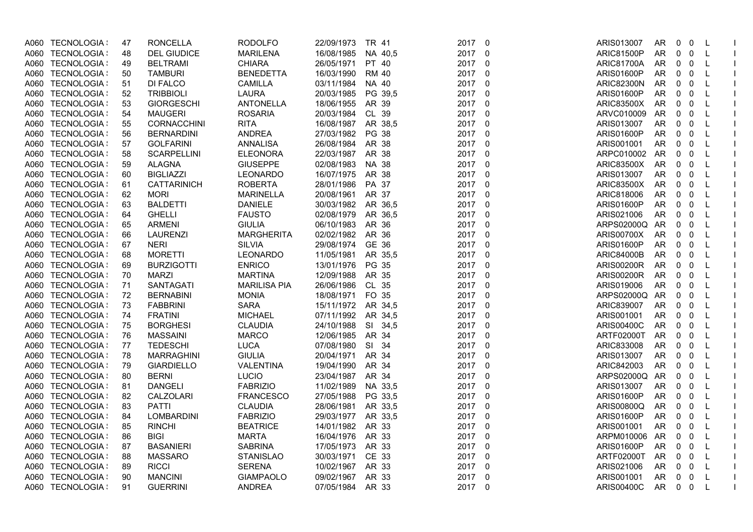|      | A060 TECNOLOGIA:   | 47 | <b>RONCELLA</b>    | <b>RODOLFO</b>      | 22/09/1973       | TR 41        | 2017 0 |                         | ARIS013007        | AR        | $\mathbf 0$  | 0                        | L            |  |
|------|--------------------|----|--------------------|---------------------|------------------|--------------|--------|-------------------------|-------------------|-----------|--------------|--------------------------|--------------|--|
| A060 | <b>TECNOLOGIA:</b> | 48 | <b>DEL GIUDICE</b> | <b>MARILENA</b>     | 16/08/1985       | NA 40,5      | 2017   | 0                       | <b>ARIC81500P</b> | AR        | $0\quad 0$   |                          | L            |  |
| A060 | <b>TECNOLOGIA:</b> | 49 | <b>BELTRAMI</b>    | <b>CHIARA</b>       | 26/05/1971       | PT 40        | 2017 0 |                         | <b>ARIC81700A</b> | AR        | $0\quad 0$   |                          | L            |  |
| A060 | <b>TECNOLOGIA:</b> | 50 | <b>TAMBURI</b>     | <b>BENEDETTA</b>    | 16/03/1990       | <b>RM 40</b> | 2017   | $\overline{\mathbf{0}}$ | <b>ARIS01600P</b> | AR        | $\mathbf 0$  | $\overline{\mathbf{0}}$  | L            |  |
|      | A060 TECNOLOGIA :  | 51 | DI FALCO           | <b>CAMILLA</b>      | 03/11/1984       | NA 40        | 2017   | - 0                     | <b>ARIC82300N</b> | AR.       | $0\quad 0$   |                          | L            |  |
| A060 | <b>TECNOLOGIA:</b> | 52 | <b>TRIBBIOLI</b>   | <b>LAURA</b>        | 20/03/1985       | PG 39.5      | 2017 0 |                         | ARIS01600P        | AR        | $0\quad 0$   |                          | L            |  |
| A060 | <b>TECNOLOGIA:</b> | 53 | <b>GIORGESCHI</b>  | <b>ANTONELLA</b>    | 18/06/1955       | AR 39        | 2017   | $\overline{\mathbf{0}}$ | <b>ARIC83500X</b> | AR        | $0\quad 0$   |                          | L            |  |
| A060 | <b>TECNOLOGIA:</b> | 54 | <b>MAUGERI</b>     | <b>ROSARIA</b>      | 20/03/1984       | CL 39        | 2017   | - 0                     | ARVC010009        | AR        | 0            | 0                        | L            |  |
| A060 | <b>TECNOLOGIA:</b> | 55 | CORNACCHINI        | <b>RITA</b>         | 16/08/1987       | AR 38.5      | 2017   | - 0                     | ARIS013007        | AR        | $0\quad 0$   |                          | L            |  |
| A060 | <b>TECNOLOGIA:</b> | 56 | <b>BERNARDINI</b>  | <b>ANDREA</b>       | 27/03/1982       | PG 38        | 2017   | $\overline{0}$          | <b>ARIS01600P</b> | AR        | $0\quad 0$   |                          | L            |  |
|      | A060 TECNOLOGIA :  | 57 | <b>GOLFARINI</b>   | ANNALISA            | 26/08/1984       | AR 38        | 2017   | - 0                     | ARIS001001        | AR.       | $0\quad 0$   |                          | L            |  |
| A060 | <b>TECNOLOGIA:</b> | 58 | <b>SCARPELLINI</b> | <b>ELEONORA</b>     | 22/03/1987       | AR 38        | 2017   | 0                       | ARPC010002        | AR        | $0\quad 0$   |                          | L            |  |
| A060 | <b>TECNOLOGIA:</b> | 59 | <b>ALAGNA</b>      | <b>GIUSEPPE</b>     | 02/08/1983       | NA 38        | 2017   | $\overline{\mathbf{0}}$ | <b>ARIC83500X</b> | AR        | $0\quad 0$   |                          | L            |  |
|      | A060 TECNOLOGIA :  | 60 | <b>BIGLIAZZI</b>   | <b>LEONARDO</b>     | 16/07/1975       | AR 38        | 2017 0 |                         | ARIS013007        | AR        | 0            | - 0                      | L            |  |
| A060 | <b>TECNOLOGIA:</b> | 61 | CATTARINICH        | <b>ROBERTA</b>      | 28/01/1986       | PA 37        | 2017   | - 0                     | <b>ARIC83500X</b> | AR.       | $0\quad 0$   |                          | L            |  |
| A060 | <b>TECNOLOGIA:</b> | 62 | <b>MORI</b>        | <b>MARINELLA</b>    | 20/08/1961       | AR 37        | 2017   | $\overline{\mathbf{0}}$ | ARIC818006        | AR        | $0\quad 0$   |                          | L            |  |
|      | A060 TECNOLOGIA :  | 63 | <b>BALDETTI</b>    | <b>DANIELE</b>      | 30/03/1982       | AR 36,5      | 2017 0 |                         | <b>ARIS01600P</b> | AR        | $\mathbf 0$  | 0                        | L            |  |
| A060 | <b>TECNOLOGIA:</b> | 64 | <b>GHELLI</b>      | <b>FAUSTO</b>       | 02/08/1979       | AR 36.5      | 2017   | - 0                     | ARIS021006        | AR.       | 0            | $\overline{0}$           | L            |  |
| A060 | TECNOLOGIA:        | 65 | <b>ARMENI</b>      | <b>GIULIA</b>       | 06/10/1983       | AR 36        | 2017   | $\overline{\mathbf{0}}$ | ARPS02000Q AR     |           | $0\quad 0$   |                          | L            |  |
|      | A060 TECNOLOGIA :  | 66 | <b>LAURENZI</b>    | <b>MARGHERITA</b>   | 02/02/1982       | AR 36        | 2017 0 |                         | <b>ARIS00700X</b> | AR        | $\mathbf 0$  | $\overline{\mathbf{0}}$  | L            |  |
| A060 | <b>TECNOLOGIA:</b> | 67 | <b>NERI</b>        | SILVIA              | 29/08/1974       | GE 36        | 2017   | - 0                     | ARIS01600P        | AR        | $\mathbf{0}$ | 0                        | L            |  |
|      | A060 TECNOLOGIA :  | 68 | <b>MORETTI</b>     | <b>LEONARDO</b>     | 11/05/1981       | AR 35,5      | 2017   | 0                       | <b>ARIC84000B</b> | AR.       | $0\quad 0$   |                          | L            |  |
| A060 | <b>TECNOLOGIA:</b> | 69 | <b>BURZIGOTTI</b>  | <b>ENRICO</b>       | 13/01/1976       | PG 35        | 2017   | - 0                     | <b>ARIS00200R</b> | AR        | $0\quad 0$   |                          | L            |  |
| A060 | <b>TECNOLOGIA:</b> | 70 | <b>MARZI</b>       | <b>MARTINA</b>      | 12/09/1988       | AR 35        | 2017   | - 0                     | <b>ARIS00200R</b> | AR.       | 0            | 0                        | L            |  |
|      | A060 TECNOLOGIA :  | 71 | <b>SANTAGATI</b>   | <b>MARILISA PIA</b> | 26/06/1986       | CL 35        | 2017   | - 0                     | ARIS019006        | AR.       | $0\quad 0$   |                          | L            |  |
| A060 | <b>TECNOLOGIA:</b> | 72 | <b>BERNABINI</b>   | <b>MONIA</b>        | 18/08/1971       | FO 35        | 2017   | - 0                     | ARPS02000Q AR     |           | $\mathbf 0$  | - 0                      | L            |  |
| A060 | <b>TECNOLOGIA:</b> | 73 | <b>FABBRINI</b>    | <b>SARA</b>         | 15/11/1972       | AR 34,5      | 2017   | 0                       | ARIC839007        | AR.       | $0\quad 0$   |                          | L            |  |
| A060 | <b>TECNOLOGIA:</b> | 74 | <b>FRATINI</b>     | <b>MICHAEL</b>      | 07/11/1992       | AR 34,5      | 2017   | - 0                     | ARIS001001        | AR.       | $0\quad 0$   |                          | L            |  |
| A060 | <b>TECNOLOGIA:</b> | 75 | <b>BORGHESI</b>    | <b>CLAUDIA</b>      | 24/10/1988       | SI 34,5      | 2017   | $\overline{\mathbf{0}}$ | ARIS00400C        | AR        | $0\quad 0$   |                          | L            |  |
| A060 | <b>TECNOLOGIA:</b> | 76 | <b>MASSAINI</b>    | <b>MARCO</b>        | 12/06/1985       | AR 34        | 2017   | - 0                     | <b>ARTF02000T</b> | <b>AR</b> | 0            | $\overline{\phantom{0}}$ | L            |  |
|      | A060 TECNOLOGIA :  | 77 | <b>TEDESCHI</b>    | <b>LUCA</b>         | 07/08/1980       | SI 34        | 2017 0 |                         | ARIC833008        | AR.       | 0            | 0                        | L            |  |
| A060 | <b>TECNOLOGIA:</b> | 78 | <b>MARRAGHINI</b>  | <b>GIULIA</b>       | 20/04/1971       | AR 34        | 2017   | $\overline{\mathbf{0}}$ | ARIS013007        | AR        | $0\quad 0$   |                          | L            |  |
| A060 | <b>TECNOLOGIA:</b> | 79 | <b>GIARDIELLO</b>  | VALENTINA           | 19/04/1990       | AR 34        | 2017   | - 0                     | ARIC842003        | AR        | $0\quad 0$   |                          | L            |  |
|      | A060 TECNOLOGIA :  | 80 | <b>BERNI</b>       | LUCIO               | 23/04/1987       | AR 34        | 2017   | - 0                     | ARPS02000Q AR     |           | $0\quad 0$   |                          | L            |  |
| A060 | <b>TECNOLOGIA:</b> | 81 | <b>DANGELI</b>     | <b>FABRIZIO</b>     | 11/02/1989       | NA 33,5      | 2017   | $\overline{\mathbf{0}}$ | ARIS013007        | AR        | $0\quad 0$   |                          | L            |  |
| A060 | <b>TECNOLOGIA:</b> | 82 | <b>CALZOLARI</b>   | <b>FRANCESCO</b>    | 27/05/1988       | PG 33.5      | 2017   | - 0                     | <b>ARIS01600P</b> | AR        | $0\quad 0$   |                          | L            |  |
|      | A060 TECNOLOGIA :  | 83 | <b>PATTI</b>       | <b>CLAUDIA</b>      | 28/06/1981       | AR 33.5      | 2017 0 |                         | ARIS00800Q        | AR        | 0            | 0                        | L            |  |
| A060 | TECNOLOGIA:        | 84 | LOMBARDINI         | <b>FABRIZIO</b>     | 29/03/1977       | AR 33,5      | 2017   | 0                       | <b>ARIS01600P</b> | AR        | 0            | $\overline{0}$           | L            |  |
| A060 | <b>TECNOLOGIA:</b> | 85 | <b>RINCHI</b>      | <b>BEATRICE</b>     | 14/01/1982       | AR 33        | 2017   | - 0                     | ARIS001001        | AR.       | $0\quad 0$   |                          | L            |  |
|      | A060 TECNOLOGIA :  | 86 | <b>BIGI</b>        | <b>MARTA</b>        | 16/04/1976       | AR 33        | 2017 0 |                         | ARPM010006        | AR        | $\mathbf{0}$ | - 0                      | L            |  |
| A060 | <b>TECNOLOGIA:</b> | 87 | <b>BASANIERI</b>   | <b>SABRINA</b>      | 17/05/1973       | AR 33        | 2017   | $\overline{\mathbf{0}}$ | <b>ARIS01600P</b> | AR        | 0            | 0                        | L            |  |
| A060 | <b>TECNOLOGIA:</b> | 88 | <b>MASSARO</b>     | <b>STANISLAO</b>    | 30/03/1971       | CE 33        | 2017   | 0                       | ARTF02000T        | AR        | $0\quad 0$   |                          | L            |  |
| A060 | <b>TECNOLOGIA:</b> | 89 | <b>RICCI</b>       | <b>SERENA</b>       | 10/02/1967       | AR 33        | 2017 0 |                         | ARIS021006        | AR        | 0            | $\overline{\phantom{0}}$ | L            |  |
| A060 | <b>TECNOLOGIA:</b> | 90 | <b>MANCINI</b>     | <b>GIAMPAOLO</b>    | 09/02/1967       | AR 33        | 2017   | $\overline{\mathbf{0}}$ | ARIS001001        | AR        | 0            | $\overline{0}$           | L            |  |
|      | A060 TECNOLOGIA :  | 91 | <b>GUERRINI</b>    | <b>ANDREA</b>       | 07/05/1984 AR 33 |              | 2017 0 |                         | <b>ARIS00400C</b> | AR        | $0\quad 0$   |                          | $\mathsf{L}$ |  |
|      |                    |    |                    |                     |                  |              |        |                         |                   |           |              |                          |              |  |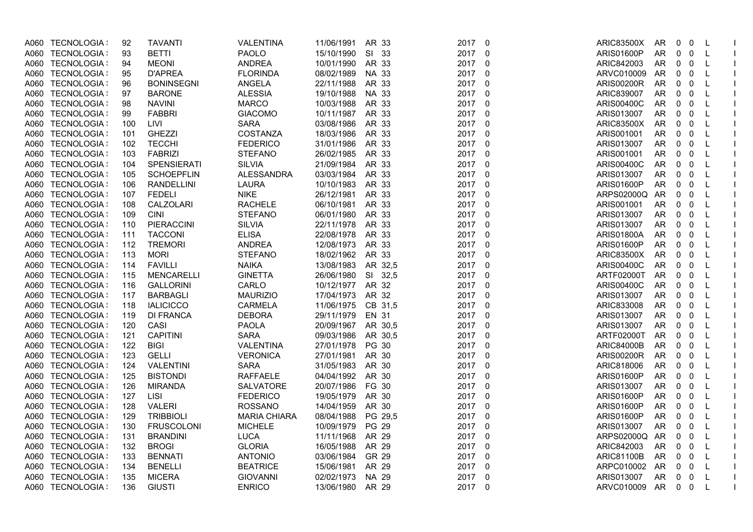|      | A060 TECNOLOGIA :  | 92  | <b>TAVANTI</b>    | <b>VALENTINA</b>    | 11/06/1991       | AR 33        | 2017   | 0           | <b>ARIC83500X</b> | AR        | 0            | 0                       | L            |                |
|------|--------------------|-----|-------------------|---------------------|------------------|--------------|--------|-------------|-------------------|-----------|--------------|-------------------------|--------------|----------------|
| A060 | <b>TECNOLOGIA:</b> | 93  | <b>BETTI</b>      | <b>PAOLO</b>        | 15/10/1990       | SI 33        | 2017   | 0           | <b>ARIS01600P</b> | AR        | 0            | $\mathsf{O}$            | L            |                |
|      | A060 TECNOLOGIA :  | 94  | <b>MEONI</b>      | <b>ANDREA</b>       | 10/01/1990       | AR 33        | 2017   | 0           | ARIC842003        | AR        | 0            | 0                       | L            |                |
| A060 | <b>TECNOLOGIA:</b> | 95  | <b>D'APREA</b>    | <b>FLORINDA</b>     | 08/02/1989       | <b>NA 33</b> | 2017   | 0           | ARVC010009        | AR.       | 0            | 0                       | L            |                |
| A060 | <b>TECNOLOGIA:</b> | 96  | <b>BONINSEGNI</b> | ANGELA              | 22/11/1988       | AR 33        | 2017   | $\mathbf 0$ | <b>ARIS00200R</b> | AR        | 0            | $\mathbf 0$             | L            |                |
|      | A060 TECNOLOGIA :  | 97  | <b>BARONE</b>     | <b>ALESSIA</b>      | 19/10/1988       | NA 33        | 2017   | 0           | ARIC839007        | AR        | 0            | $\mathbf 0$             | L            |                |
| A060 | <b>TECNOLOGIA:</b> | 98  | <b>NAVINI</b>     | <b>MARCO</b>        | 10/03/1988       | AR 33        | 2017   | 0           | ARIS00400C        | AR.       | 0            | 0                       | L            | $\mathbf{I}$   |
|      | A060 TECNOLOGIA :  | 99  | <b>FABBRI</b>     | <b>GIACOMO</b>      | 10/11/1987       | AR 33        | 2017   | 0           | ARIS013007        | AR        | 0            | 0                       | L            |                |
| A060 | <b>TECNOLOGIA:</b> | 100 | LIVI              | SARA                | 03/08/1986       | AR 33        | 2017   | $\Omega$    | <b>ARIC83500X</b> | AR        | 0            | 0                       | L            |                |
| A060 | <b>TECNOLOGIA:</b> | 101 | <b>GHEZZI</b>     | COSTANZA            | 18/03/1986       | AR 33        | 2017   | 0           | ARIS001001        | <b>AR</b> | 0            | $\mathbf 0$             | $\mathsf{L}$ | $\overline{1}$ |
|      | A060 TECNOLOGIA :  | 102 | <b>TECCHI</b>     | <b>FEDERICO</b>     | 31/01/1986       | AR 33        | 2017   | 0           | ARIS013007        | AR        | $\mathbf{0}$ | $\overline{\mathbf{0}}$ | L            |                |
|      | A060 TECNOLOGIA :  | 103 | <b>FABRIZI</b>    | <b>STEFANO</b>      | 26/02/1985       | AR 33        | 2017   | $\mathbf 0$ | ARIS001001        | AR        | 0            | $\mathbf 0$             | L            |                |
|      | A060 TECNOLOGIA :  | 104 | SPENSIERATI       | <b>SILVIA</b>       | 21/09/1984       | AR 33        | 2017   | 0           | <b>ARIS00400C</b> | AR        | 0            | 0                       | L            | $\mathbf{I}$   |
|      | A060 TECNOLOGIA :  | 105 | <b>SCHOEPFLIN</b> | <b>ALESSANDRA</b>   | 03/03/1984       | AR 33        | 2017   | $\Omega$    | ARIS013007        | AR        | 0            | 0                       | L            |                |
| A060 | <b>TECNOLOGIA:</b> | 106 | <b>RANDELLINI</b> | <b>LAURA</b>        | 10/10/1983       | AR 33        | 2017   | 0           | ARIS01600P        | AR        | 0            | 0                       | L            |                |
| A060 | <b>TECNOLOGIA:</b> | 107 | <b>FEDELI</b>     | <b>NIKE</b>         | 26/12/1981       | AR 33        | 2017   | 0           | ARPS02000Q        | AR        | 0            | 0                       | L            | $\mathbf{I}$   |
|      | A060 TECNOLOGIA :  | 108 | CALZOLARI         | <b>RACHELE</b>      | 06/10/1981       | AR 33        | 2017   | 0           | ARIS001001        | AR        | 0            | 0                       | L            |                |
| A060 | <b>TECNOLOGIA:</b> | 109 | <b>CINI</b>       | <b>STEFANO</b>      | 06/01/1980       | AR 33        | 2017   | 0           | ARIS013007        | AR        | 0            | $\mathbf 0$             | L            |                |
| A060 | <b>TECNOLOGIA:</b> | 110 | <b>PIERACCINI</b> | <b>SILVIA</b>       | 22/11/1978       | AR 33        | 2017   | 0           | ARIS013007        | AR        | 0            | 0                       | $\mathsf{L}$ | $\mathbf{I}$   |
|      | A060 TECNOLOGIA :  | 111 | <b>TACCONI</b>    | <b>ELISA</b>        | 22/08/1978       | AR 33        | 2017   | 0           | <b>ARIS01800A</b> | AR        | 0            | 0                       | $\mathsf{L}$ |                |
| A060 | <b>TECNOLOGIA:</b> | 112 | <b>TREMORI</b>    | <b>ANDREA</b>       | 12/08/1973       | AR 33        | 2017   | 0           | ARIS01600P        | AR.       | 0            | 0                       | L            |                |
| A060 | <b>TECNOLOGIA:</b> | 113 | <b>MORI</b>       | <b>STEFANO</b>      | 18/02/1962       | AR 33        | 2017   | 0           | <b>ARIC83500X</b> | AR        | 0            | $\overline{0}$          | L            |                |
|      | A060 TECNOLOGIA :  | 114 | <b>FAVILLI</b>    | <b>NAIKA</b>        | 13/08/1983       | AR 32,5      | 2017   | $\mathbf 0$ | ARIS00400C        | AR        | 0            | 0                       | L            |                |
| A060 | <b>TECNOLOGIA:</b> | 115 | <b>MENCARELLI</b> | <b>GINETTA</b>      | 26/06/1980       | SI 32,5      | 2017   | 0           | <b>ARTF02000T</b> | AR.       | 0            | $\Omega$                | L            |                |
| A060 | <b>TECNOLOGIA:</b> | 116 | <b>GALLORINI</b>  | CARLO               | 10/12/1977       | AR 32        | 2017   | 0           | ARIS00400C        | AR        | 0            | $\overline{0}$          | L            |                |
|      | A060 TECNOLOGIA :  | 117 | <b>BARBAGLI</b>   | <b>MAURIZIO</b>     | 17/04/1973       | AR 32        | 2017   | $\mathbf 0$ | ARIS013007        | AR        | 0            | 0                       | L            |                |
| A060 | <b>TECNOLOGIA:</b> | 118 | <b>IALICICCO</b>  | CARMELA             | 11/06/1975       | CB 31,5      | 2017   | 0           | ARIC833008        | AR.       | 0            | 0                       | $\mathsf{L}$ | $\overline{1}$ |
|      | A060 TECNOLOGIA :  | 119 | <b>DI FRANCA</b>  | <b>DEBORA</b>       | 29/11/1979       | EN 31        | 2017   | 0           | ARIS013007        | AR        | 0            | $\overline{0}$          | L            |                |
| A060 | <b>TECNOLOGIA:</b> | 120 | CASI              | <b>PAOLA</b>        | 20/09/1967       | AR 30.5      | 2017   | 0           | ARIS013007        | AR        | 0            | 0                       | L            |                |
| A060 | <b>TECNOLOGIA:</b> | 121 | <b>CAPITINI</b>   | <b>SARA</b>         | 09/03/1986       | AR 30,5      | 2017   | 0           | <b>ARTF02000T</b> | AR        | 0            | 0                       | L            | $\mathbf{I}$   |
|      | A060 TECNOLOGIA :  | 122 | <b>BIGI</b>       | VALENTINA           | 27/01/1978       | PG 30        | 2017   | $\Omega$    | <b>ARIC84000B</b> | AR.       | 0            | 0                       | $\mathsf{L}$ |                |
| A060 | <b>TECNOLOGIA:</b> | 123 | <b>GELLI</b>      | <b>VERONICA</b>     | 27/01/1981       | AR 30        | 2017   | 0           | <b>ARIS00200R</b> | AR        | 0            | 0                       | L            |                |
| A060 | <b>TECNOLOGIA:</b> | 124 | <b>VALENTINI</b>  | <b>SARA</b>         | 31/05/1983       | AR 30        | 2017   | 0           | ARIC818006        | AR        | 0            | 0                       | L            | $\mathbf{I}$   |
|      | A060 TECNOLOGIA :  | 125 | <b>BISTONDI</b>   | <b>RAFFAELE</b>     | 04/04/1992       | AR 30        | 2017   | 0           | <b>ARIS01600P</b> | AR        | 0            | 0                       | $\mathsf{L}$ |                |
| A060 | <b>TECNOLOGIA:</b> | 126 | <b>MIRANDA</b>    | SALVATORE           | 20/07/1986       | FG 30        | 2017   | 0           | ARIS013007        | AR        | 0            | $\mathbf 0$             | $\mathsf{L}$ |                |
| A060 | <b>TECNOLOGIA:</b> | 127 | LISI              | <b>FEDERICO</b>     | 19/05/1979       | AR 30        | 2017   | 0           | ARIS01600P        | AR        | 0            | 0                       | L            | $\mathbf{I}$   |
|      | A060 TECNOLOGIA :  | 128 | <b>VALERI</b>     | ROSSANO             | 14/04/1959       | AR 30        | 2017   | 0           | <b>ARIS01600P</b> | AR        | 0            | 0                       | L            |                |
|      | A060 TECNOLOGIA :  | 129 | <b>TRIBBIOLI</b>  | <b>MARIA CHIARA</b> | 08/04/1988       | PG 29,5      | 2017   | $\mathbf 0$ | ARIS01600P        | AR.       | 0            | $\Omega$                | $\mathsf{L}$ |                |
| A060 | <b>TECNOLOGIA:</b> | 130 | <b>FRUSCOLONI</b> | <b>MICHELE</b>      | 10/09/1979       | <b>PG 29</b> | 2017   | 0           | ARIS013007        | AR.       | 0            | $\mathbf 0$             | L            | $\mathbf{I}$   |
|      | A060 TECNOLOGIA :  | 131 | <b>BRANDINI</b>   | <b>LUCA</b>         | 11/11/1968       | AR 29        | 2017   | $\mathbf 0$ | ARPS02000Q        | AR        | 0            | 0                       | L            |                |
| A060 | <b>TECNOLOGIA:</b> | 132 | <b>BROGI</b>      | <b>GLORIA</b>       | 16/05/1988       | AR 29        | 2017   | 0           | ARIC842003        | AR.       | 0            | $\mathbf{0}$            | $\mathsf{L}$ | $\overline{1}$ |
| A060 | TECNOLOGIA:        | 133 | <b>BENNATI</b>    | <b>ANTONIO</b>      | 03/06/1984       | GR 29        | 2017   | 0           | <b>ARIC81100B</b> | AR        | 0            | $\mathbf 0$             | L            |                |
|      | A060 TECNOLOGIA :  | 134 | <b>BENELLI</b>    | <b>BEATRICE</b>     | 15/06/1981       | AR 29        | 2017   | $\mathbf 0$ | ARPC010002        | AR        | 0            | $\mathsf 0$             | L            |                |
| A060 | <b>TECNOLOGIA:</b> | 135 | <b>MICERA</b>     | <b>GIOVANNI</b>     | 02/02/1973       | <b>NA 29</b> | 2017   | 0           | ARIS013007        | AR        | 0            | 0                       | L            |                |
|      | A060 TECNOLOGIA :  | 136 | <b>GIUSTI</b>     | <b>ENRICO</b>       | 13/06/1980 AR 29 |              | 2017 0 |             | ARVC010009 AR     |           | $0\quad 0$   |                         | L.           |                |
|      |                    |     |                   |                     |                  |              |        |             |                   |           |              |                         |              |                |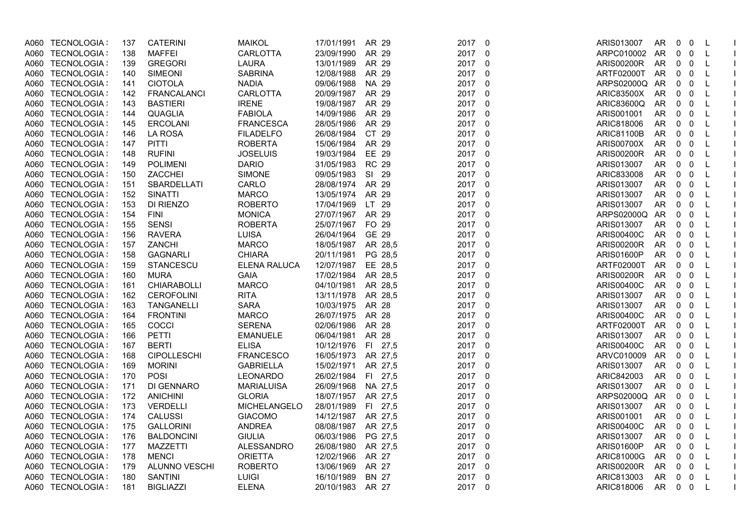|      | A060 TECNOLOGIA    | 137 | <b>CATERINI</b>      | <b>MAIKOL</b>     | 17/01/1991       | AR 29        | 2017 0 |                | ARIS013007        | AR        | 0            | 0                       | L            |                          |
|------|--------------------|-----|----------------------|-------------------|------------------|--------------|--------|----------------|-------------------|-----------|--------------|-------------------------|--------------|--------------------------|
| A060 | <b>TECNOLOGIA:</b> | 138 | <b>MAFFEI</b>        | <b>CARLOTTA</b>   | 23/09/1990       | AR 29        | 2017   | 0              | ARPC010002        | AR        | 0            | 0                       | L            |                          |
|      | A060 TECNOLOGIA:   | 139 | <b>GREGORI</b>       | <b>LAURA</b>      | 13/01/1989       | AR 29        | 2017 0 |                | <b>ARIS00200R</b> | <b>AR</b> | 0            | 0                       | L            |                          |
| A060 | TECNOLOGIA:        | 140 | <b>SIMEONI</b>       | <b>SABRINA</b>    | 12/08/1988       | AR 29        | 2017 0 |                | ARTF02000T        | AR        | 0            | 0                       | L            | $\overline{\phantom{a}}$ |
| A060 | <b>TECNOLOGIA:</b> | 141 | <b>CIOTOLA</b>       | <b>NADIA</b>      | 09/06/1988       | NA 29        | 2017   | $\Omega$       | ARPS02000Q AR     |           | 0            | $\overline{\mathbf{0}}$ | L            |                          |
| A060 | TECNOLOGIA:        | 142 | <b>FRANCALANCI</b>   | CARLOTTA          | 20/09/1987       | AR 29        | 2017   | 0              | <b>ARIC83500X</b> | AR        | 0            | 0                       | L            |                          |
| A060 | <b>TECNOLOGIA:</b> | 143 | <b>BASTIERI</b>      | <b>IRENE</b>      | 19/08/1987       | AR 29        | 2017   | 0              | ARIC83600Q        | AR        | 0            | 0                       | L            | $\mathbf{I}$             |
|      | A060 TECNOLOGIA:   | 144 | QUAGLIA              | <b>FABIOLA</b>    | 14/09/1986       | AR 29        | 2017   | $\overline{0}$ | ARIS001001        | AR        | 0            | $\overline{0}$          | L            |                          |
| A060 | <b>TECNOLOGIA:</b> | 145 | <b>ERCOLANI</b>      | <b>FRANCESCA</b>  | 28/05/1986       | AR 29        | 2017   | $\overline{0}$ | ARIC818006        | AR        | 0            | 0                       | L            |                          |
| A060 | TECNOLOGIA:        | 146 | LA ROSA              | <b>FILADELFO</b>  | 26/08/1984       | CT 29        | 2017   | 0              | <b>ARIC81100B</b> | AR        | 0            | 0                       | L            | $\overline{\phantom{a}}$ |
| A060 | <b>TECNOLOGIA:</b> | 147 | PITTI                | <b>ROBERTA</b>    | 15/06/1984       | AR 29        | 2017   | $\overline{0}$ | <b>ARIS00700X</b> | AR        | 0            | 0                       | L            |                          |
| A060 | <b>TECNOLOGIA:</b> | 148 | <b>RUFINI</b>        | <b>JOSELUIS</b>   | 19/03/1984       | EE 29        | 2017   | $\overline{0}$ | <b>ARIS00200R</b> | <b>AR</b> | $\mathbf 0$  | $\overline{0}$          | $\mathsf{L}$ |                          |
| A060 | <b>TECNOLOGIA:</b> | 149 | <b>POLIMENI</b>      | <b>DARIO</b>      | 31/05/1983       | <b>RC 29</b> | 2017   | 0              | ARIS013007        | <b>AR</b> | 0            | 0                       | L            | $\mathbf{L}$             |
|      | A060 TECNOLOGIA :  | 150 | <b>ZACCHEI</b>       | <b>SIMONE</b>     | 09/05/1983       | SI 29        | 2017   | - 0            | ARIC833008        | AR        | 0            | 0                       | L            |                          |
| A060 | <b>TECNOLOGIA:</b> | 151 | SBARDELLATI          | CARLO             | 28/08/1974       | AR 29        | 2017   | $\mathbf 0$    | ARIS013007        | AR        | 0            | $\mathbf 0$             | L            |                          |
| A060 | <b>TECNOLOGIA:</b> | 152 | <b>SINATTI</b>       | <b>MARCO</b>      | 13/05/1974       | AR 29        | 2017   | 0              | ARIS013007        | AR        | 0            | 0                       | L            | $\mathbf{I}$             |
|      | A060 TECNOLOGIA:   | 153 | DI RIENZO            | <b>ROBERTO</b>    | 17/04/1969       | LT 29        | 2017 0 |                | ARIS013007        | AR        | 0            | 0                       | L            |                          |
| A060 | TECNOLOGIA:        | 154 | <b>FINI</b>          | <b>MONICA</b>     | 27/07/1967       | AR 29        | 2017   | 0              | ARPS02000Q        | AR        | $\mathbf{0}$ | $\mathbf{0}$            | L            |                          |
| A060 | TECNOLOGIA:        | 155 | <b>SENSI</b>         | <b>ROBERTA</b>    | 25/07/1967       | FO 29        | 2017   | 0              | ARIS013007        | AR.       | 0            | 0                       | L            | $\mathbf{L}$             |
|      | A060 TECNOLOGIA:   | 156 | <b>RAVERA</b>        | <b>LUISA</b>      | 26/04/1964       | GE 29        | 2017 0 |                | ARIS00400C        | AR        | 0            | 0                       | L            |                          |
| A060 | <b>TECNOLOGIA:</b> | 157 | ZANCHI               | <b>MARCO</b>      | 18/05/1987       | AR 28,5      | 2017   | 0              | <b>ARIS00200R</b> | AR        | 0            | 0                       | L            |                          |
| A060 | <b>TECNOLOGIA:</b> | 158 | <b>GAGNARLI</b>      | <b>CHIARA</b>     | 20/11/1981       | PG 28.5      | 2017   | 0              | ARIS01600P        | AR        | 0            | $\overline{0}$          | $\mathsf{L}$ |                          |
|      | A060 TECNOLOGIA :  | 159 | <b>STANCESCU</b>     | ELENA RALUCA      | 12/07/1987       | EE 28.5      | 2017 0 |                | ARTF02000T        | AR        | 0            | 0                       | L            |                          |
| A060 | TECNOLOGIA         | 160 | <b>MURA</b>          | <b>GAIA</b>       | 17/02/1984       | AR 28,5      | 2017   | $\overline{0}$ | <b>ARIS00200R</b> | AR        | 0            | $\mathbf 0$             | L            |                          |
| A060 | <b>TECNOLOGIA:</b> | 161 | <b>CHIARABOLLI</b>   | <b>MARCO</b>      | 04/10/1981       | AR 28,5      | 2017   | 0              | <b>ARIS00400C</b> | <b>AR</b> | 0            | $\overline{0}$          | L            |                          |
| A060 | <b>TECNOLOGIA:</b> | 162 | <b>CEROFOLINI</b>    | <b>RITA</b>       | 13/11/1978       | AR 28.5      | 2017   | 0              | ARIS013007        | AR        | 0            | 0                       | L            |                          |
| A060 | <b>TECNOLOGIA:</b> | 163 | TANGANELLI           | <b>SARA</b>       | 10/03/1975       | AR 28        | 2017   | - 0            | ARIS013007        | AR.       | 0            | 0                       | L            | $\overline{\phantom{a}}$ |
| A060 | <b>TECNOLOGIA:</b> | 164 | <b>FRONTINI</b>      | <b>MARCO</b>      | 26/07/1975       | AR 28        | 2017   | $\overline{0}$ | ARIS00400C        | AR        | 0            | $\overline{0}$          | L            |                          |
| A060 | <b>TECNOLOGIA:</b> | 165 | COCCI                | <b>SERENA</b>     | 02/06/1986       | AR 28        | 2017   | $\overline{0}$ | <b>ARTF02000T</b> | AR        | 0            | 0                       | L            |                          |
| A060 | <b>TECNOLOGIA:</b> | 166 | PETTI                | <b>EMANUELE</b>   | 06/04/1981       | AR 28        | 2017   | 0              | ARIS013007        | AR        | 0            | 0                       | L            | $\mathbf{I}$             |
|      | A060 TECNOLOGIA:   | 167 | <b>BERTI</b>         | <b>ELISA</b>      | 10/12/1976       | FI 27,5      | 2017   | $\overline{0}$ | ARIS00400C        | AR        | 0            | 0                       | L            |                          |
| A060 | <b>TECNOLOGIA:</b> | 168 | <b>CIPOLLESCHI</b>   | <b>FRANCESCO</b>  | 16/05/1973       | AR 27,5      | 2017   | 0              | ARVC010009        | <b>AR</b> | 0            | 0                       | L            |                          |
| A060 | <b>TECNOLOGIA:</b> | 169 | <b>MORINI</b>        | <b>GABRIELLA</b>  | 15/02/1971       | AR 27,5      | 2017   | 0              | ARIS013007        | AR        | 0            | 0                       | L            | $\mathbf{I}$             |
|      | A060 TECNOLOGIA:   | 170 | <b>POSI</b>          | <b>LEONARDO</b>   | 26/02/1984       | FI 27,5      | 2017   | 0              | ARIC842003        | AR        | 0            | 0                       | L            |                          |
| A060 | <b>TECNOLOGIA:</b> | 171 | DI GENNARO           | <b>MARIALUISA</b> | 26/09/1968       | NA 27,5      | 2017   | 0              | ARIS013007        | AR        | 0            | $\mathbf 0$             | L            |                          |
| A060 | <b>TECNOLOGIA:</b> | 172 | <b>ANICHINI</b>      | <b>GLORIA</b>     | 18/07/1957       | AR 27,5      | 2017   | 0              | ARPS02000Q        | <b>AR</b> | 0            | 0                       | L            | $\mathbf{I}$             |
|      | A060 TECNOLOGIA:   | 173 | <b>VERDELLI</b>      | MICHELANGELO      | 28/01/1989       | FI 27,5      | 2017   | 0              | ARIS013007        | AR        | 0            | 0                       | L            |                          |
| A060 | TECNOLOGIA:        | 174 | <b>CALUSSI</b>       | <b>GIACOMO</b>    | 14/12/1987       | AR 27,5      | 2017   | 0              | ARIS001001        | AR        | 0            | $\mathbf{0}$            | L            |                          |
| A060 | <b>TECNOLOGIA</b>  | 175 | <b>GALLORINI</b>     | <b>ANDREA</b>     | 08/08/1987       | AR 27,5      | 2017   | 0              | <b>ARIS00400C</b> | AR.       | 0            | $\overline{0}$          | L            | $\mathbf{I}$             |
|      | A060 TECNOLOGIA:   | 176 | <b>BALDONCINI</b>    | <b>GIULIA</b>     | 06/03/1986       | PG 27,5      | 2017   | - 0            | ARIS013007        | AR        | 0            | 0                       | L            |                          |
| A060 | TECNOLOGIA         | 177 | MAZZETTI             | ALESSANDRO        | 26/08/1980       | AR 27,5      | 2017   | 0              | ARIS01600P        | AR        | 0            | $\mathbf{0}$            | L            | $\mathbf{I}$             |
| A060 | TECNOLOGIA:        | 178 | <b>MENCI</b>         | <b>ORIETTA</b>    | 12/02/1966       | AR 27        | 2017   | 0              | ARIC81000G        | AR        | 0            | $\overline{0}$          | L            |                          |
| A060 | <b>TECNOLOGIA:</b> | 179 | <b>ALUNNO VESCHI</b> | <b>ROBERTO</b>    | 13/06/1969       | AR 27        | 2017   | - 0            | <b>ARIS00200R</b> | AR        | 0            | 0                       | L            |                          |
| A060 | <b>TECNOLOGIA:</b> | 180 | <b>SANTINI</b>       | <b>LUIGI</b>      | 16/10/1989       | <b>BN 27</b> | 2017   | 0              | ARIC813003        | AR        | 0            | 0                       | L            |                          |
|      | A060 TECNOLOGIA :  | 181 | <b>BIGLIAZZI</b>     | <b>ELENA</b>      | 20/10/1983 AR 27 |              | 2017 0 |                | ARIC818006        | AR        | $0\quad 0$   |                         | L            |                          |
|      |                    |     |                      |                   |                  |              |        |                |                   |           |              |                         |              |                          |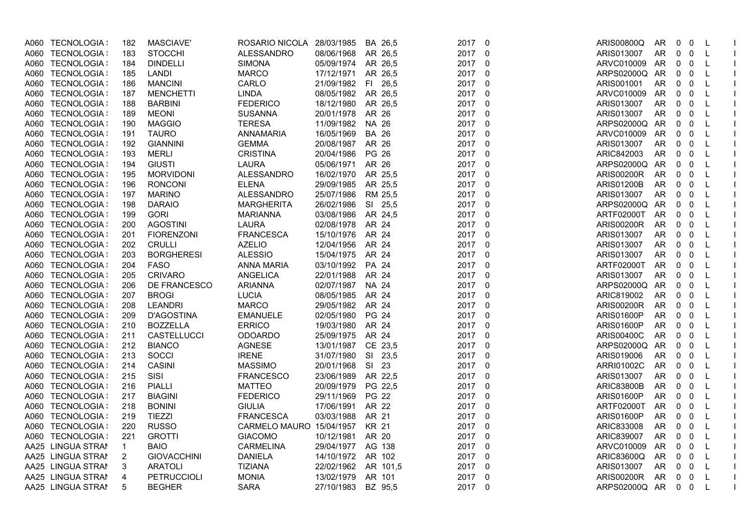|      | A060 TECNOLOGIA    | 182            | MASCIAVE'          | ROSARIO NICOLA 28/03/1985 |                    | BA 26.5      |          | 2017 0 |                | ARIS00800Q        | AR        | 0              | 0              | L            |         |
|------|--------------------|----------------|--------------------|---------------------------|--------------------|--------------|----------|--------|----------------|-------------------|-----------|----------------|----------------|--------------|---------|
|      | A060 TECNOLOGIA:   | 183            | <b>STOCCHI</b>     | <b>ALESSANDRO</b>         | 08/06/1968         | AR 26.5      |          | 2017   | 0              | ARIS013007        | <b>AR</b> | $\mathbf 0$    | 0              | L            |         |
|      | A060 TECNOLOGIA :  | 184            | <b>DINDELLI</b>    | <b>SIMONA</b>             | 05/09/1974         | AR 26.5      |          | 2017   | - 0            | ARVC010009        | AR        | 0              | 0              | L            |         |
|      | A060 TECNOLOGIA :  | 185            | LANDI              | <b>MARCO</b>              | 17/12/1971         | AR 26,5      |          | 2017   | 0              | ARPS02000Q        | AR        | 0              | 0              | L            |         |
|      | A060 TECNOLOGIA:   | 186            | <b>MANCINI</b>     | CARLO                     | 21/09/1982         | FI 26,5      |          | 2017   | $\Omega$       | ARIS001001        | AR        | $\mathbf{0}$   | - 0            | L            |         |
|      | A060 TECNOLOGIA    | 187            | <b>MENCHETTI</b>   | <b>LINDA</b>              | 08/05/1982         | AR 26.5      |          | 2017   | - 0            | ARVC010009        | AR        | $\mathbf{0}$   | 0              | L            |         |
| A060 | TECNOLOGIA:        | 188            | <b>BARBINI</b>     | <b>FEDERICO</b>           | 18/12/1980         | AR 26,5      |          | 2017   | 0              | ARIS013007        | AR        | 0              | 0              | L            |         |
|      | A060 TECNOLOGIA:   | 189            | <b>MEONI</b>       | <b>SUSANNA</b>            | 20/01/1978         | AR 26        |          | 2017   | $\Omega$       | ARIS013007        | AR        | $\mathbf 0$    | 0              | $\mathsf{L}$ |         |
|      | A060 TECNOLOGIA :  | 190            | <b>MAGGIO</b>      | <b>TERESA</b>             | 11/09/1982         | <b>NA 26</b> |          | 2017   | 0              | ARPS02000Q        | AR        | $\mathbf 0$    | 0              | L            |         |
|      | A060 TECNOLOGIA :  | 191            | <b>TAURO</b>       | ANNAMARIA                 | 16/05/1969         | <b>BA 26</b> |          | 2017   | 0              | ARVC010009        | AR        | 0              | 0              | L            |         |
|      | A060 TECNOLOGIA :  | 192            | <b>GIANNINI</b>    | <b>GEMMA</b>              | 20/08/1987         | AR 26        |          | 2017   | 0              | ARIS013007        | AR        | $\mathbf{0}$   | 0              | L            |         |
|      | A060 TECNOLOGIA:   | 193            | <b>MERLI</b>       | <b>CRISTINA</b>           | 20/04/1986         | PG 26        |          | 2017   | 0              | ARIC842003        | <b>AR</b> | $\mathbf{0}$   | 0              | L            |         |
|      | A060 TECNOLOGIA :  | 194            | <b>GIUSTI</b>      | <b>LAURA</b>              | 05/06/1971         | AR 26        |          | 2017   | 0              | ARPS02000Q        | AR        | 0              | 0              |              | $\perp$ |
|      | A060 TECNOLOGIA :  | 195            | <b>MORVIDONI</b>   | ALESSANDRO                | 16/02/1970         | AR 25,5      |          | 2017   | $\Omega$       | <b>ARIS00200R</b> | AR.       | $\mathbf 0$    | 0              | L            |         |
|      | A060 TECNOLOGIA :  | 196            | <b>RONCONI</b>     | <b>ELENA</b>              | 29/09/1985         | AR 25.5      |          | 2017   | 0              | <b>ARIS01200B</b> | AR        | $\mathbf 0$    | 0              | L            |         |
|      | A060 TECNOLOGIA :  | 197            | <b>MARINO</b>      | ALESSANDRO                | 25/07/1986         | RM 25,5      |          | 2017   | 0              | ARIS013007        | AR        | $\mathbf{0}$   | $\mathbf 0$    | L            |         |
|      | A060 TECNOLOGIA:   | 198            | <b>DARAIO</b>      | <b>MARGHERITA</b>         | 26/02/1986         | SI 25,5      |          | 2017 0 |                | ARPS02000Q        | AR        | $\mathbf 0$    | 0              | L            |         |
|      | A060 TECNOLOGIA :  | 199            | <b>GORI</b>        | <b>MARIANNA</b>           | 03/08/1986         | AR 24,5      |          | 2017   | 0              | ARTF02000T        | AR.       | $\mathbf 0$    | 0              | L            |         |
|      | A060 TECNOLOGIA :  | 200            | <b>AGOSTINI</b>    | <b>LAURA</b>              | 02/08/1978         | AR 24        |          | 2017   | 0              | <b>ARIS00200R</b> | AR        | $\mathbf{0}$   | $\overline{0}$ | L            |         |
|      | A060 TECNOLOGIA:   | 201            | <b>FIORENZONI</b>  | <b>FRANCESCA</b>          | 15/10/1976         | AR 24        |          | 2017   | $\Omega$       | ARIS013007        | AR        | $\mathbf 0$    | 0              | L            |         |
|      | A060 TECNOLOGIA :  | 202            | <b>CRULLI</b>      | <b>AZELIO</b>             | 12/04/1956         | AR 24        |          | 2017   | $\mathbf 0$    | ARIS013007        | AR        | 0              | 0              | L            |         |
|      | A060 TECNOLOGIA :  | 203            | <b>BORGHERESI</b>  | <b>ALESSIO</b>            | 15/04/1975         | AR 24        |          | 2017   | 0              | ARIS013007        | AR        | $\overline{0}$ | 0              | L            |         |
|      | A060 TECNOLOGIA:   | 204            | <b>FASO</b>        | <b>ANNA MARIA</b>         | 03/10/1992         | PA 24        |          | 2017   | $\Omega$       | <b>ARTF02000T</b> | AR        | 0              | 0              | L            |         |
|      | A060 TECNOLOGIA :  | 205            | <b>CRIVARO</b>     | <b>ANGELICA</b>           | 22/01/1988         | AR 24        |          | 2017   | $\mathbf 0$    | ARIS013007        | AR.       | $\mathbf 0$    | 0              | L            |         |
|      | A060 TECNOLOGIA :  | 206            | DE FRANCESCO       | <b>ARIANNA</b>            | 02/07/1987         | <b>NA 24</b> |          | 2017   | - 0            | ARPS02000Q        | AR        | $\mathbf{0}$   | 0              | L            |         |
|      | A060 TECNOLOGIA :  | 207            | <b>BROGI</b>       | <b>LUCIA</b>              | 08/05/1985         | AR 24        |          | 2017   | $\overline{0}$ | ARIC819002        | AR        | 0              | 0              | L            |         |
| A060 | <b>TECNOLOGIA:</b> | 208            | <b>LEANDRI</b>     | <b>MARCO</b>              | 29/05/1982         | AR 24        |          | 2017   | 0              | <b>ARIS00200R</b> | AR        | $\mathbf 0$    | 0              | L            |         |
|      | A060 TECNOLOGIA :  | 209            | D'AGOSTINA         | <b>EMANUELE</b>           | 02/05/1980         | <b>PG 24</b> |          | 2017   | 0              | ARIS01600P        | AR        | $\mathbf{0}$   | 0              | L            |         |
|      | A060 TECNOLOGIA :  | 210            | <b>BOZZELLA</b>    | <b>ERRICO</b>             | 19/03/1980         | AR 24        |          | 2017   | 0              | ARIS01600P        | AR        | $\mathbf{0}$   | 0              | L            |         |
|      | A060 TECNOLOGIA:   | 211            | CASTELLUCCI        | <b>ODOARDO</b>            | 25/09/1975         | AR 24        |          | 2017   | 0              | ARIS00400C        | AR        | 0              | 0              | L            | $\perp$ |
|      | A060 TECNOLOGIA :  | 212            | <b>BIANCO</b>      | <b>AGNESE</b>             | 13/01/1987         | CE 23.5      |          | 2017   | - 0            | ARPS02000Q        | AR        | 0              | 0              | L            |         |
|      | A060 TECNOLOGIA :  | 213            | <b>SOCCI</b>       | <b>IRENE</b>              | 31/07/1980         | SI 23,5      |          | 2017   | $\Omega$       | ARIS019006        | AR        | 0              | 0              | L            |         |
|      | A060 TECNOLOGIA :  | 214            | <b>CASINI</b>      | <b>MASSIMO</b>            | 20/01/1968         | SI 23        |          | 2017   | 0              | ARRI01002C        | AR        | $\mathbf{0}$   | 0              | L            |         |
|      | A060 TECNOLOGIA:   | 215            | SISI               | <b>FRANCESCO</b>          | 23/06/1989         | AR 22.5      |          | 2017   | - 0            | ARIS013007        | AR.       | $\mathbf{0}$   | 0              | L            |         |
|      | A060 TECNOLOGIA :  | 216            | <b>PIALLI</b>      | <b>MATTEO</b>             | 20/09/1979         | PG 22,5      |          | 2017   | 0              | <b>ARIC83800B</b> | AR        | 0              | $\mathbf 0$    | L            |         |
|      | A060 TECNOLOGIA :  | 217            | <b>BIAGINI</b>     | <b>FEDERICO</b>           | 29/11/1969         | <b>PG 22</b> |          | 2017   | 0              | ARIS01600P        | <b>AR</b> | 0              | 0              | L            |         |
|      | A060 TECNOLOGIA :  | 218            | <b>BONINI</b>      | <b>GIULIA</b>             | 17/06/1991         | AR 22        |          | 2017   | - 0            | <b>ARTF02000T</b> | AR        | 0              | 0              | L            |         |
|      | A060 TECNOLOGIA :  | 219            | <b>TIEZZI</b>      | <b>FRANCESCA</b>          | 03/03/1988         | AR 21        |          | 2017   | 0              | ARIS01600P        | AR        | 0              | 0              | L            |         |
|      | A060 TECNOLOGIA:   | 220            | <b>RUSSO</b>       | CARMELO MAURO 15/04/1957  |                    | <b>KR 21</b> |          | 2017   | 0              | ARIC833008        | AR.       | $\mathbf{0}$   | $\mathbf 0$    | L            |         |
|      | A060 TECNOLOGIA:   | 221            | <b>GROTTI</b>      | <b>GIACOMO</b>            | 10/12/1981         | AR 20        |          | 2017 0 |                | ARIC839007        | AR        | 0              | 0              | L            |         |
|      | AA25 LINGUA STRAN  | $\mathbf{1}$   | <b>BAIO</b>        | <b>CARMELINA</b>          | 29/04/1977         | AG 138       |          | 2017   | 0              | ARVC010009        | AR        | 0              | 0              | L            |         |
|      | AA25 LINGUA STRAI  | $\overline{2}$ | <b>GIOVACCHINI</b> | <b>DANIELA</b>            | 14/10/1972         | AR 102       |          | 2017   | 0              | ARIC83600Q        | <b>AR</b> | $\mathbf 0$    | 0              | L            |         |
|      | AA25 LINGUA STRAN  | 3              | <b>ARATOLI</b>     | TIZIANA                   | 22/02/1962         |              | AR 101,5 | 2017   | - 0            | ARIS013007        | AR        | 0              | 0              | L            |         |
|      | AA25 LINGUA STRAI  | $\overline{4}$ | <b>PETRUCCIOLI</b> | <b>MONIA</b>              | 13/02/1979         | AR 101       |          | 2017   | 0              | <b>ARIS00200R</b> | AR        | 0              | 0              | L            |         |
|      | AA25 LINGUA STRAI  | 5              | <b>BEGHER</b>      | <b>SARA</b>               | 27/10/1983 BZ 95.5 |              |          | 2017 0 |                | ARPS02000Q AR 0 0 |           |                |                | L            |         |
|      |                    |                |                    |                           |                    |              |          |        |                |                   |           |                |                |              |         |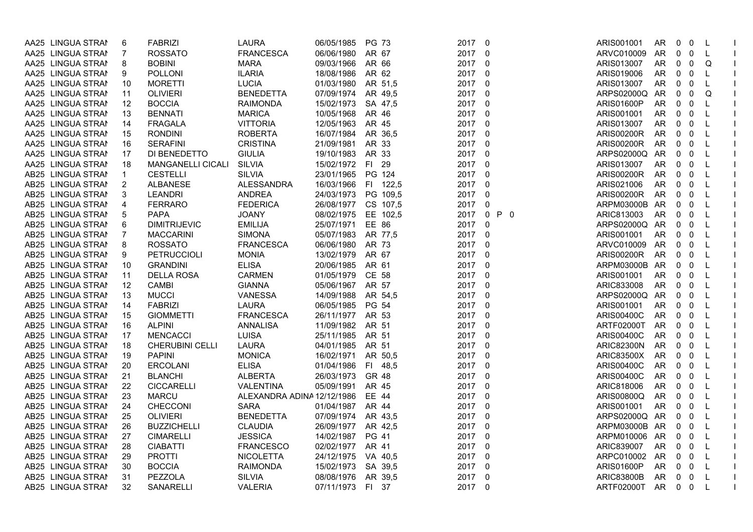| AA25 LINGUA STRAI | 6              | <b>FABRIZI</b>      | <b>LAURA</b>               | 06/05/1985         | PG 73    | 2017   | $\overline{0}$                   | ARIS001001        | AR        | 0            | 0                       | $\mathsf{L}$ |  |
|-------------------|----------------|---------------------|----------------------------|--------------------|----------|--------|----------------------------------|-------------------|-----------|--------------|-------------------------|--------------|--|
| AA25 LINGUA STRAI | $\overline{7}$ | <b>ROSSATO</b>      | <b>FRANCESCA</b>           | 06/06/1980         | AR 67    | 2017   | $\mathbf 0$                      | ARVC010009        | AR        | 0            | $\overline{0}$          | $\mathsf{L}$ |  |
| AA25 LINGUA STRAI | 8              | <b>BOBINI</b>       | <b>MARA</b>                | 09/03/1966         | AR 66    | 2017 0 |                                  | ARIS013007        | <b>AR</b> | $\mathbf 0$  | 0                       | Q            |  |
| AA25 LINGUA STRAI | 9              | POLLONI             | <b>ILARIA</b>              | 18/08/1986         | AR 62    | 2017   | $\overline{0}$                   | ARIS019006        | AR        | $\mathbf 0$  | $\mathbf 0$             | L            |  |
| AA25 LINGUA STRAN | 10             | <b>MORETTI</b>      | <b>LUCIA</b>               | 01/03/1980         | AR 51,5  | 2017   | $\mathbf 0$                      | ARIS013007        | AR        | $0\quad 0$   |                         | L            |  |
| AA25 LINGUA STRAN | 11             | <b>OLIVIERI</b>     | <b>BENEDETTA</b>           | 07/09/1974         | AR 49,5  | 2017   | $\overline{0}$                   | ARPS02000Q        | AR        | $\mathbf 0$  | $\mathbf 0$             | Q            |  |
| AA25 LINGUA STRAI | 12             | <b>BOCCIA</b>       | <b>RAIMONDA</b>            | 15/02/1973         | SA 47.5  | 2017 0 |                                  | ARIS01600P        | AR        | 0            | $\mathbf 0$             | $\mathsf{L}$ |  |
| AA25 LINGUA STRAI | 13             | <b>BENNATI</b>      | <b>MARICA</b>              | 10/05/1968         | AR 46    | 2017   | 0                                | ARIS001001        | AR.       | $\mathbf 0$  | $\overline{\mathbf{0}}$ | L            |  |
| AA25 LINGUA STRAN | 14             | <b>FRAGALA</b>      | <b>VITTORIA</b>            | 12/05/1963         | AR 45    | 2017   | $\mathbf 0$                      | ARIS013007        | <b>AR</b> | $\mathbf 0$  | $\overline{\mathbf{0}}$ | L,           |  |
| AA25 LINGUA STRAI | 15             | <b>RONDINI</b>      | <b>ROBERTA</b>             | 16/07/1984         | AR 36,5  | 2017   | $\mathbf 0$                      | <b>ARIS00200R</b> | AR        | 0            | $\overline{0}$          | L            |  |
| AA25 LINGUA STRAI | 16             | <b>SERAFINI</b>     | <b>CRISTINA</b>            | 21/09/1981         | AR 33    | 2017   | $\overline{0}$                   | <b>ARIS00200R</b> | AR        | $0\quad 0$   |                         | $\mathsf{L}$ |  |
| AA25 LINGUA STRAI | 17             | DI BENEDETTO        | <b>GIULIA</b>              | 19/10/1983         | AR 33    | 2017   | $\mathbf 0$                      | ARPS02000Q        | AR        | $0\quad 0$   |                         | L.           |  |
| AA25 LINGUA STRAI | 18             | MANGANELLI CICALI   | <b>SILVIA</b>              | 15/02/1972         | FI 29    | 2017   | $\mathbf 0$                      | ARIS013007        | AR        | 0            | $\overline{0}$          | $\mathsf{L}$ |  |
| AB25 LINGUA STRAI | $\mathbf 1$    | <b>CESTELLI</b>     | <b>SILVIA</b>              | 23/01/1965         | PG 124   | 2017   | $\overline{0}$                   | <b>ARIS00200R</b> | AR        | $\mathbf 0$  | $\overline{0}$          | $\mathsf{L}$ |  |
| AB25 LINGUA STRAI | $\overline{2}$ | ALBANESE            | <b>ALESSANDRA</b>          | 16/03/1966         | FI 122,5 | 2017   | 0                                | ARIS021006        | AR        | $0\quad 0$   |                         | L            |  |
| AB25 LINGUA STRAI | 3              | <b>LEANDRI</b>      | <b>ANDREA</b>              | 24/03/1973         | PG 109,5 | 2017   | 0                                | <b>ARIS00200R</b> | AR        | $\mathbf 0$  | $\overline{\mathbf{0}}$ | L            |  |
| AB25 LINGUA STRAI | $\overline{4}$ | <b>FERRARO</b>      | <b>FEDERICA</b>            | 26/08/1977         | CS 107.5 | 2017   | 0                                | ARPM03000B AR     |           | $\mathbf{0}$ | $\overline{0}$          | -L           |  |
| AB25 LINGUA STRAI | 5              | <b>PAPA</b>         | <b>JOANY</b>               | 08/02/1975         | EE 102,5 | 2017   | $\overline{0}$<br>P <sub>0</sub> | ARIC813003        | AR.       | $\mathbf 0$  | $\overline{0}$          | $\mathsf{L}$ |  |
| AB25 LINGUA STRAI | 6              | <b>DIMITRIJEVIC</b> | <b>EMILIJA</b>             | 25/07/1971         | EE 86    | 2017   | 0                                | ARPS02000Q AR     |           | $0\quad 0$   |                         | L            |  |
| AB25 LINGUA STRAI | $\overline{7}$ | <b>MACCARINI</b>    | <b>SIMONA</b>              | 05/07/1983         | AR 77,5  | 2017   | $\overline{0}$                   | ARIS001001        | AR        | 0            | 0                       | $\mathsf{L}$ |  |
| AB25 LINGUA STRAI | 8              | <b>ROSSATO</b>      | <b>FRANCESCA</b>           | 06/06/1980         | AR 73    | 2017   | $\mathbf 0$                      | ARVC010009        | AR        | $\mathbf 0$  | $\mathbf 0$             | L            |  |
| AB25 LINGUA STRAI | 9              | <b>PETRUCCIOLI</b>  | <b>MONIA</b>               | 13/02/1979         | AR 67    | 2017   | 0                                | <b>ARIS00200R</b> | AR        | $0\quad 0$   |                         | L            |  |
| AB25 LINGUA STRAI | 10             | <b>GRANDINI</b>     | <b>ELISA</b>               | 20/06/1985         | AR 61    | 2017 0 |                                  | ARPM03000B AR     |           | $\mathbf 0$  | $\overline{0}$          | L            |  |
| AB25 LINGUA STRAI | 11             | DELLA ROSA          | CARMEN                     | 01/05/1979         | CE 58    | 2017   | $\overline{0}$                   | ARIS001001        | <b>AR</b> | $\mathbf{0}$ | $\overline{0}$          | L            |  |
| AB25 LINGUA STRAI | 12             | <b>CAMBI</b>        | <b>GIANNA</b>              | 05/06/1967         | AR 57    | 2017   | $\mathbf 0$                      | ARIC833008        | AR        | $0\quad 0$   |                         | L            |  |
| AB25 LINGUA STRAN | 13             | <b>MUCCI</b>        | VANESSA                    | 14/09/1988         | AR 54,5  | 2017   | $\mathbf 0$                      | ARPS02000Q        | AR        | 0            | $\mathbf 0$             | $\mathsf{L}$ |  |
| AB25 LINGUA STRAI | 14             | <b>FABRIZI</b>      | <b>LAURA</b>               | 06/05/1985         | PG 54    | 2017 0 |                                  | ARIS001001        | AR        | 0            | $\overline{0}$          | $\mathsf{L}$ |  |
| AB25 LINGUA STRAI | 15             | <b>GIOMMETTI</b>    | <b>FRANCESCA</b>           | 26/11/1977         | AR 53    | 2017   | $\mathbf 0$                      | ARIS00400C        | AR.       | $0\quad 0$   |                         | L            |  |
| AB25 LINGUA STRAN | 16             | <b>ALPINI</b>       | <b>ANNALISA</b>            | 11/09/1982         | AR 51    | 2017   | 0                                | ARTF02000T        | AR        | $0\quad 0$   |                         | L            |  |
| AB25 LINGUA STRAI | 17             | <b>MENCACCI</b>     | <b>LUISA</b>               | 25/11/1985         | AR 51    | 2017   | $\mathbf 0$                      | ARIS00400C        | AR        | 0            | $\mathbf 0$             | L            |  |
| AB25 LINGUA STRAN | 18             | CHERUBINI CELLI     | <b>LAURA</b>               | 04/01/1985         | AR 51    | 2017   | $\mathbf 0$                      | <b>ARIC82300N</b> | <b>AR</b> | $\mathbf 0$  | $\overline{0}$          | L            |  |
| AB25 LINGUA STRAI | 19             | <b>PAPINI</b>       | <b>MONICA</b>              | 16/02/1971         | AR 50.5  | 2017   | $\mathbf 0$                      | <b>ARIC83500X</b> | AR        | 0            | $\overline{\mathbf{0}}$ | -L           |  |
| AB25 LINGUA STRAM | 20             | ERCOLANI            | <b>ELISA</b>               | 01/04/1986         | FI 48,5  | 2017   | $\mathbf 0$                      | ARIS00400C        | AR        | $0\quad 0$   |                         | L            |  |
| AB25 LINGUA STRAI | 21             | <b>BLANCHI</b>      | ALBERTA                    | 26/03/1973         | GR 48    | 2017 0 |                                  | <b>ARIS00400C</b> | AR        | $0\quad 0$   |                         | L            |  |
| AB25 LINGUA STRAM | 22             | <b>CICCARELLI</b>   | VALENTINA                  | 05/09/1991         | AR 45    | 2017   | $\overline{0}$                   | ARIC818006        | <b>AR</b> | $0\quad 0$   |                         | $\mathsf{L}$ |  |
| AB25 LINGUA STRAI | 23             | <b>MARCU</b>        | ALEXANDRA ADINA 12/12/1986 |                    | EE 44    | 2017   | 0                                | ARIS00800Q        | AR        | $0\quad 0$   |                         | $\mathsf{L}$ |  |
| AB25 LINGUA STRAI | 24             | CHECCONI            | <b>SARA</b>                | 01/04/1987         | AR 44    | 2017 0 |                                  | ARIS001001        | AR        | 0            | 0                       | L            |  |
| AB25 LINGUA STRAI | 25             | <b>OLIVIERI</b>     | <b>BENEDETTA</b>           | 07/09/1974         | AR 43,5  | 2017   | $\mathbf 0$                      | ARPS02000Q AR     |           | $\mathbf 0$  | $\Omega$                | $\mathsf{L}$ |  |
| AB25 LINGUA STRAI | 26             | <b>BUZZICHELLI</b>  | <b>CLAUDIA</b>             | 26/09/1977         | AR 42.5  | 2017   | 0                                | ARPM03000B AR     |           | $0\quad 0$   |                         | L.           |  |
| AB25 LINGUA STRAN | 27             | <b>CIMARELLI</b>    | <b>JESSICA</b>             | 14/02/1987         | PG 41    | 2017 0 |                                  | ARPM010006 AR     |           | 0            | $\mathbf 0$             | L            |  |
| AB25 LINGUA STRAN | 28             | <b>CIABATTI</b>     | <b>FRANCESCO</b>           | 02/02/1977         | AR 41    | 2017   | $\overline{0}$                   | ARIC839007        | AR        | $\mathbf 0$  | $\mathbf 0$             | L            |  |
| AB25 LINGUA STRAI | 29             | <b>PROTTI</b>       | <b>NICOLETTA</b>           | 24/12/1975 VA 40,5 |          | 2017   | 0                                | ARPC010002        | AR        | $0\quad 0$   |                         | L            |  |
| AB25 LINGUA STRAM | 30             | <b>BOCCIA</b>       | <b>RAIMONDA</b>            | 15/02/1973         | SA 39,5  | 2017 0 |                                  | ARIS01600P        | AR        | $\mathbf{0}$ | $\overline{\mathbf{0}}$ | -L           |  |
| AB25 LINGUA STRAI | 31             | PEZZOLA             | <b>SILVIA</b>              | 08/08/1976         | AR 39,5  | 2017   | $\overline{0}$                   | <b>ARIC83800B</b> | AR        | $\mathbf 0$  | $\overline{0}$          | L            |  |
| AB25 LINGUA STRAI | 32             | SANARELLI           | <b>VALERIA</b>             | 07/11/1973 FI 37   |          | 2017 0 |                                  | ARTF02000T AR 0 0 |           |              |                         | L            |  |
|                   |                |                     |                            |                    |          |        |                                  |                   |           |              |                         |              |  |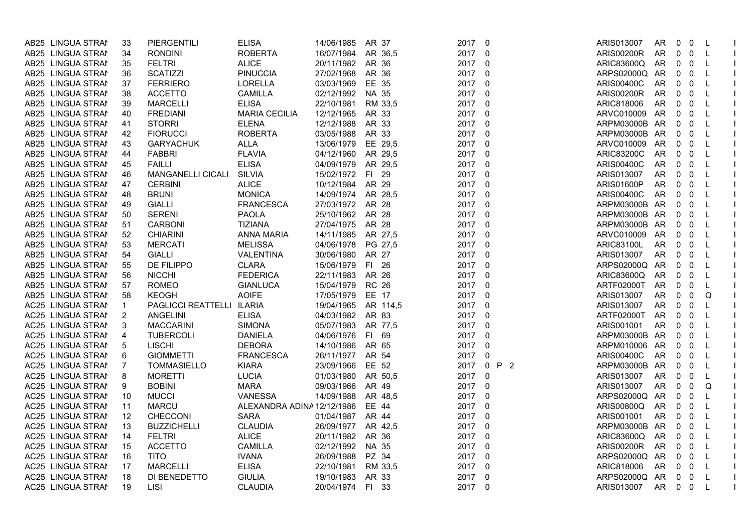| AB25 LINGUA STRAM | 33             | <b>PIERGENTILI</b>        | <b>ELISA</b>               | 14/06/1985 AR 37 |              | 2017 0     |   | ARIS013007        | AR        | $\mathbf 0$    | 0              | L            |              |
|-------------------|----------------|---------------------------|----------------------------|------------------|--------------|------------|---|-------------------|-----------|----------------|----------------|--------------|--------------|
| AB25 LINGUA STRAN | 34             | <b>RONDINI</b>            | <b>ROBERTA</b>             | 16/07/1984       | AR 36.5      | 2017 0     |   | <b>ARIS00200R</b> | AR        | 0              | 0              | L            |              |
| AB25 LINGUA STRAN | 35             | <b>FELTRI</b>             | <b>ALICE</b>               | 20/11/1982       | AR 36        | 2017 0     |   | ARIC83600Q        | AR        | 0              | 0              | L            |              |
| AB25 LINGUA STRAN | 36             | <b>SCATIZZI</b>           | <b>PINUCCIA</b>            | 27/02/1968       | AR 36        | 2017       | 0 | ARPS02000Q AR     |           | $\mathbf 0$    | 0              | L            | $\mathbf{I}$ |
| AB25 LINGUA STRAM | 37             | <b>FERRIERO</b>           | LORELLA                    | 03/03/1969       | EE 35        | 2017 0     |   | ARIS00400C        | AR        | $\mathbf{0}$   | 0              | L            |              |
| AB25 LINGUA STRAM | 38             | <b>ACCETTO</b>            | <b>CAMILLA</b>             | 02/12/1992       | NA 35        | 2017 0     |   | <b>ARIS00200R</b> | AR        | $\overline{0}$ | $\mathbf 0$    | L            |              |
| AB25 LINGUA STRAN | 39             | <b>MARCELLI</b>           | <b>ELISA</b>               | 22/10/1981       | RM 33.5      | 2017 0     |   | ARIC818006        | <b>AR</b> | $\mathbf 0$    | 0              | L            | $\perp$      |
| AB25 LINGUA STRAN | 40             | <b>FREDIANI</b>           | <b>MARIA CECILIA</b>       | 12/12/1965       | AR 33        | 2017 0     |   | ARVC010009        | AR        | 0              | 0              | L            |              |
| AB25 LINGUA STRAI | 41             | <b>STORRI</b>             | <b>ELENA</b>               | 12/12/1988       | AR 33        | 2017 0     |   | ARPM03000B AR     |           | $\mathbf 0$    | 0              | $\mathsf{L}$ |              |
| AB25 LINGUA STRAN | 42             | <b>FIORUCCI</b>           | <b>ROBERTA</b>             | 03/05/1988       | AR 33        | 2017 0     |   | ARPM03000B AR     |           | $0\quad 0$     |                | L            |              |
| AB25 LINGUA STRAI | 43             | <b>GARYACHUK</b>          | ALLA                       | 13/06/1979       | EE 29,5      | 2017 0     |   | ARVC010009        | AR        | $\mathbf 0$    | $\mathbf 0$    | L            |              |
| AB25 LINGUA STRAM | 44             | <b>FABBRI</b>             | <b>FLAVIA</b>              | 04/12/1960       | AR 29,5      | 2017 0     |   | <b>ARIC83200C</b> | AR        | $\mathbf{0}$   | $\mathbf 0$    | L            |              |
| AB25 LINGUA STRAN | 45             | <b>FAILLI</b>             | <b>ELISA</b>               | 04/09/1979       | AR 29.5      | 2017 0     |   | <b>ARIS00400C</b> | AR        | $0\quad 0$     |                | L            | $\mathbf{I}$ |
| AB25 LINGUA STRAI | 46             | MANGANELLI CICALI         | <b>SILVIA</b>              | 15/02/1972       | FI 29        | 2017 0     |   | ARIS013007        | AR        | $\mathbf 0$    | $\mathbf 0$    | L            |              |
| AB25 LINGUA STRAN | 47             | <b>CERBINI</b>            | <b>ALICE</b>               | 10/12/1984       | AR 29        | 2017 0     |   | ARIS01600P        | AR.       | $\mathbf 0$    | $\mathbf 0$    | L            |              |
| AB25 LINGUA STRAN | 48             | <b>BRUNI</b>              | <b>MONICA</b>              | 14/09/1974       | AR 28.5      | 2017 0     |   | ARIS00400C        | AR        | $0\quad 0$     |                | L.           |              |
| AB25 LINGUA STRAI | 49             | <b>GIALLI</b>             | <b>FRANCESCA</b>           | 27/03/1972       | AR 28        | 2017 0     |   | ARPM03000B AR     |           | $\mathbf 0$    | 0              | L            |              |
| AB25 LINGUA STRAN | 50             | <b>SERENI</b>             | <b>PAOLA</b>               | 25/10/1962       | AR 28        | 2017 0     |   | ARPM03000B AR     |           | $\mathbf{0}$   | $\mathbf 0$    | L            |              |
| AB25 LINGUA STRAM | 51             | <b>CARBONI</b>            | <b>TIZIANA</b>             | 27/04/1975       | AR 28        | 2017 0     |   | ARPM03000B AR     |           | $0\quad 0$     |                | $\mathsf{L}$ |              |
| AB25 LINGUA STRAI | 52             | <b>CHIARINI</b>           | <b>ANNA MARIA</b>          | 14/11/1985       | AR 27,5      | 2017 0     |   | ARVC010009        | AR        | $\mathbf{0}$   | $\mathbf 0$    | $\mathsf{L}$ |              |
| AB25 LINGUA STRAN | 53             | <b>MERCATI</b>            | <b>MELISSA</b>             | 04/06/1978       | PG 27,5      | 2017 0     |   | ARIC83100L        | AR        | $\mathbf 0$    | 0              | L            |              |
| AB25 LINGUA STRAN | 54             | <b>GIALLI</b>             | VALENTINA                  | 30/06/1980       | AR 27        | 2017 0     |   | ARIS013007        | AR        | $0\quad 0$     |                | L            |              |
| AB25 LINGUA STRAM | 55             | <b>DE FILIPPO</b>         | <b>CLARA</b>               | 15/06/1979       | FI 26        | 2017 0     |   | ARPS02000Q AR     |           | $\mathbf{0}$   | $\overline{0}$ | L            |              |
| AB25 LINGUA STRAN | 56             | <b>NICCHI</b>             | <b>FEDERICA</b>            | 22/11/1983       | AR 26        | 2017 0     |   | ARIC83600Q        | AR        | $\mathbf 0$    | 0              | L            |              |
| AB25 LINGUA STRAM | 57             | <b>ROMEO</b>              | <b>GIANLUCA</b>            | 15/04/1979       | <b>RC 26</b> | 2017 0     |   | ARTF02000T        | AR        | $\mathbf{0}$   | 0              | L            |              |
| AB25 LINGUA STRAN | 58             | <b>KEOGH</b>              | <b>AOIFE</b>               | 17/05/1979       | EE 17        | 2017 0     |   | ARIS013007        | AR        | $\mathbf 0$    | 0              | Q            |              |
| AC25 LINGUA STRAN | $\mathbf{1}$   | PAGLICCI REATTELLI ILARIA |                            | 19/04/1965       | AR 114,5     | 2017 0     |   | ARIS013007        | AR        | $\mathbf 0$    | 0              | L            | $\mathbf{I}$ |
| AC25 LINGUA STRAI | $\overline{2}$ | <b>ANGELINI</b>           | <b>ELISA</b>               | 04/03/1982       | AR 83        | 2017 0     |   | ARTF02000T        | AR        | $0\quad 0$     |                | L            |              |
| AC25 LINGUA STRAI | 3              | <b>MACCARINI</b>          | <b>SIMONA</b>              | 05/07/1983       | AR 77,5      | 2017 0     |   | ARIS001001        | <b>AR</b> | $\mathbf{0}$   | 0              | L            |              |
| AC25 LINGUA STRAM | 4              | <b>TUBERCOLI</b>          | <b>DANIELA</b>             | 04/06/1976       | FI 69        | 2017       | 0 | ARPM03000B AR     |           | 0              | 0              | L            | $\perp$      |
| AC25 LINGUA STRAI | 5              | <b>LISCHI</b>             | <b>DEBORA</b>              | 14/10/1986       | AR 65        | 2017 0     |   | ARPM010006 AR     |           | $\mathbf 0$    | 0              | L            |              |
| AC25 LINGUA STRAI | 6              | <b>GIOMMETTI</b>          | <b>FRANCESCA</b>           | 26/11/1977       | AR 54        | 2017       | 0 | ARIS00400C        | AR        | $\mathbf{0}$   | $\mathbf 0$    | L            |              |
| AC25 LINGUA STRAI | 7              | TOMMASIELLO               | <b>KIARA</b>               | 23/09/1966       | EE 52        | 2017 0 P 2 |   | ARPM03000B AR     |           | $0\quad 0$     |                | L            |              |
| AC25 LINGUA STRAM | 8              | <b>MORETTI</b>            | <b>LUCIA</b>               | 01/03/1980       | AR 50.5      | 2017 0     |   | ARIS013007        | AR        | $\mathbf 0$    | 0              | L            |              |
| AC25 LINGUA STRAI | 9              | <b>BOBINI</b>             | <b>MARA</b>                | 09/03/1966       | AR 49        | 2017 0     |   | ARIS013007        | <b>AR</b> | $\mathbf{0}$   | 0              | Q            |              |
| AC25 LINGUA STRAI | 10             | <b>MUCCI</b>              | <b>VANESSA</b>             | 14/09/1988       | AR 48,5      | 2017 0     |   | ARPS02000Q AR     |           | $\mathbf 0$    | $\mathbf 0$    | L            | $\mathbf{I}$ |
| AC25 LINGUA STRAM | 11             | <b>MARCU</b>              | ALEXANDRA ADINA 12/12/1986 |                  | EE 44        | 2017 0     |   | ARIS00800Q        | AR        | 0              | 0              | $\mathsf{L}$ |              |
| AC25 LINGUA STRAN | 12             | <b>CHECCONI</b>           | <b>SARA</b>                | 01/04/1987       | AR 44        | 2017 0     |   | ARIS001001        | AR        | $\mathbf 0$    | $\mathbf 0$    | L            |              |
| AC25 LINGUA STRAI | 13             | <b>BUZZICHELLI</b>        | <b>CLAUDIA</b>             | 26/09/1977       | AR 42,5      | 2017 0     |   | ARPM03000B AR     |           | $0\quad 0$     |                | L            |              |
| AC25 LINGUA STRAN | 14             | <b>FELTRI</b>             | <b>ALICE</b>               | 20/11/1982       | AR 36        | 2017 0     |   | ARIC83600Q        | AR        | $\mathbf 0$    | 0              | L            |              |
| AC25 LINGUA STRAM | 15             | <b>ACCETTO</b>            | <b>CAMILLA</b>             | 02/12/1992       | NA 35        | 2017 0     |   | <b>ARIS00200R</b> | AR        | $\mathbf 0$    | 0              | L            |              |
| AC25 LINGUA STRAI | 16             | <b>TITO</b>               | <b>IVANA</b>               | 26/09/1988       | PZ 34        | 2017 0     |   | ARPS02000Q AR     |           | $0\quad 0$     |                | $\mathsf{L}$ |              |
| AC25 LINGUA STRAN | 17             | <b>MARCELLI</b>           | <b>ELISA</b>               | 22/10/1981       | RM 33.5      | 2017 0     |   | ARIC818006        | AR        | $\mathbf 0$    | 0              | L            |              |
| AC25 LINGUA STRAN | 18             | DI BENEDETTO              | <b>GIULIA</b>              | 19/10/1983       | AR 33        | 2017 0     |   | ARPS02000Q AR     |           | 0              | $\mathbf 0$    | L            |              |
| AC25 LINGUA STRAI | 19             | <b>LISI</b>               | <b>CLAUDIA</b>             | 20/04/1974 FI 33 |              | 2017 0     |   | ARIS013007        | AR 0 0    |                |                | -L.          |              |
|                   |                |                           |                            |                  |              |            |   |                   |           |                |                |              |              |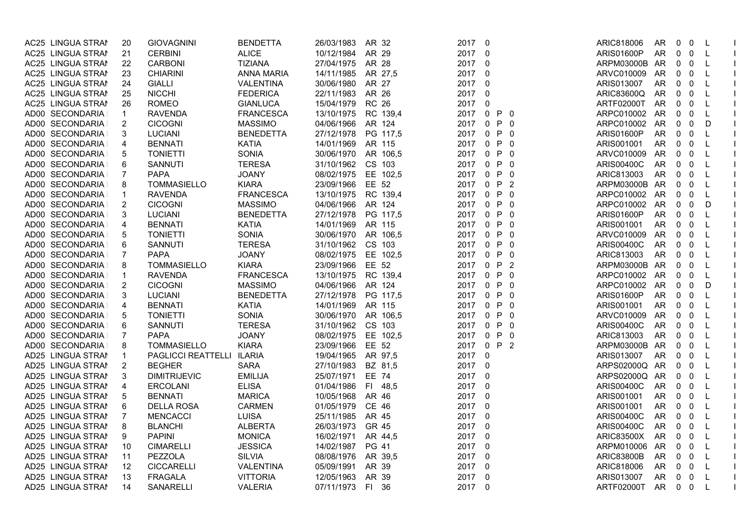| AC25 LINGUA STRAI | 20             | <b>GIOVAGNINI</b>   | <b>BENDETTA</b>  | 26/03/1983       | AR 32        | 2017 0     |              |                |                | ARIC818006        | AR        | $\mathbf 0$  | 0                       | L            |                |
|-------------------|----------------|---------------------|------------------|------------------|--------------|------------|--------------|----------------|----------------|-------------------|-----------|--------------|-------------------------|--------------|----------------|
| AC25 LINGUA STRAM | 21             | <b>CERBINI</b>      | <b>ALICE</b>     | 10/12/1984       | AR 29        | 2017 0     |              |                |                | ARIS01600P        | AR        | $0\quad 0$   |                         | L            |                |
| AC25 LINGUA STRAN | 22             | <b>CARBONI</b>      | <b>TIZIANA</b>   | 27/04/1975       | AR 28        | 2017 0     |              |                |                | ARPM03000B        | AR        | 0            | $\overline{0}$          | L            |                |
| AC25 LINGUA STRAI | 23             | <b>CHIARINI</b>     | ANNA MARIA       | 14/11/1985       | AR 27,5      | 2017       | $\mathbf 0$  |                |                | ARVC010009        | AR        | 0            | $\mathbf 0$             | L            |                |
| AC25 LINGUA STRAN | 24             | <b>GIALLI</b>       | <b>VALENTINA</b> | 30/06/1980       | AR 27        | 2017       | 0            |                |                | ARIS013007        | AR        | $0\quad 0$   |                         | L.           |                |
| AC25 LINGUA STRAN | 25             | <b>NICCHI</b>       | <b>FEDERICA</b>  | 22/11/1983       | AR 26        | 2017 0     |              |                |                | ARIC83600Q        | AR        | $0\quad 0$   |                         | L            |                |
| AC25 LINGUA STRAM | 26             | <b>ROMEO</b>        | <b>GIANLUCA</b>  | 15/04/1979       | <b>RC 26</b> | 2017       | $\mathbf 0$  |                |                | ARTF02000T        | AR        | $\mathbf 0$  | $\overline{\mathbf{0}}$ | L            | $\mathbf{L}$   |
| AD00 SECONDARIA   | 1              | <b>RAVENDA</b>      | <b>FRANCESCA</b> | 13/10/1975       | RC 139,4     | 2017       | $\mathbf 0$  | $P \t0$        |                | ARPC010002        | AR        | $\mathbf 0$  | 0                       | L            |                |
| AD00 SECONDARIA   | 2              | <b>CICOGNI</b>      | <b>MASSIMO</b>   | 04/06/1966       | AR 124       | 2017       | $\mathbf 0$  | $P \t0$        |                | ARPC010002        | AR        | 0            | 0                       | D            |                |
| AD00 SECONDARIA   | 3              | <b>LUCIANI</b>      | <b>BENEDETTA</b> | 27/12/1978       | PG 117,5     | 2017       |              | $0$ $P$ $0$    |                | ARIS01600P        | AR        | $0\quad 0$   |                         | L            | $\mathbf{L}$   |
| AD00 SECONDARIA   | 4              | <b>BENNATI</b>      | KATIA            | 14/01/1969       | AR 115       | 2017       |              | 0 P 0          |                | ARIS001001        | AR.       | $0\quad 0$   |                         | L.           |                |
| AD00 SECONDARIA   | 5              | <b>TONIETTI</b>     | <b>SONIA</b>     | 30/06/1970       | AR 106,5     | 2017       |              | 0 P 0          |                | ARVC010009        | AR        | $\mathbf 0$  | $\overline{0}$          | L            |                |
| AD00 SECONDARIA   | 6              | <b>SANNUTI</b>      | <b>TERESA</b>    | 31/10/1962       | CS 103       | 2017       |              | $0$ $P$ $0$    |                | ARIS00400C        | AR        | $\mathbf 0$  | $\overline{0}$          | L            | $\mathbf{I}$   |
| AD00 SECONDARIA   | $\overline{7}$ | <b>PAPA</b>         | <b>JOANY</b>     | 08/02/1975       | EE 102,5     | 2017       |              | $0$ $P$ $0$    |                | ARIC813003        | AR        | 0            | $\mathbf 0$             | L            |                |
| AD00 SECONDARIA   | 8              | <b>TOMMASIELLO</b>  | <b>KIARA</b>     | 23/09/1966       | EE 52        | 2017       |              | 0 P 2          |                | ARPM03000B AR     |           | $\mathbf 0$  | $\overline{0}$          | L            |                |
| AD00 SECONDARIA   | $\mathbf 1$    | <b>RAVENDA</b>      | <b>FRANCESCA</b> | 13/10/1975       | RC 139,4     | 2017       |              | $0$ $P$ $0$    |                | ARPC010002 AR     |           | $0\quad 0$   |                         | L            |                |
| AD00 SECONDARIA   | $\overline{2}$ | <b>CICOGNI</b>      | <b>MASSIMO</b>   | 04/06/1966       | AR 124       | 2017       |              | $0$ $P$ $0$    |                | ARPC010002        | AR        | 0            | $\overline{0}$          | D            |                |
| AD00 SECONDARIA   | 3              | <b>LUCIANI</b>      | <b>BENEDETTA</b> | 27/12/1978       | PG 117,5     | 2017       | $\mathbf 0$  | $P \t0$        |                | ARIS01600P        | AR        | $\mathbf{0}$ | $\overline{\mathbf{0}}$ | $\mathsf{L}$ |                |
| AD00 SECONDARIA   | 4              | <b>BENNATI</b>      | KATIA            | 14/01/1969       | AR 115       | 2017       |              | $0$ $P$ $0$    |                | ARIS001001        | AR        | $0\quad 0$   |                         | L            |                |
| AD00 SECONDARIA   | 5              | <b>TONIETTI</b>     | <b>SONIA</b>     | 30/06/1970       | AR 106,5     | 2017       |              | $0$ $P$ $0$    |                | ARVC010009        | AR        | $\mathbf 0$  | $\overline{0}$          | L            |                |
| AD00 SECONDARIA   | 6              | <b>SANNUTI</b>      | <b>TERESA</b>    | 31/10/1962       | CS 103       | 2017       | $\mathbf 0$  | $P \t0$        |                | <b>ARIS00400C</b> | AR        | 0            | $\mathbf 0$             | L            | $\mathbf{I}$   |
| AD00 SECONDARIA   | 7              | <b>PAPA</b>         | <b>JOANY</b>     | 08/02/1975       | EE 102,5     | 2017       |              | 0 P 0          |                | ARIC813003        | AR        | $0\quad 0$   |                         | L            |                |
| AD00 SECONDARIA   | 8              | <b>TOMMASIELLO</b>  | <b>KIARA</b>     | 23/09/1966       | EE 52        | 2017       |              | 0 P 2          |                | ARPM03000B AR     |           | 0            | $\overline{0}$          | L            |                |
| AD00 SECONDARIA   | $\mathbf{1}$   | <b>RAVENDA</b>      | <b>FRANCESCA</b> | 13/10/1975       | RC 139,4     | 2017       | $\mathbf 0$  | P.             | $\overline{0}$ | ARPC010002 AR     |           | $\mathbf 0$  | $\mathbf 0$             | L            | $\mathbf{L}$   |
| AD00 SECONDARIA   | 2              | <b>CICOGNI</b>      | <b>MASSIMO</b>   | 04/06/1966       | AR 124       | 2017       |              | 0 P 0          |                | ARPC010002 AR     |           | $\mathbf 0$  | $\overline{\mathbf{0}}$ | D            |                |
| AD00 SECONDARIA   | 3              | <b>LUCIANI</b>      | <b>BENEDETTA</b> | 27/12/1978       | PG 117,5     | 2017       |              | 0 P 0          |                | ARIS01600P        | AR        | $0\quad 0$   |                         | L            |                |
| AD00 SECONDARIA   | 4              | <b>BENNATI</b>      | <b>KATIA</b>     | 14/01/1969       | AR 115       | 2017       | $\mathbf{0}$ | P <sub>0</sub> |                | ARIS001001        | AR        | 0            | $\overline{0}$          | L            | $\mathbf{I}$   |
| AD00 SECONDARIA   | 5              | <b>TONIETTI</b>     | <b>SONIA</b>     | 30/06/1970       | AR 106,5     | 2017       |              | 0 P 0          |                | ARVC010009        | AR        | $0\quad 0$   |                         | L            |                |
| AD00 SECONDARIA   | 6              | SANNUTI             | <b>TERESA</b>    | 31/10/1962       | CS 103       | 2017       |              | 0 P 0          |                | ARIS00400C        | AR        | $\mathbf 0$  | $\overline{\mathbf{0}}$ | L            |                |
| AD00 SECONDARIA   | $\overline{7}$ | <b>PAPA</b>         | <b>JOANY</b>     | 08/02/1975       | EE 102,5     | 2017       |              | $0$ $P$ $0$    |                | ARIC813003        | <b>AR</b> | 0            | $\overline{0}$          | L            | $\mathbf{L}$   |
| AD00 SECONDARIA   | 8              | <b>TOMMASIELLO</b>  | <b>KIARA</b>     | 23/09/1966       | EE 52        | 2017 0 P 2 |              |                |                | ARPM03000B AR     |           | 0            | $\mathbf 0$             | L            |                |
| AD25 LINGUA STRAM | 1              | PAGLICCI REATTELLI  | <b>ILARIA</b>    | 19/04/1965       | AR 97,5      | 2017       | 0            |                |                | ARIS013007        | AR        | $0\quad 0$   |                         | L            |                |
| AD25 LINGUA STRAN | 2              | <b>BEGHER</b>       | <b>SARA</b>      | 27/10/1983       | BZ 81,5      | 2017       | $\mathbf 0$  |                |                | ARPS02000Q AR     |           | $0\quad 0$   |                         | L            | $\mathbf{I}$   |
| AD25 LINGUA STRAN | 3              | <b>DIMITRIJEVIC</b> | <b>EMILIJA</b>   | 25/07/1971       | EE 74        | 2017 0     |              |                |                | ARPS02000Q AR     |           | $0\quad 0$   |                         | L            |                |
| AD25 LINGUA STRAM | 4              | <b>ERCOLANI</b>     | <b>ELISA</b>     | 01/04/1986       | FI 48,5      | 2017 0     |              |                |                | ARIS00400C        | AR        | $0\quad 0$   |                         | L            |                |
| AD25 LINGUA STRAN | 5              | <b>BENNATI</b>      | <b>MARICA</b>    | 10/05/1968       | AR 46        | 2017 0     |              |                |                | ARIS001001        | <b>AR</b> | $0\quad 0$   |                         | L            | $\mathbf{L}$   |
| AD25 LINGUA STRAN | 6              | DELLA ROSA          | <b>CARMEN</b>    | 01/05/1979       | <b>CE 46</b> | 2017 0     |              |                |                | ARIS001001        | AR        | 0            | 0                       | $\mathsf{L}$ |                |
| AD25 LINGUA STRAI | 7              | <b>MENCACCI</b>     | LUISA            | 25/11/1985       | AR 45        | 2017       | $\mathbf 0$  |                |                | ARIS00400C        | AR        | 0            | $\overline{0}$          | L            |                |
| AD25 LINGUA STRAN | 8              | <b>BLANCHI</b>      | <b>ALBERTA</b>   | 26/03/1973       | GR 45        | 2017       | $\mathbf 0$  |                |                | <b>ARIS00400C</b> | AR.       | $0\quad 0$   |                         | L.           | $\mathbf{L}$   |
| AD25 LINGUA STRAN | 9              | <b>PAPINI</b>       | <b>MONICA</b>    | 16/02/1971       | AR 44,5      | 2017 0     |              |                |                | <b>ARIC83500X</b> | AR        | $\mathbf 0$  | $\overline{0}$          | L.           |                |
| AD25 LINGUA STRAI | 10             | <b>CIMARELLI</b>    | <b>JESSICA</b>   | 14/02/1987       | PG 41        | 2017 0     |              |                |                | ARPM010006        | AR        | $\mathbf 0$  | $\mathbf 0$             | L            | $\mathbf{I}$   |
| AD25 LINGUA STRAN | 11             | PEZZOLA             | <b>SILVIA</b>    | 08/08/1976       | AR 39.5      | 2017 0     |              |                |                | <b>ARIC83800B</b> | AR        | $0\quad 0$   |                         | L            |                |
| AD25 LINGUA STRAN | 12             | <b>CICCARELLI</b>   | VALENTINA        | 05/09/1991       | AR 39        | 2017 0     |              |                |                | ARIC818006        | AR        | 0            | $\overline{0}$          | L            |                |
| AD25 LINGUA STRAN | 13             | <b>FRAGALA</b>      | <b>VITTORIA</b>  | 12/05/1963       | AR 39        | 2017       | 0            |                |                | ARIS013007        | AR        | 0            | $\mathbf 0$             | L            | $\overline{1}$ |
| AD25 LINGUA STRAN | 14             | SANARELLI           | <b>VALERIA</b>   | 07/11/1973 FI 36 |              | 2017 0     |              |                |                | ARTF02000T AR 0 0 |           |              |                         | L            |                |
|                   |                |                     |                  |                  |              |            |              |                |                |                   |           |              |                         |              |                |